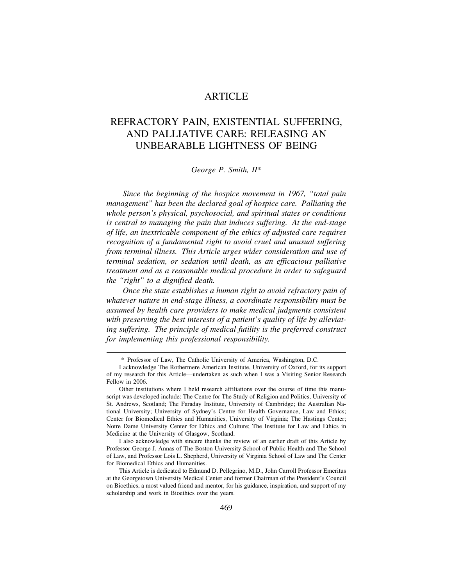# **ARTICLE**

# REFRACTORY PAIN, EXISTENTIAL SUFFERING, AND PALLIATIVE CARE: RELEASING AN UNBEARABLE LIGHTNESS OF BEING

*George P. Smith, II*\*

*Since the beginning of the hospice movement in 1967, "total pain management" has been the declared goal of hospice care. Palliating the whole person's physical, psychosocial, and spiritual states or conditions is central to managing the pain that induces suffering. At the end-stage of life, an inextricable component of the ethics of adjusted care requires recognition of a fundamental right to avoid cruel and unusual suffering from terminal illness. This Article urges wider consideration and use of terminal sedation, or sedation until death, as an efficacious palliative treatment and as a reasonable medical procedure in order to safeguard the "right" to a dignified death.* 

*Once the state establishes a human right to avoid refractory pain of whatever nature in end-stage illness, a coordinate responsibility must be assumed by health care providers to make medical judgments consistent with preserving the best interests of a patient's quality of life by alleviating suffering. The principle of medical futility is the preferred construct for implementing this professional responsibility.* 

I also acknowledge with sincere thanks the review of an earlier draft of this Article by Professor George J. Annas of The Boston University School of Public Health and The School of Law, and Professor Lois L. Shepherd, University of Virginia School of Law and The Center for Biomedical Ethics and Humanities.

<sup>\*</sup> Professor of Law, The Catholic University of America, Washington, D.C.

I acknowledge The Rothermere American Institute, University of Oxford, for its support of my research for this Article—undertaken as such when I was a Visiting Senior Research Fellow in 2006.

Other institutions where I held research affiliations over the course of time this manuscript was developed include: The Centre for The Study of Religion and Politics, University of St. Andrews, Scotland; The Faraday Institute, University of Cambridge; the Australian National University; University of Sydney's Centre for Health Governance, Law and Ethics; Center for Biomedical Ethics and Humanities, University of Virginia; The Hastings Center; Notre Dame University Center for Ethics and Culture; The Institute for Law and Ethics in Medicine at the University of Glasgow, Scotland.

This Article is dedicated to Edmund D. Pellegrino, M.D., John Carroll Professor Emeritus at the Georgetown University Medical Center and former Chairman of the President's Council on Bioethics, a most valued friend and mentor, for his guidance, inspiration, and support of my scholarship and work in Bioethics over the years.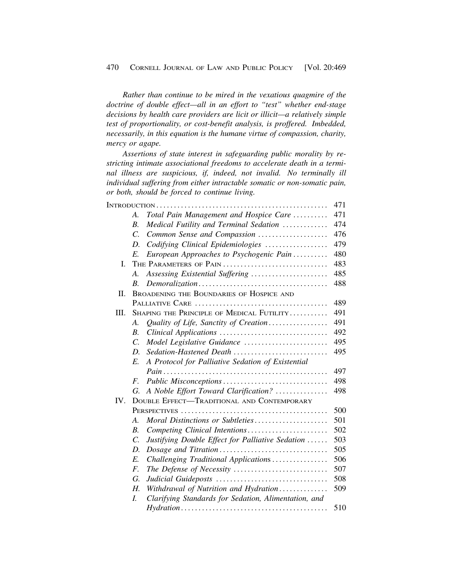*Rather than continue to be mired in the vexatious quagmire of the doctrine of double effect—all in an effort to "test" whether end-stage decisions by health care providers are licit or illicit—a relatively simple test of proportionality, or cost-benefit analysis, is proffered. Imbedded, necessarily, in this equation is the humane virtue of compassion, charity, mercy or agape.* 

*Assertions of state interest in safeguarding public morality by restricting intimate associational freedoms to accelerate death in a terminal illness are suspicious, if, indeed, not invalid. No terminally ill individual suffering from either intractable somatic or non-somatic pain, or both, should be forced to continue living.* 

|      |                        |                                                      | 471 |
|------|------------------------|------------------------------------------------------|-----|
|      | A.                     | Total Pain Management and Hospice Care               | 471 |
|      | <i>B</i> .             | Medical Futility and Terminal Sedation               | 474 |
|      | $\mathcal{C}$ .        | Common Sense and Compassion                          | 476 |
|      | D.                     | Codifying Clinical Epidemiologies                    | 479 |
|      | E.                     | European Approaches to Psychogenic Pain              | 480 |
| I.   | THE PARAMETERS OF PAIN |                                                      |     |
|      | А.                     | Assessing Existential Suffering                      | 485 |
|      | <i>B</i> .             |                                                      | 488 |
| П.   |                        | BROADENING THE BOUNDARIES OF HOSPICE AND             |     |
|      |                        |                                                      | 489 |
| III. |                        | SHAPING THE PRINCIPLE OF MEDICAL FUTILITY            | 491 |
|      | A.                     | Quality of Life, Sanctity of Creation                | 491 |
|      | В.                     |                                                      | 492 |
|      | $\mathcal{C}$ .        | Model Legislative Guidance                           | 495 |
|      | D.                     | Sedation-Hastened Death                              | 495 |
|      | E.                     | A Protocol for Palliative Sedation of Existential    |     |
|      |                        |                                                      | 497 |
|      | F.                     |                                                      | 498 |
|      | G.                     | A Noble Effort Toward Clarification?                 | 498 |
| IV.  |                        | <b>DOUBLE EFFECT-TRADITIONAL AND CONTEMPORARY</b>    |     |
|      |                        |                                                      | 500 |
|      | $\mathcal{A}_{\cdot}$  | Moral Distinctions or Subtleties                     | 501 |
|      | $B$ .                  | Competing Clinical Intentions                        | 502 |
|      | $\mathcal{C}$ .        | Justifying Double Effect for Palliative Sedation     | 503 |
|      | D.                     |                                                      | 505 |
|      | E.                     | Challenging Traditional Applications                 | 506 |
|      | F.                     | The Defense of Necessity                             | 507 |
|      | G.                     |                                                      | 508 |
|      | Н.                     | Withdrawal of Nutrition and Hydration                | 509 |
|      | L.                     | Clarifying Standards for Sedation, Alimentation, and |     |
|      |                        |                                                      | 510 |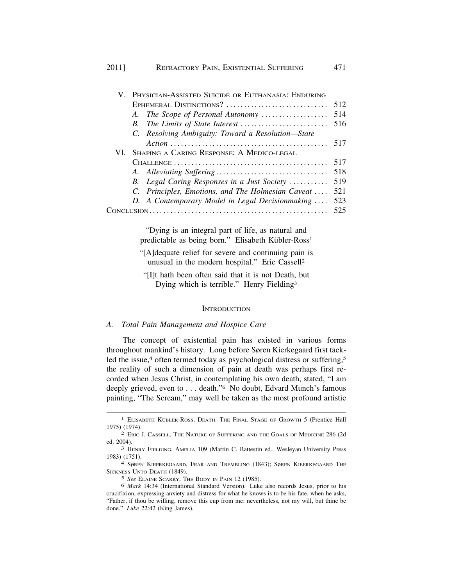# 2011] REFRACTORY PAIN, EXISTENTIAL SUFFERING 471

|  | V. PHYSICIAN-ASSISTED SUICIDE OR EUTHANASIA: ENDURING |     |  |
|--|-------------------------------------------------------|-----|--|
|  | EPHEMERAL DISTINCTIONS?                               | 512 |  |
|  | A. The Scope of Personal Autonomy                     | 514 |  |
|  |                                                       | 516 |  |
|  | C. Resolving Ambiguity: Toward a Resolution-State     |     |  |
|  |                                                       | 517 |  |
|  | VI. SHAPING A CARING RESPONSE: A MEDICO-LEGAL         |     |  |
|  |                                                       | 517 |  |
|  |                                                       | 518 |  |
|  | B. Legal Caring Responses in a Just Society           | 519 |  |
|  | C. Principles, Emotions, and The Holmesian Caveat     | 521 |  |
|  | D. A Contemporary Model in Legal Decisionmaking       | 523 |  |
|  |                                                       |     |  |
|  |                                                       |     |  |

"Dying is an integral part of life, as natural and predictable as being born." Elisabeth Kübler-Ross<sup>1</sup>

"[A]dequate relief for severe and continuing pain is unusual in the modern hospital." Eric Cassell2

"[I]t hath been often said that it is not Death, but Dying which is terrible." Henry Fielding3

#### **INTRODUCTION**

### *A. Total Pain Management and Hospice Care*

The concept of existential pain has existed in various forms throughout mankind's history. Long before Søren Kierkegaard first tackled the issue,<sup>4</sup> often termed today as psychological distress or suffering,<sup>5</sup> the reality of such a dimension of pain at death was perhaps first recorded when Jesus Christ, in contemplating his own death, stated, "I am deeply grieved, even to . . . death."6 No doubt, Edvard Munch's famous painting, "The Scream," may well be taken as the most profound artistic

<sup>&</sup>lt;sup>1</sup> ELISABETH KÜBLER-ROSS, DEATH: THE FINAL STAGE OF GROWTH 5 (Prentice Hall 1975) (1974). 2 ERIC J. CASSELL, THE NATURE OF SUFFERING AND THE GOALS OF MEDICINE 286 (2d

ed. 2004). 3 HENRY FIELDING, AMELIA 109 (Martin C. Battestin ed., Wesleyan University Press

<sup>1983) (1751).&</sup>lt;br><sup>4</sup> Søren Kieerkegaard, Fear and Trembling (1843); Søren Kieerkegaard The

SICKNESS UNTO DEATH (1849).

<sup>5</sup> *See* ELAINE SCARRY, THE BODY IN PAIN 12 (1985).

<sup>6</sup> *Mark* 14:34 (International Standard Version). Luke also records Jesus, prior to his crucifixion, expressing anxiety and distress for what he knows is to be his fate, when he asks, "Father, if thou be willing, remove this cup from me: nevertheless, not my will, but thine be done." *Luke* 22:42 (King James).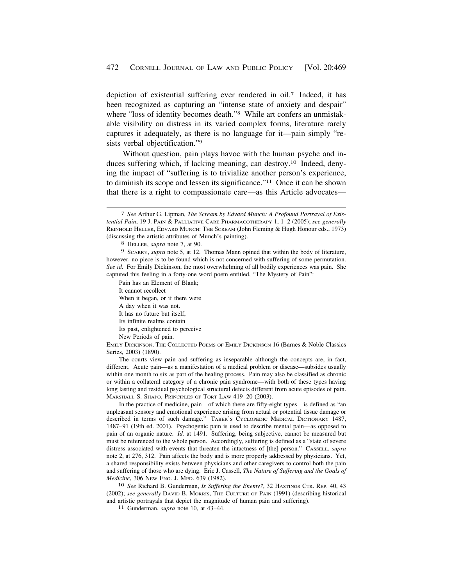depiction of existential suffering ever rendered in oil.7 Indeed, it has been recognized as capturing an "intense state of anxiety and despair" where "loss of identity becomes death."<sup>8</sup> While art confers an unmistakable visibility on distress in its varied complex forms, literature rarely captures it adequately, as there is no language for it—pain simply "resists verbal objectification."9

Without question, pain plays havoc with the human psyche and induces suffering which, if lacking meaning, can [destroy.10](https://destroy.10) Indeed, denying the impact of "suffering is to trivialize another person's experience, to diminish its scope and lessen its significance."11 Once it can be shown that there is a right to compassionate care—as this Article advocates—

Pain has an Element of Blank;

It cannot recollect

When it began, or if there were

A day when it was not.

It has no future but itself,

Its infinite realms contain

Its past, enlightened to perceive

New Periods of pain.

EMILY DICKINSON, THE COLLECTED POEMS OF EMILY DICKINSON 16 (Barnes & Noble Classics Series, 2003) (1890).

The courts view pain and suffering as inseparable although the concepts are, in fact, different. Acute pain—as a manifestation of a medical problem or disease—subsides usually within one month to six as part of the healing process. Pain may also be classified as chronic or within a collateral category of a chronic pain syndrome—with both of these types having long lasting and residual psychological structural defects different from acute episodes of pain. MARSHALL S. SHAPO, PRINCIPLES OF TORT LAW 419–20 (2003).

In the practice of medicine, pain—of which there are fifty-eight types—is defined as "an unpleasant sensory and emotional experience arising from actual or potential tissue damage or described in terms of such damage." TABER'S CYCLOPEDIC MEDICAL DICTIONARY 1487, 1487–91 (19th ed. 2001). Psychogenic pain is used to describe mental pain—as opposed to pain of an organic nature. *Id.* at 1491. Suffering, being subjective, cannot be measured but must be referenced to the whole person. Accordingly, suffering is defined as a "state of severe distress associated with events that threaten the intactness of [the] person." CASSELL, *supra*  note 2, at 276, 312. Pain affects the body and is more properly addressed by physicians. Yet, a shared responsibility exists between physicians and other caregivers to control both the pain and suffering of those who are dying. Eric J. Cassell, *The Nature of Suffering and the Goals of Medicine*, 306 NEW ENG. J. MED. 639 (1982).<br><sup>10</sup> *See* Richard B. Gunderman, *Is Suffering the Enemy?*, 32 HASTINGS CTR. REP. 40, 43

(2002); *see generally* DAVID B. MORRIS, THE CULTURE OF PAIN (1991) (describing historical and artistic portrayals that depict the magnitude of human pain and suffering). 11 Gunderman, *supra* note 10, at 43–44.

<sup>7</sup> *See* Arthur G. Lipman, *The Scream by Edvard Munch: A Profound Portrayal of Existential Pain*, 19 J. PAIN & PALLIATIVE CARE PHARMACOTHERAPY 1, 1–2 (2005); *see generally*  REINHOLD HELLER, EDVARD MUNCH: THE SCREAM (John Fleming & Hugh Honour eds., 1973) (discussing the artistic attributes of Munch's painting). 8 HELLER, *supra* note 7, at 90.

<sup>9</sup> SCARRY, *supra* note 5, at 12. Thomas Mann opined that within the body of literature, however, no piece is to be found which is not concerned with suffering of some permutation. *See id.* For Emily Dickinson, the most overwhelming of all bodily experiences was pain. She captured this feeling in a forty-one word poem entitled, "The Mystery of Pain":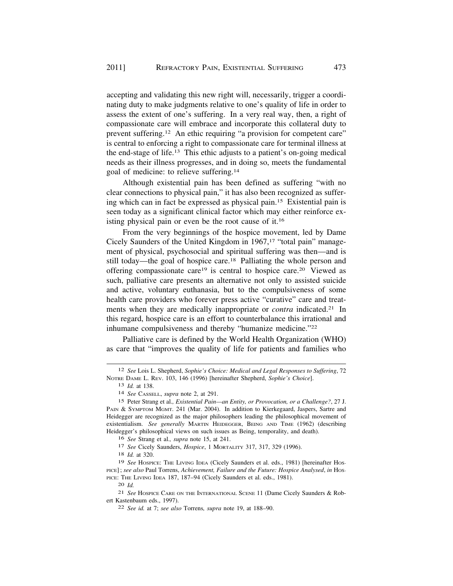accepting and validating this new right will, necessarily, trigger a coordinating duty to make judgments relative to one's quality of life in order to assess the extent of one's suffering. In a very real way, then, a right of compassionate care will embrace and incorporate this collateral duty to prevent suffering.<sup>12</sup> An ethic requiring "a provision for competent care" is central to enforcing a right to compassionate care for terminal illness at the end-stage of life.13 This ethic adjusts to a patient's on-going medical needs as their illness progresses, and in doing so, meets the fundamental goal of medicine: to relieve [suffering.14](https://suffering.14) 

Although existential pain has been defined as suffering "with no clear connections to physical pain," it has also been recognized as suffering which can in fact be expressed as physical pain.15 Existential pain is seen today as a significant clinical factor which may either reinforce existing physical pain or even be the root cause of it.16

From the very beginnings of the hospice movement, led by Dame Cicely Saunders of the United Kingdom in 1967,<sup>17</sup> "total pain" management of physical, psychosocial and spiritual suffering was then—and is still today—the goal of hospice care.18 Palliating the whole person and offering compassionate care19 is central to hospice care.20 Viewed as such, palliative care presents an alternative not only to assisted suicide and active, voluntary euthanasia, but to the compulsiveness of some health care providers who forever press active "curative" care and treatments when they are medically inappropriate or *contra* indicated.<sup>21</sup> In this regard, hospice care is an effort to counterbalance this irrational and inhumane compulsiveness and thereby "humanize medicine."22

Palliative care is defined by the World Health Organization (WHO) as care that "improves the quality of life for patients and families who

16 *See* Strang et al.*, supra* note 15, at 241.

17 *See* Cicely Saunders, *Hospice*, 1 MORTALITY 317, 317, 329 (1996).

18 *Id.* at 320.

20 *Id.* 

<sup>12</sup> *See* Lois L. Shepherd, *Sophie's Choice: Medical and Legal Responses to Suffering*, 72 NOTRE DAME L. REV. 103, 146 (1996) [hereinafter Shepherd, *Sophie's Choice*].

<sup>13</sup> *Id.* at 138.

<sup>14</sup> *See* CASSELL, *supra* note 2, at 291.

<sup>15</sup> Peter Strang et al.*, Existential Pain—an Entity, or Provocation, or a Challenge?*, 27 J. PAIN & SYMPTOM MGMT. 241 (Mar. 2004). In addition to Kierkegaard, Jaspers, Sartre and Heidegger are recognized as the major philosophers leading the philosophical movement of existentialism. *See generally* MARTIN HEIDEGGER, BEING AND TIME (1962) (describing Heidegger's philosophical views on such issues as Being, temporality, and death).

<sup>19</sup> *See* HOSPICE: THE LIVING IDEA (Cicely Saunders et al. eds., 1981) [hereinafter HOS-PICE] ; *see also* Paul Torrens, *Achievement, Failure and the Future: Hospice Analysed*, *in* HOS-PICE: THE LIVING IDEA 187, 187-94 (Cicely Saunders et al. eds., 1981).

<sup>21</sup> *See* HOSPICE CARE ON THE INTERNATIONAL SCENE 11 (Dame Cicely Saunders & Robert Kastenbaum eds., 1997). 22 *See id.* at 7; *see also* Torrens*, supra* note 19, at 188–90.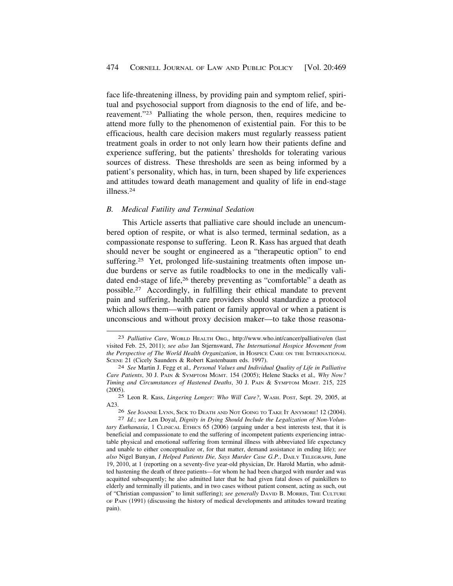<span id="page-5-0"></span>face life-threatening illness, by providing pain and symptom relief, spiritual and psychosocial support from diagnosis to the end of life, and bereavement."23 Palliating the whole person, then, requires medicine to attend more fully to the phenomenon of existential pain. For this to be efficacious, health care decision makers must regularly reassess patient treatment goals in order to not only learn how their patients define and experience suffering, but the patients' thresholds for tolerating various sources of distress. These thresholds are seen as being informed by a patient's personality, which has, in turn, been shaped by life experiences and attitudes toward death management and quality of life in end-stage [illness.24](https://illness.24) 

### *B. Medical Futility and Terminal Sedation*

This Article asserts that palliative care should include an unencumbered option of respite, or what is also termed, terminal sedation, as a compassionate response to suffering. Leon R. Kass has argued that death should never be sought or engineered as a "therapeutic option" to end suffering.<sup>25</sup> Yet, prolonged life-sustaining treatments often impose undue burdens or serve as futile roadblocks to one in the medically validated end-stage of life,<sup>26</sup> thereby preventing as "comfortable" a death as [possible.27](https://possible.27) Accordingly, in fulfilling their ethical mandate to prevent pain and suffering, health care providers should standardize a protocol which allows them—with patient or family approval or when a patient is unconscious and without proxy decision maker—to take those reasona-

<sup>23</sup> *Palliative Care*, WORLD HEALTH ORG., <http://www.who.int/cancer/palliative/en>(last visited Feb. 25, 2011); *see also* Jan Stjernsward, *The International Hospice Movement from the Perspective of The World Health Organization*, in HOSPICE CARE ON THE INTERNATIONAL SCENE 21 (Cicely Saunders & Robert Kastenbaum eds. 1997).

<sup>24</sup> *See* Martin J. Fegg et al.*, Personal Values and Individual Quality of Life in Palliative Care Patients*, 30 J. PAIN & SYMPTOM MGMT. 154 (2005); Helene Stacks et al.*, Why Now? Timing and Circumstances of Hastened Deaths*, 30 J. PAIN & SYMPTOM MGMT. 215, 225 (2005).

<sup>25</sup> Leon R. Kass, *Lingering Longer: Who Will Care?*, WASH. POST, Sept. 29, 2005, at A23.

<sup>26</sup>*See* JOANNE LYNN, SICK TO DEATH AND NOT GOING TO TAKE IT ANYMORE! 12 (2004). 27 *Id.*; *see* Len Doyal, *Dignity in Dying Should Include the Legalization of Non-Volun-*

*tary Euthanasia*, 1 CLINICAL ETHICS 65 (2006) (arguing under a best interests test, that it is beneficial and compassionate to end the suffering of incompetent patients experiencing intractable physical and emotional suffering from terminal illness with abbreviated life expectancy and unable to either conceptualize or, for that matter, demand assistance in ending life); *see also* Nigel Bunyan, *I Helped Patients Die, Says Murder Case G.P.*, DAILY TELEGRAPH, June 19, 2010, at 1 (reporting on a seventy-five year-old physician, Dr. Harold Martin, who admitted hastening the death of three patients—for whom he had been charged with murder and was acquitted subsequently; he also admitted later that he had given fatal doses of painkillers to elderly and terminally ill patients, and in two cases without patient consent, acting as such, out of "Christian compassion" to limit suffering); *see generally* DAVID B. MORRIS, THE CULTURE OF PAIN (1991) (discussing the history of medical developments and attitudes toward treating pain).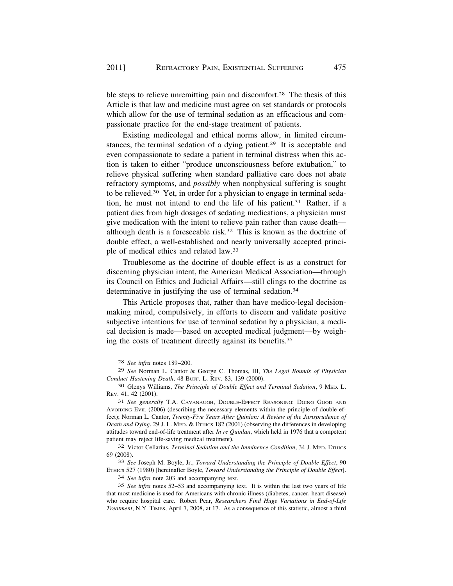ble steps to relieve unremitting pain and discomfort.<sup>28</sup> The thesis of this Article is that law and medicine must agree on set standards or protocols which allow for the use of terminal sedation as an efficacious and compassionate practice for the end-stage treatment of patients.

Existing medicolegal and ethical norms allow, in limited circumstances, the terminal sedation of a dying patient.<sup>29</sup> It is acceptable and even compassionate to sedate a patient in terminal distress when this action is taken to either "produce unconsciousness before extubation," to relieve physical suffering when standard palliative care does not abate refractory symptoms, and *possibly* when nonphysical suffering is sought to be [relieved.30](https://relieved.30) Yet, in order for a physician to engage in terminal sedation, he must not intend to end the life of his [patient.31](https://patient.31) Rather, if a patient dies from high dosages of sedating medications, a physician must give medication with the intent to relieve pain rather than cause death although death is a foreseeable risk.32 This is known as the doctrine of double effect, a well-established and nearly universally accepted principle of medical ethics and related law.33

Troublesome as the doctrine of double effect is as a construct for discerning physician intent, the American Medical Association—through its Council on Ethics and Judicial Affairs—still clings to the doctrine as determinative in justifying the use of terminal sedation.<sup>34</sup>

This Article proposes that, rather than have medico-legal decisionmaking mired, compulsively, in efforts to discern and validate positive subjective intentions for use of terminal sedation by a physician, a medical decision is made—based on accepted medical judgment—by weighing the costs of treatment directly against its [benefits.35](https://benefits.35) 

33 *See* Joseph M. Boyle, Jr., *Toward Understanding the Principle of Double Effect*, 90 ETHICS 527 (1980) [hereinafter Boyle, *Toward Understanding the Principle of Double Effect*].

34 *See infra* note 203 and accompanying text.

<sup>28</sup> *See infra* notes 189–200.

<sup>29</sup> *See* Norman L. Cantor & George C. Thomas, III, *The Legal Bounds of Physician Conduct Hastening Death*, 48 BUFF. L. REV. 83, 139 (2000).

<sup>30</sup> Glenys Williams, *The Principle of Double Effect and Terminal Sedation*, 9 MED. L. REV. 41, 42 (2001).

<sup>31</sup> *See generally* T.A. CAVANAUGH, DOUBLE-EFFECT REASONING: DOING GOOD AND AVOIDING EVIL (2006) (describing the necessary elements within the principle of double effect); Norman L. Cantor, *Twenty-Five Years After Quinlan: A Review of the Jurisprudence of Death and Dying*, 29 J. L. MED. & ETHICS 182 (2001) (observing the differences in developing attitudes toward end-of-life treatment after *In re Quinlan*, which held in 1976 that a competent patient may reject life-saving medical treatment).

<sup>32</sup> Victor Cellarius, *Terminal Sedation and the Imminence Condition*, 34 J. MED. ETHICS 69 (2008).

<sup>35</sup> *See infra* notes 52–53 and accompanying text. It is within the last two years of life that most medicine is used for Americans with chronic illness (diabetes, cancer, heart disease) who require hospital care. Robert Pear, *Researchers Find Huge Variations in End-of-Life Treatment*, N.Y. TIMES, April 7, 2008, at 17. As a consequence of this statistic, almost a third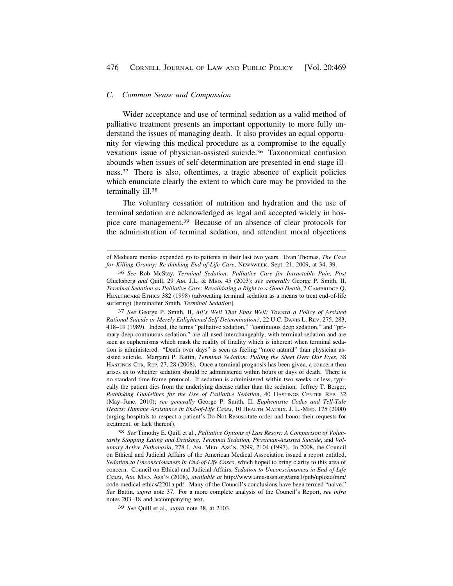#### <span id="page-7-0"></span>*C. Common Sense and Compassion*

Wider acceptance and use of terminal sedation as a valid method of palliative treatment presents an important opportunity to more fully understand the issues of managing death. It also provides an equal opportunity for viewing this medical procedure as a compromise to the equally vexatious issue of physician-assisted [suicide.36](https://suicide.36) Taxonomical confusion abounds when issues of self-determination are presented in end-stage illness.37 There is also, oftentimes, a tragic absence of explicit policies which enunciate clearly the extent to which care may be provided to the terminally ill.<sup>38</sup>

The voluntary cessation of nutrition and hydration and the use of terminal sedation are acknowledged as legal and accepted widely in hospice care [management.39](https://management.39) Because of an absence of clear protocols for the administration of terminal sedation, and attendant moral objections

37 *See* George P. Smith, II, *All's Well That Ends Well: Toward a Policy of Assisted Rational Suicide or Merely Enlightened Self-Determination?*, 22 U.C. DAVIS L. REV. 275, 283, 418–19 (1989). Indeed, the terms "palliative sedation," "continuous deep sedation," and "primary deep continuous sedation," are all used interchangeably, with terminal sedation and are seen as euphemisms which mask the reality of finality which is inherent when terminal sedation is administered. "Death over days" is seen as feeling "more natural" than physician assisted suicide. Margaret P. Battin, *Terminal Sedation: Pulling the Sheet Over Our Eyes*, 38 HASTINGS CTR. REP. 27, 28 (2008). Once a terminal prognosis has been given, a concern then arises as to whether sedation should be administered within hours or days of death. There is no standard time-frame protocol. If sedation is administered within two weeks or less, typically the patient dies from the underlying disease rather than the sedation. Jeffrey T. Berger, *Rethinking Guidelines for the Use of Palliative Sedation*, 40 HASTINGS CENTER REP. 32 (May–June, 2010); *see generally* George P. Smith, II, *Euphemistic Codes and Tell-Tale Hearts: Humane Assistance in End-of-Life Cases*, 10 HEALTH MATRIX, J. L.-MED. 175 (2000) (urging hospitals to respect a patient's Do Not Resuscitate order and honor their requests for treatment, or lack thereof).

38 *See* Timothy E. Quill et al., *Palliative Options of Last Resort: A Comparison of Voluntarily Stopping Eating and Drinking, Terminal Sedation, Physician-Assisted Suicide*, and *Voluntary Active Euthanasia*, 278 J. AM. MED. ASS'N. 2099, 2104 (1997). In 2008, the Council on Ethical and Judicial Affairs of the American Medical Association issued a report entitled, *Sedation to Unconsciousness in End-of-Life Cases*, which hoped to bring clarity to this area of concern. Council on Ethical and Judicial Affairs, *Sedation to Unconsciousness in End-of-Life Cases*, AM. MED. ASS'N (2008), *available at* [http://www.ama-assn.org/ama1/pub/upload/mm/](http://www.ama-assn.org/ama1/pub/upload/mm) code-medical-ethics/2201a.pdf. Many of the Council's conclusions have been termed "naive." *See* Battin, *supra* note 37. For a more complete analysis of the Council's Report, *see infra*  notes 203–18 and accompanying text.

39 *See* Quill et al.*, supra* note 38, at 2103.

of Medicare monies expended go to patients in their last two years. Evan Thomas, *The Case for Killing Granny: Re-thinking End-of-Life Care*, NEWSWEEK, Sept. 21, 2009, at 34, 39.

<sup>36</sup> *See* Rob McStay, *Terminal Sedation: Palliative Care for Intractable Pain, Post*  Glucksberg *and* Quill, 29 AM. J.L. & MED. 45 (2003); *see generally* George P. Smith, II, *Terminal Sedation as Palliative Care: Revalidating a Right to a Good Death*, 7 CAMBRIDGE Q. HEALTHCARE ETHICS 382 (1998) (advocating terminal sedation as a means to treat end-of-life suffering) [hereinafter Smith, *Terminal Sedation*].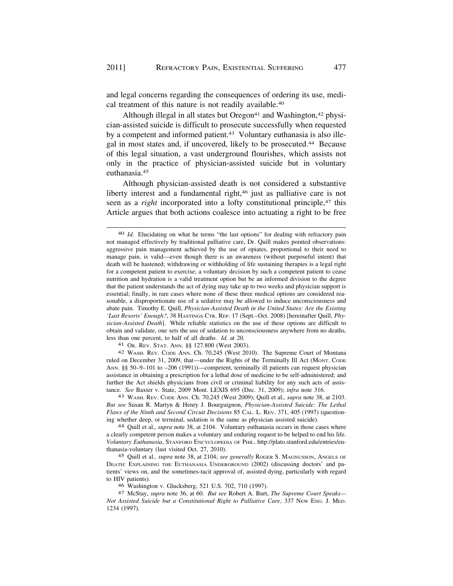and legal concerns regarding the consequences of ordering its use, medical treatment of this nature is not readily available.<sup>40</sup>

Although illegal in all states but  $O$ regon<sup>41</sup> and Washington,  $42$  physician-assisted suicide is difficult to prosecute successfully when requested by a competent and informed patient.<sup>43</sup> Voluntary euthanasia is also illegal in most states and, if uncovered, likely to be [prosecuted.44](https://prosecuted.44) Because of this legal situation, a vast underground flourishes, which assists not only in the practice of physician-assisted suicide but in voluntary [euthanasia.45](https://euthanasia.45)

Although physician-assisted death is not considered a substantive liberty interest and a fundamental right,<sup>46</sup> just as palliative care is not seen as a *right* incorporated into a lofty constitutional principle,<sup>47</sup> this Article argues that both actions coalesce into actuating a right to be free

ruled on December 31, 2009, that—under the Rights of the Terminally Ill Act (MONT. CODE ANN. §§ 50–9–101 to –206 (1991))—competent, terminally ill patients can request physician assistance in obtaining a prescription for a lethal dose of medicine to be self-administered; and further the Act shields physicians from civil or criminal liability for any such acts of assistance. *See* Baxter v. State, 2009 Mont. LEXIS 695 (Dec. 31, 2009); *infra* note 316. 43 WASH. REV. CODE ANN. Ch. 70,245 (West 2009); Quill et al.*, supra* note 38, at 2103.

*But see* Susan R. Martyn & Henry J. Bourguignon, *Physician-Assisted Suicide: The Lethal Flaws of the Ninth and Second Circuit Decisions* 85 CAL. L. REV. 371, 405 (1997) (questioning whether deep, or terminal, sedation is the same as physician assisted suicide). 44 Quill et al.*, supra* note 38, at 2104. Voluntary euthanasia occurs in those cases where

a clearly competent person makes a voluntary and enduring request to be helped to end his life. *Voluntary Euthanasia*, STANFORD ENCYCLOPEDIA OF PHIL. <http://plato.stanford.edu/entries/eu>thanasia-voluntary (last visited Oct. 27, 2010).

45 Quill et al.*, supra* note 38, at 2104; *see generally* ROGER S. MAGNUSSON, ANGELS OF DEATH: EXPLAINING THE EUTHANASIA UNDERGROUND (2002) (discussing doctors' and patients' views on, and the sometimes-tacit approval of, assisted dying, particularly with regard to HIV patients).<br>46 Washington v. Glucksberg, 521 U.S. 702, 710 (1997).

<sup>47</sup> McStay, *supra* note 36, at 60. *But see* Robert A. Burt, *The Supreme Court Speaks*— *Not Assisted Suicide but a Constitutional Right to Palliative Care*, 337 NEW ENG. J. MED. 1234 (1997).

<sup>40</sup> *Id.* Elucidating on what he terms "the last options" for dealing with refractory pain not managed effectively by traditional palliative care, Dr. Quill makes pointed observations: aggressive pain management achieved by the use of opiates, proportional to their need to manage pain, is valid—even though there is an awareness (without purposeful intent) that death will be hastened; withdrawing or withholding of life sustaining therapies is a legal right for a competent patient to exercise; a voluntary decision by such a competent patient to cease nutrition and hydration is a valid treatment option but be an informed division to the degree that the patient understands the act of dying may take up to two weeks and physician support is essential; finally, in rare cases where none of these three medical options are considered reasonable, a disproportionate use of a sedative may be allowed to induce unconsciousness and abate pain. Timothy E. Quill, *Physician-Assisted Death in the United States: Are the Existing 'Last Resorts' Enough?*, 38 HASTINGS CTR. REP. 17 (Sept.–Oct. 2008) [hereinafter Quill, *Physician-Assisted Death*]. While reliable statistics on the use of these options are difficult to obtain and validate, one sets the use of sedation to unconsciousness anywhere from no deaths, less than one percent, to half of all deaths. *Id.* at 20.<br>
<sup>41</sup> OR. REV. STAT. ANN. §§ 127.800 (West 2003).<br>
<sup>42</sup> WASH. REV. CODE ANN. Ch. 70,245 (West 2010). The Supreme Court of Montana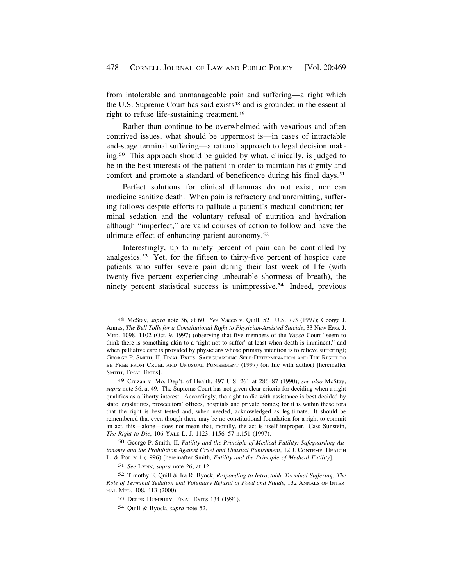from intolerable and unmanageable pain and suffering—a right which the U.S. Supreme Court has said exists<sup>48</sup> and is grounded in the essential right to refuse life-sustaining [treatment.49](https://treatment.49) 

Rather than continue to be overwhelmed with vexatious and often contrived issues, what should be uppermost is—in cases of intractable end-stage terminal suffering—a rational approach to legal decision making.50 This approach should be guided by what, clinically, is judged to be in the best interests of the patient in order to maintain his dignity and comfort and promote a standard of beneficence during his final days.<sup>51</sup>

Perfect solutions for clinical dilemmas do not exist, nor can medicine sanitize death. When pain is refractory and unremitting, suffering follows despite efforts to palliate a patient's medical condition; terminal sedation and the voluntary refusal of nutrition and hydration although "imperfect," are valid courses of action to follow and have the ultimate effect of enhancing patient [autonomy.52](https://autonomy.52)

Interestingly, up to ninety percent of pain can be controlled by [analgesics.53](https://analgesics.53) Yet, for the fifteen to thirty-five percent of hospice care patients who suffer severe pain during their last week of life (with twenty-five percent experiencing unbearable shortness of breath), the ninety percent statistical success is [unimpressive.54](https://unimpressive.54) Indeed, previous

54 Quill & Byock, *supra* note 52.

<sup>48</sup> McStay, *supra* note 36, at 60. *See* Vacco v. Quill, 521 U.S. 793 (1997); George J. Annas, *The Bell Tolls for a Constitutional Right to Physician-Assisted Suicide*, 33 NEW ENG. J. MED. 1098, 1102 (Oct. 9, 1997) (observing that five members of the *Vacco* Court "seem to think there is something akin to a 'right not to suffer' at least when death is imminent," and when palliative care is provided by physicians whose primary intention is to relieve suffering); GEORGE P. SMITH, II, FINAL EXITS: SAFEGUARDING SELF-DETERMINATION AND THE RIGHT TO BE FREE FROM CRUEL AND UNUSUAL PUNISHMENT (1997) (on file with author) [hereinafter SMITH, FINAL EXITS].

<sup>49</sup> Cruzan v. Mo. Dep't. of Health, 497 U.S. 261 at 286–87 (1990); *see also* McStay, *supra* note 36, at 49. The Supreme Court has not given clear criteria for deciding when a right qualifies as a liberty interest. Accordingly, the right to die with assistance is best decided by state legislatures, prosecutors' offices, hospitals and private homes; for it is within these fora that the right is best tested and, when needed, acknowledged as legitimate. It should be remembered that even though there may be no constitutional foundation for a right to commit an act, this—alone—does not mean that, morally, the act is itself improper. Cass Sunstein, *The Right to Die*, 106 YALE L. J. 1123, 1156–57 n.151 (1997).

<sup>50</sup> George P. Smith, II, *Futility and the Principle of Medical Futility: Safeguarding Autonomy and the Prohibition Against Cruel and Unusual Punishment*, 12 J. CONTEMP. HEALTH L. & POL'Y 1 (1996) [hereinafter Smith, *Futility and the Principle of Medical Futility*].

<sup>51</sup> *See* LYNN, *supra* note 26, at 12.

<sup>52</sup> Timothy E. Quill & Ira R. Byock, *Responding to Intractable Terminal Suffering: The Role of Terminal Sedation and Voluntary Refusal of Food and Fluids*, 132 ANNALS OF INTER-NAL MED. 408, 413 (2000).

<sup>53</sup> DEREK HUMPHRY, FINAL EXITS 134 (1991).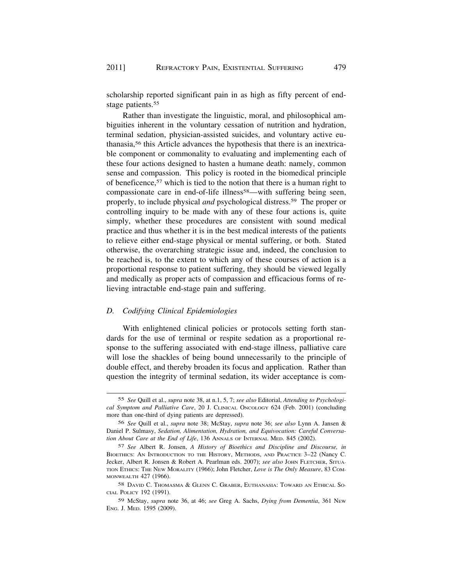scholarship reported significant pain in as high as fifty percent of endstage patients.<sup>55</sup>

Rather than investigate the linguistic, moral, and philosophical ambiguities inherent in the voluntary cessation of nutrition and hydration, terminal sedation, physician-assisted suicides, and voluntary active euthanasia,56 this Article advances the hypothesis that there is an inextricable component or commonality to evaluating and implementing each of these four actions designed to hasten a humane death: namely, common sense and compassion. This policy is rooted in the biomedical principle of beneficence,57 which is tied to the notion that there is a human right to compassionate care in end-of-life illness<sup>58</sup>—with suffering being seen, properly, to include physical *and* psychological [distress.59](https://distress.59) The proper or controlling inquiry to be made with any of these four actions is, quite simply, whether these procedures are consistent with sound medical practice and thus whether it is in the best medical interests of the patients to relieve either end-stage physical or mental suffering, or both. Stated otherwise, the overarching strategic issue and, indeed, the conclusion to be reached is, to the extent to which any of these courses of action is a proportional response to patient suffering, they should be viewed legally and medically as proper acts of compassion and efficacious forms of relieving intractable end-stage pain and suffering.

# *D. Codifying Clinical Epidemiologies*

With enlightened clinical policies or protocols setting forth standards for the use of terminal or respite sedation as a proportional response to the suffering associated with end-stage illness, palliative care will lose the shackles of being bound unnecessarily to the principle of double effect, and thereby broaden its focus and application. Rather than question the integrity of terminal sedation, its wider acceptance is com-

<sup>55</sup> *See* Quill et al., *supra* note 38, at n.1, 5, 7; *see also* Editorial, *Attending to Psychological Symptom and Palliative Care*, 20 J. CLINICAL ONCOLOGY 624 (Feb. 2001) (concluding more than one-third of dying patients are depressed).

<sup>56</sup> *See* Quill et al., *supra* note 38; McStay, *supra* note 36; *see also* Lynn A. Jansen & Daniel P. Sulmasy, *Sedation, Alimentation, Hydration, and Equivocation: Careful Conversation About Care at the End of Life*, 136 ANNALS OF INTERNAL MED. 845 (2002).

<sup>57</sup> *See* Albert R. Jonsen, *A History of Bioethics and Discipline and Discourse, in*  BIOETHICS: AN INTRODUCTION TO THE HISTORY, METHODS, AND PRACTICE 3–22 (Nancy C. Jecker, Albert R. Jonsen & Robert A. Pearlman eds. 2007); *see also* JOHN FLETCHER, SITUA-TION ETHICS: THE NEW MORALITY (1966); John Fletcher, *Love is The Only Measure*, 83 COM-MONWEALTH 427 (1966).

<sup>58</sup> DAVID C. THOMASMA & GLENN C. GRABER, EUTHANASIA: TOWARD AN ETHICAL SO-CIAL POLICY 192 (1991).

<sup>59</sup> McStay, *supra* note 36, at 46; *see* Greg A. Sachs, *Dying from Dementia*, 361 NEW ENG. J. MED. 1595 (2009).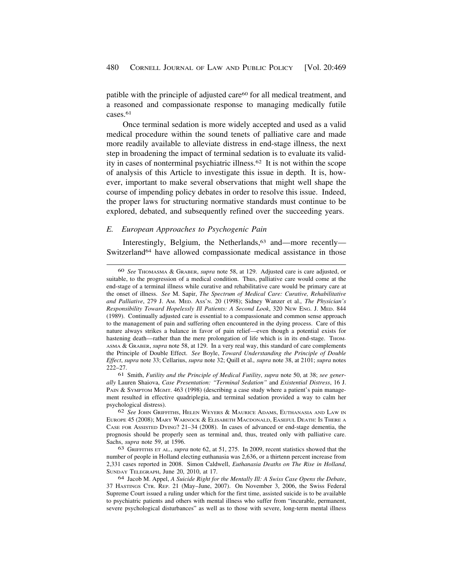<span id="page-11-0"></span>patible with the principle of adjusted care60 for all medical treatment, and a reasoned and compassionate response to managing medically futile cases.<sup>61</sup>

Once terminal sedation is more widely accepted and used as a valid medical procedure within the sound tenets of palliative care and made more readily available to alleviate distress in end-stage illness, the next step in broadening the impact of terminal sedation is to evaluate its validity in cases of nonterminal psychiatric [illness.62](https://illness.62) It is not within the scope of analysis of this Article to investigate this issue in depth. It is, however, important to make several observations that might well shape the course of impending policy debates in order to resolve this issue. Indeed, the proper laws for structuring normative standards must continue to be explored, debated, and subsequently refined over the succeeding years.

### *E. European Approaches to Psychogenic Pain*

Interestingly, Belgium, the Netherlands,<sup>63</sup> and—more recently— Switzerland<sup>64</sup> have allowed compassionate medical assistance in those

<sup>60</sup> *See* THOMASMA & GRABER, *supra* note 58, at 129. Adjusted care is care adjusted, or suitable, to the progression of a medical condition. Thus, palliative care would come at the end-stage of a terminal illness while curative and rehabilitative care would be primary care at the onset of illness. *See* M. Sapir, *The Spectrum of Medical Care: Curative, Rehabilitative and Palliative*, 279 J. AM. MED. ASS'N. 20 (1998); Sidney Wanzer et al.*, The Physician's Responsibility Toward Hopelessly Ill Patients: A Second Look*, 320 NEW ENG. J. MED. 844 (1989). Continually adjusted care is essential to a compassionate and common sense approach to the management of pain and suffering often encountered in the dying process. Care of this nature always strikes a balance in favor of pain relief—even though a potential exists for hastening death—rather than the mere prolongation of life which is in its end-stage. Thom-ASMA & GRABER, *supra* note 58, at 129. In a very real way, this standard of care complements the Principle of Double Effect. *See* Boyle, *Toward Understanding the Principle of Double Effect*, *supra* note 33; Cellarius, *supra* note 32; Quill et al.*, supra* note 38, at 2101; *supra* notes 222–27.

<sup>61</sup> Smith, *Futility and the Principle of Medical Futility*, *supra* note 50, at 38; *see generally* Lauren Shaiova, *Case Presentation: "Terminal Sedation"* and *Existential Distress*, 16 J. PAIN & SYMPTOM MGMT. 463 (1998) (describing a case study where a patient's pain management resulted in effective quadriplegia, and terminal sedation provided a way to calm her psychological distress).

<sup>62</sup> *See* JOHN GRIFFITHS, HELEN WEYERS & MAURICE ADAMS, EUTHANASIA AND LAW IN EUROPE 45 (2008); MARY WARNOCK & ELISABETH MACDONALD, EASEFUL DEATH: IS THERE A CASE FOR ASSISTED DYING? 21–34 (2008). In cases of advanced or end-stage dementia, the prognosis should be properly seen as terminal and, thus, treated only with palliative care. Sachs, *supra* note 59, at 1596.

<sup>63</sup> GRIFFITHS ET AL*.*, *supra* note 62, at 51, 275. In 2009, recent statistics showed that the number of people in Holland electing euthanasia was 2,636, or a thirtenn percent increase from 2,331 cases reported in 2008. Simon Caldwell, *Euthanasia Deaths on The Rise in Holland*, SUNDAY TELEGRAPH, June 20, 2010, at 17.

<sup>64</sup> Jacob M. Appel, *A Suicide Right for the Mentally Ill: A Swiss Case Opens the Debate*, 37 HASTINGS CTR. REP. 21 (May–June, 2007). On November 3, 2006, the Swiss Federal Supreme Court issued a ruling under which for the first time, assisted suicide is to be available to psychiatric patients and others with mental illness who suffer from "incurable, permanent, severe psychological disturbances" as well as to those with severe, long-term mental illness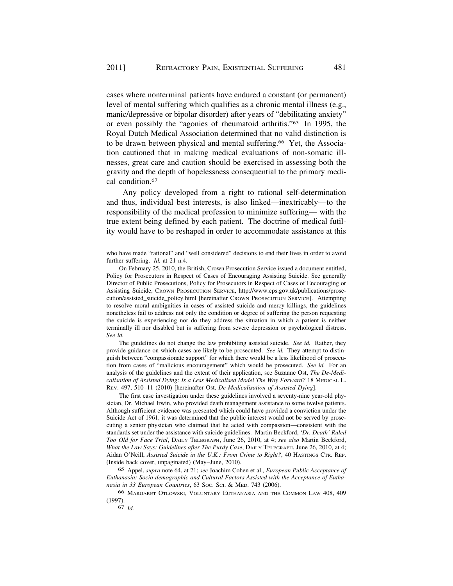cases where nonterminal patients have endured a constant (or permanent) level of mental suffering which qualifies as a chronic mental illness (e.g., manic/depressive or bipolar disorder) after years of "debilitating anxiety" or even possibly the "agonies of rheumatoid arthritis."65 In 1995, the Royal Dutch Medical Association determined that no valid distinction is to be drawn between physical and mental suffering.<sup>66</sup> Yet, the Association cautioned that in making medical evaluations of non-somatic illnesses, great care and caution should be exercised in assessing both the gravity and the depth of hopelessness consequential to the primary medical [condition.67](https://condition.67) 

Any policy developed from a right to rational self-determination and thus, individual best interests, is also linked—inextricably—to the responsibility of the medical profession to minimize suffering— with the true extent being defined by each patient. The doctrine of medical futility would have to be reshaped in order to accommodate assistance at this

The guidelines do not change the law prohibiting assisted suicide. *See id.* Rather, they provide guidance on which cases are likely to be prosecuted. *See id.* They attempt to distinguish between "compassionate support" for which there would be a less likelihood of prosecution from cases of "malicious encouragement" which would be prosecuted. *See id.* For an analysis of the guidelines and the extent of their application, see Suzanne Ost, *The De-Medicalisation of Assisted Dying: Is a Less Medicalised Model The Way Forward?* 18 MEDICAL L. REV. 497, 510–11 (2010) [hereinafter Ost, *De-Medicalisation of Assisted Dying*].

The first case investigation under these guidelines involved a seventy-nine year-old physician, Dr. Michael Irwin, who provided death management assistance to some twelve patients. Although sufficient evidence was presented which could have provided a conviction under the Suicide Act of 1961, it was determined that the public interest would not be served by prosecuting a senior physician who claimed that he acted with compassion—consistent with the standards set under the assistance with suicide guidelines. Martin Beckford, *'Dr. Death' Ruled Too Old for Face Trial*, DAILY TELEGRAPH, June 26, 2010, at 4; *see also* Martin Beckford, *What the Law Says: Guidelines after The Purdy Case*, DAILY TELEGRAPH, June 26, 2010, at 4; Aidan O'Neill, *Assisted Suicide in the U.K.: From Crime to Right?*, 40 HASTINGS CTR. REP. (Inside back cover, unpaginated) (May–June, 2010).

65 Appel, *supra* note 64, at 21; *see* Joachim Cohen et al.*, European Public Acceptance of Euthanasia: Socio-demographic and Cultural Factors Assisted with the Acceptance of Euthanasia in 33 European Countries*, 63 SOC. SCI. & MED. 743 (2006).

who have made "rational" and "well considered" decisions to end their lives in order to avoid further suffering. *Id.* at 21 n.4.

On February 25, 2010, the British, Crown Prosecution Service issued a document entitled, Policy for Prosecutors in Respect of Cases of Encouraging Assisting Suicide. See generally Director of Public Prosecutions, Policy for Prosecutors in Respect of Cases of Encouraging or Assisting Suicide, CROWN PROSECUTION SERVICE, <http://www.cps.gov.uk/publications/prose>cution/assisted\_suicide\_policy.html [hereinafter CROWN PROSECUTION SERVICE] . Attempting to resolve moral ambiguities in cases of assisted suicide and mercy killings, the guidelines nonetheless fail to address not only the condition or degree of suffering the person requesting the suicide is experiencing nor do they address the situation in which a patient is neither terminally ill nor disabled but is suffering from severe depression or psychological distress. *See id.* 

<sup>66</sup> MARGARET OTLOWSKI, VOLUNTARY EUTHANASIA AND THE COMMON LAW 408, 409 (1997).

<sup>67</sup> *Id.*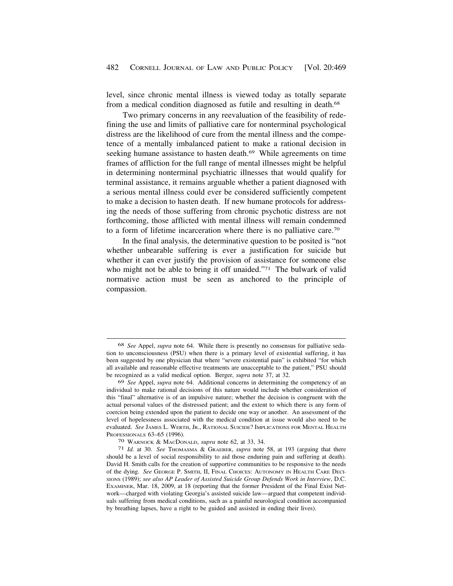level, since chronic mental illness is viewed today as totally separate from a medical condition diagnosed as futile and resulting in death.<sup>68</sup>

Two primary concerns in any reevaluation of the feasibility of redefining the use and limits of palliative care for nonterminal psychological distress are the likelihood of cure from the mental illness and the competence of a mentally imbalanced patient to make a rational decision in seeking humane assistance to hasten death.<sup>69</sup> While agreements on time frames of affliction for the full range of mental illnesses might be helpful in determining nonterminal psychiatric illnesses that would qualify for terminal assistance, it remains arguable whether a patient diagnosed with a serious mental illness could ever be considered sufficiently competent to make a decision to hasten death. If new humane protocols for addressing the needs of those suffering from chronic psychotic distress are not forthcoming, those afflicted with mental illness will remain condemned to a form of lifetime incarceration where there is no palliative care.70

In the final analysis, the determinative question to be posited is "not whether unbearable suffering is ever a justification for suicide but whether it can ever justify the provision of assistance for someone else who might not be able to bring it off unaided."<sup>71</sup> The bulwark of valid normative action must be seen as anchored to the principle of compassion.

<sup>68</sup> *See* Appel, *supra* note 64. While there is presently no consensus for palliative sedation to unconsciousness (PSU) when there is a primary level of existential suffering, it has been suggested by one physician that where "severe existential pain" is exhibited "for which all available and reasonable effective treatments are unacceptable to the patient," PSU should be recognized as a valid medical option. Berger, *supra* note 37, at 32.

<sup>69</sup> *See* Appel, *supra* note 64. Additional concerns in determining the competency of an individual to make rational decisions of this nature would include whether consideration of this "final" alternative is of an impulsive nature; whether the decision is congruent with the actual personal values of the distressed patient; and the extent to which there is any form of coercion being extended upon the patient to decide one way or another. An assessment of the level of hopelessness associated with the medical condition at issue would also need to be evaluated. *See* JAMES L. WERTH, JR., RATIONAL SUICIDE? IMPLICATIONS FOR MENTAL HEALTH PROFESSIONALS 63–65 (1996).<br>
<sup>70</sup> WARNOCK & MACDONALD, *supra* note 62, at 33, 34.<br>
<sup>71</sup> *Id.* at 30. *See* THOMASMA & GRAEBER, *supra* note 58, at 193 (arguing that there

should be a level of social responsibility to aid those enduring pain and suffering at death). David H. Smith calls for the creation of supportive communities to be responsive to the needs of the dying. *See* GEORGE P. SMITH, II, FINAL CHOICES: AUTONOMY IN HEALTH CARE DECI-SIONS (1989); *see also AP Leader of Assisted Suicide Group Defends Work in Interview*, D.C. EXAMINER, Mar. 18, 2009, at 18 (reporting that the former President of the Final Exist Network—charged with violating Georgia's assisted suicide law—argued that competent individuals suffering from medical conditions, such as a painful neurological condition accompanied by breathing lapses, have a right to be guided and assisted in ending their lives).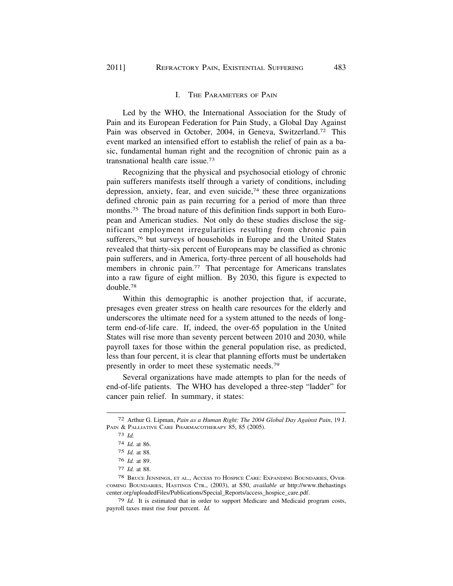# I. THE PARAMETERS OF PAIN

Led by the WHO, the International Association for the Study of Pain and its European Federation for Pain Study, a Global Day Against Pain was observed in October, 2004, in Geneva, Switzerland.<sup>72</sup> This event marked an intensified effort to establish the relief of pain as a basic, fundamental human right and the recognition of chronic pain as a transnational health care [issue.73](https://issue.73)

Recognizing that the physical and psychosocial etiology of chronic pain sufferers manifests itself through a variety of conditions, including depression, anxiety, fear, and even suicide,<sup>74</sup> these three organizations defined chronic pain as pain recurring for a period of more than three [months.75](https://months.75) The broad nature of this definition finds support in both European and American studies. Not only do these studies disclose the significant employment irregularities resulting from chronic pain sufferers,<sup>76</sup> but surveys of households in Europe and the United States revealed that thirty-six percent of Europeans may be classified as chronic pain sufferers, and in America, forty-three percent of all households had members in chronic pain.<sup>77</sup> That percentage for Americans translates into a raw figure of eight million. By 2030, this figure is expected to [double.78](https://double.78) 

Within this demographic is another projection that, if accurate, presages even greater stress on health care resources for the elderly and underscores the ultimate need for a system attuned to the needs of longterm end-of-life care. If, indeed, the over-65 population in the United States will rise more than seventy percent between 2010 and 2030, while payroll taxes for those within the general population rise, as predicted, less than four percent, it is clear that planning efforts must be undertaken presently in order to meet these systematic [needs.79](https://needs.79) 

Several organizations have made attempts to plan for the needs of end-of-life patients. The WHO has developed a three-step "ladder" for cancer pain relief. In summary, it states:

79 *Id.* It is estimated that in order to support Medicare and Medicaid program costs, payroll taxes must rise four percent. *Id.* 

<sup>72</sup> Arthur G. Lipman, *Pain as a Human Right: The 2004 Global Day Against Pain*, 19 J. PAIN & PALLIATIVE CARE PHARMACOTHERAPY 85, 85 (2005).

<sup>73</sup> *Id.* 

<sup>74</sup> *Id.* at 86.

<sup>75</sup> *Id.* at 88.

<sup>76</sup> *Id.* at 89.

<sup>77</sup> *Id.* at 88.

<sup>78</sup> BRUCE JENNINGS, ET AL., ACCESS TO HOSPICE CARE: EXPANDING BOUNDARIES, OVER-COMING BOUNDARIES, HASTINGS CTR., (2003), at S50, *available at* <http://www.thehastings> [center.org/uploadedFiles/Publications/Special\\_Reports/access\\_hospice\\_care.pdf.](https://center.org/uploadedFiles/Publications/Special_Reports/access_hospice_care.pdf)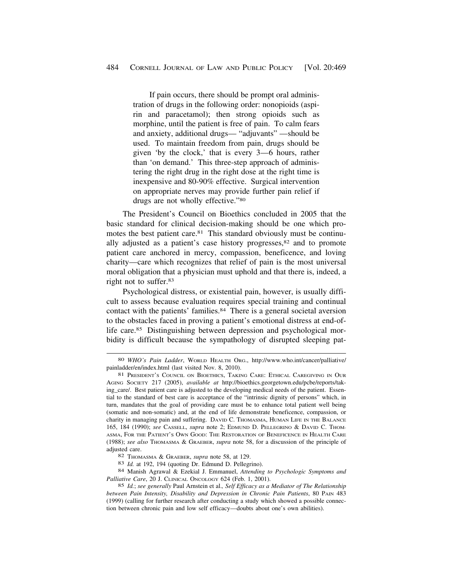If pain occurs, there should be prompt oral administration of drugs in the following order: nonopioids (aspirin and paracetamol); then strong opioids such as morphine, until the patient is free of pain. To calm fears and anxiety, additional drugs— "adjuvants" —should be used. To maintain freedom from pain, drugs should be given 'by the clock,' that is every 3—6 hours, rather than 'on demand.' This three-step approach of administering the right drug in the right dose at the right time is inexpensive and 80-90% effective. Surgical intervention on appropriate nerves may provide further pain relief if drugs are not wholly effective."80

The President's Council on Bioethics concluded in 2005 that the basic standard for clinical decision-making should be one which promotes the best patient care.<sup>81</sup> This standard obviously must be continually adjusted as a patient's case history progresses,<sup>82</sup> and to promote patient care anchored in mercy, compassion, beneficence, and loving charity—care which recognizes that relief of pain is the most universal moral obligation that a physician must uphold and that there is, indeed, a right not to [suffer.83](https://suffer.83)

Psychological distress, or existential pain, however, is usually difficult to assess because evaluation requires special training and continual contact with the patients' [families.84](https://families.84) There is a general societal aversion to the obstacles faced in proving a patient's emotional distress at end-oflife care.<sup>85</sup> Distinguishing between depression and psychological morbidity is difficult because the sympathology of disrupted sleeping pat-

<sup>80</sup> *WHO's Pain Ladder*, WORLD HEALTH ORG., [http://www.who.int/cancer/palliative/](http://www.who.int/cancer/palliative) painladder/en/index.html (last visited Nov. 8, 2010). 81 PRESIDENT'S COUNCIL ON BIOETHICS, TAKING CARE: ETHICAL CAREGIVING IN OUR

AGING SOCIETY 217 (2005), *available at* <http://bioethics.georgetown.edu/pcbe/reports/tak>ing\_care/. Best patient care is adjusted to the developing medical needs of the patient. Essential to the standard of best care is acceptance of the "intrinsic dignity of persons" which, in turn, mandates that the goal of providing care must be to enhance total patient well being (somatic and non-somatic) and, at the end of life demonstrate beneficence, compassion, or charity in managing pain and suffering. DAVID C. THOMASMA, HUMAN LIFE IN THE BALANCE 165, 184 (1990); *see* CASSELL, *supra* note 2; EDMUND D. PELLEGRINO & DAVID C. THOM-ASMA, FOR THE PATIENT'S OWN GOOD: THE RESTORATION OF BENEFICENCE IN HEALTH CARE (1988); *see also* THOMASMA & GRAEBER, *supra* note 58, for a discussion of the principle of adjusted care.<br>
82 THOMASMA & GRAEBER, *supra* note 58, at 129.<br>
83 *Id.* at 192, 194 (quoting Dr. Edmund D. Pellegrino).<br>
84 Manish Agrawal & Ezekial J. Emmanuel, *Attending to Psychologic Symptoms and* 

*Palliative Care*, 20 J. CLINICAL ONCOLOGY 624 (Feb. 1, 2001).

<sup>85</sup> *Id.*; *see generally* Paul Arnstein et al.*, Self Efficacy as a Mediator of The Relationship between Pain Intensity, Disability and Depression in Chronic Pain Patients*, 80 PAIN 483 (1999) (calling for further research after conducting a study which showed a possible connection between chronic pain and low self efficacy—doubts about one's own abilities).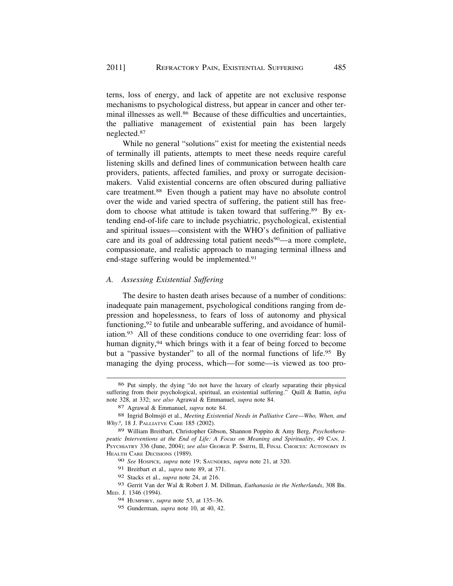terns, loss of energy, and lack of appetite are not exclusive response mechanisms to psychological distress, but appear in cancer and other terminal illnesses as well.<sup>86</sup> Because of these difficulties and uncertainties, the palliative management of existential pain has been largely [neglected.87](https://neglected.87) 

While no general "solutions" exist for meeting the existential needs of terminally ill patients, attempts to meet these needs require careful listening skills and defined lines of communication between health care providers, patients, affected families, and proxy or surrogate decisionmakers. Valid existential concerns are often obscured during palliative care [treatment.88](https://treatment.88) Even though a patient may have no absolute control over the wide and varied spectra of suffering, the patient still has freedom to choose what attitude is taken toward that suffering.<sup>89</sup> By extending end-of-life care to include psychiatric, psychological, existential and spiritual issues—consistent with the WHO's definition of palliative care and its goal of addressing total patient needs<sup>90</sup>—a more complete, compassionate, and realistic approach to managing terminal illness and end-stage suffering would be implemented.<sup>91</sup>

#### *A. Assessing Existential Suffering*

The desire to hasten death arises because of a number of conditions: inadequate pain management, psychological conditions ranging from depression and hopelessness, to fears of loss of autonomy and physical functioning,<sup>92</sup> to futile and unbearable suffering, and avoidance of humil[iation.93](https://iation.93) All of these conditions conduce to one overriding fear: loss of human dignity,<sup>94</sup> which brings with it a fear of being forced to become but a "passive bystander" to all of the normal functions of life.<sup>95</sup> By managing the dying process, which—for some—is viewed as too pro-

<sup>86</sup> Put simply, the dying "do not have the luxury of clearly separating their physical suffering from their psychological, spiritual, an existential suffering." Quill & Battin, *infra*  note 328, at 332; *see also* Agrawal & Emmanuel, *supra* note 84.

<sup>87</sup> Agrawal & Emmanuel, *supra* note 84.

<sup>88</sup> Ingrid Bolmsjö et al., *Meeting Existential Needs in Palliative Care—Who, When, and Why?*, 18 J. PALLIATVE CARE 185 (2002).

<sup>89</sup> William Breitbart, Christopher Gibson, Shannon Poppito & Amy Berg, *Psychotherapeutic Interventions at the End of Life: A Focus on Meaning and Spirituality*, 49 CAN. J. PSYCHIATRY 336 (June, 2004); *see also* GEORGE P. SMITH, II, FINAL CHOICES: AUTONOMY IN HEALTH CARE DECISIONS (1989).

<sup>90</sup> *See* HOSPICE*, supra* note 19; SAUNDERS, *supra* note 21, at 320.

<sup>91</sup> Breitbart et al.*, supra* note 89, at 371.

<sup>92</sup> Stacks et al., *supra* note 24, at 216.

<sup>93</sup> Gerrit Van der Wal & Robert J. M. Dillman, *Euthanasia in the Netherlands*, 308 BR. MED. J. 1346 (1994).

<sup>94</sup> HUMPHRY, *supra* note 53, at 135–36.

<sup>95</sup> Gunderman, *supra* note 10, at 40, 42.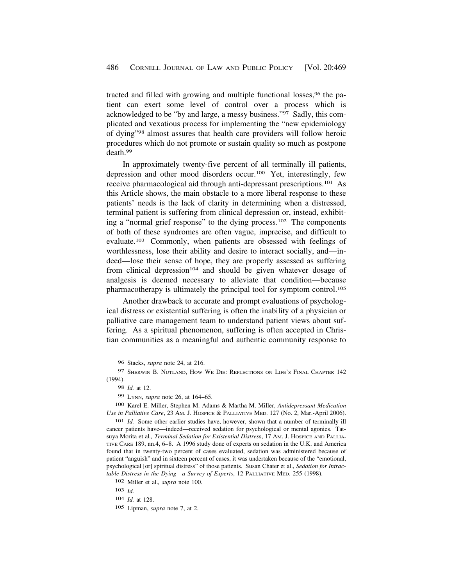tracted and filled with growing and multiple functional losses,96 the patient can exert some level of control over a process which is acknowledged to be "by and large, a messy business."97 Sadly, this complicated and vexatious process for implementing the "new epidemiology of dying"98 almost assures that health care providers will follow heroic procedures which do not promote or sustain quality so much as postpone [death.99](https://death.99) 

In approximately twenty-five percent of all terminally ill patients, depression and other mood disorders occur.100 Yet, interestingly, few receive pharmacological aid through anti-depressant prescriptions.101 As this Article shows, the main obstacle to a more liberal response to these patients' needs is the lack of clarity in determining when a distressed, terminal patient is suffering from clinical depression or, instead, exhibiting a "normal grief response" to the dying process.102 The components of both of these syndromes are often vague, imprecise, and difficult to evaluate.103 Commonly, when patients are obsessed with feelings of worthlessness, lose their ability and desire to interact socially, and—indeed—lose their sense of hope, they are properly assessed as suffering from clinical depression<sup>104</sup> and should be given whatever dosage of analgesis is deemed necessary to alleviate that condition—because pharmacotherapy is ultimately the principal tool for symptom control.105

Another drawback to accurate and prompt evaluations of psychological distress or existential suffering is often the inability of a physician or palliative care management team to understand patient views about suffering. As a spiritual phenomenon, suffering is often accepted in Christian communities as a meaningful and authentic community response to

101 *Id.* Some other earlier studies have, however, shown that a number of terminally ill cancer patients have—indeed—received sedation for psychological or mental agonies. Tatsuya Morita et al*., Terminal Sedation for Existential Distres*s, 17 AM. J. HOSPICE AND PALLIA-TIVE CARE 189, nn.4, 6–8. A 1996 study done of experts on sedation in the U.K. and America found that in twenty-two percent of cases evaluated, sedation was administered because of patient "anguish" and in sixteen percent of cases, it was undertaken because of the "emotional, psychological [or] spiritual distress" of those patients. Susan Chater et al., *Sedation for Intractable Distress in the Dying—a Survey of Experts*, 12 PALLIATIVE MED. 255 (1998).

<sup>96</sup> Stacks, *supra* note 24, at 216.

<sup>97</sup> SHERWIN B. NUTLAND, HOW WE DIE: REFLECTIONS ON LIFE'S FINAL CHAPTER 142 (1994).

<sup>98</sup> *Id.* at 12.

<sup>99</sup> LYNN, *supra* note 26, at 164–65.

<sup>100</sup> Karel E. Miller, Stephen M. Adams & Martha M. Miller, *Antidepressant Medication Use in Palliative Care*, 23 AM. J. HOSPICE & PALLIATIVE MED. 127 (No. 2, Mar.-April 2006).

<sup>102</sup> Miller et al.*, supra* note 100.

<sup>103</sup> *Id.* 

<sup>104</sup> *Id.* at 128.

<sup>105</sup> Lipman, *supra* note 7, at 2.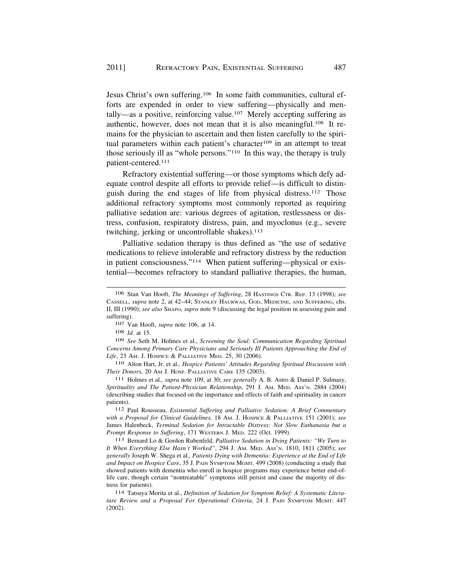Jesus Christ's own suffering.106 In some faith communities, cultural efforts are expended in order to view suffering—physically and mentally—as a positive, reinforcing value.107 Merely accepting suffering as authentic, however, does not mean that it is also meaningful.108 It remains for the physician to ascertain and then listen carefully to the spiritual parameters within each patient's character<sup>109</sup> in an attempt to treat those seriously ill as "whole persons."110 In this way, the therapy is truly patient-centered.111

Refractory existential suffering—or those symptoms which defy adequate control despite all efforts to provide relief—is difficult to distinguish during the end stages of life from physical distress.112 Those additional refractory symptoms most commonly reported as requiring palliative sedation are: various degrees of agitation, restlessness or distress, confusion, respiratory distress, pain, and myoclonus (e.g., severe twitching, jerking or uncontrollable shakes).<sup>113</sup>

Palliative sedation therapy is thus defined as "the use of sedative medications to relieve intolerable and refractory distress by the reduction in patient consciousness."114 When patient suffering—physical or existential—becomes refractory to standard palliative therapies, the human,

107 Van Hooft, *supra* note 106, at 14.

108 *Id.* at 15.

109 *See* Seth M. Holmes et al., *Screening the Soul: Communication Regarding Spiritual Concerns Among Primary Care Physicians and Seriously Ill Patients Approaching the End of Life*, 23 AM. J. HOSPICE & PALLIATIVE MED. 25, 30 (2006).

110 Alton Hart, Jr. et al.*, Hospice Patients' Attitudes Regarding Spiritual Discussion with Their Donors*, 20 AM J. HOSP. PALLIATIVE CARE 135 (2003).

111 Holmes et al.*, supra* note 109, at 30; *see generally* A. B. Astro & Daniel P. Sulmasy, *Spirituality and The Patient-Physician Relationship*, 291 J. AM. MED. ASS'N. 2884 (2004) (describing studies that focused on the importance and effects of faith and spirituality in cancer patients).

112 Paul Rousseau, *Existential Suffering and Palliative Sedation: A Brief Commentary with a Proposal for Clinical Guidelines,* 18 AM. J. HOSPICE & PALLIATIVE 151 (2001); *see*  James Halenbeck, *Terminal Sedation for Intractable Distress: Not Slow Euthanasia but a Prompt Response to Suffering*, 171 WESTERN J. MED. 222 (Oct. 1999).

113 Bernard Lo & Gordon Rubenfeld, *Palliative Sedation in Dying Patients: "We Turn to It When Everything Else Hasn't Worked"*, 294 J. AM. MED. ASS'N. 1810, 1811 (2005); *see generally* Joseph W. Shega et al.*, Patients Dying with Dementia: Experience at the End of Life and Impact on Hospice Care*, 35 J. PAIN SYMPTOM MGMT. 499 (2008) (conducting a study that showed patients with dementia who enroll in hospice programs may experience better end-oflife care, though certain "nontreatable" symptoms still persist and cause the majority of distress for patients).

114 Tatsuya Morita et al., *Definition of Sedation for Symptom Relief: A Systematic Literature Review and a Proposal For Operational Criteria*, 24 J. PAIN SYMPTOM MGMT. 447 (2002).

<sup>106</sup> Stan Van Hooft, *The Meanings of Suffering*, 28 HASTINGS CTR. REP. 13 (1998); *see*  CASSELL, *supra* note 2, at 42–44; STANLEY HAURWAS, GOD, MEDICINE, AND SUFFERING, chs. II, III (1990); *see also* SHAPO, *supra* note 9 (discussing the legal position in assessing pain and suffering).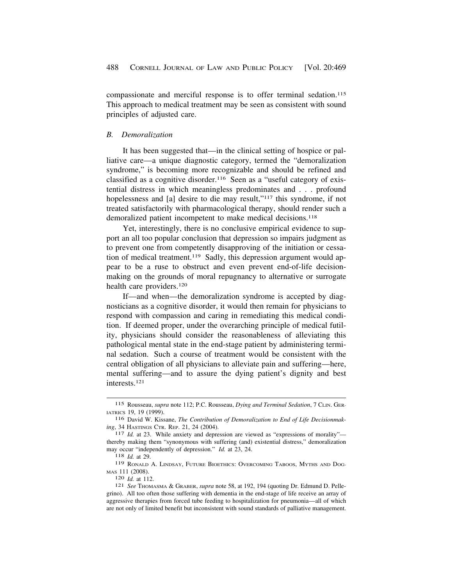<span id="page-19-0"></span>compassionate and merciful response is to offer terminal sedation.<sup>115</sup> This approach to medical treatment may be seen as consistent with sound principles of adjusted care.

#### *B. Demoralization*

It has been suggested that—in the clinical setting of hospice or palliative care—a unique diagnostic category, termed the "demoralization syndrome," is becoming more recognizable and should be refined and classified as a cognitive disorder.116 Seen as a "useful category of existential distress in which meaningless predominates and . . . profound hopelessness and [a] desire to die may result,"<sup>117</sup> this syndrome, if not treated satisfactorily with pharmacological therapy, should render such a demoralized patient incompetent to make medical decisions.<sup>118</sup>

Yet, interestingly, there is no conclusive empirical evidence to support an all too popular conclusion that depression so impairs judgment as to prevent one from competently disapproving of the initiation or cessation of medical treatment.119 Sadly, this depression argument would appear to be a ruse to obstruct and even prevent end-of-life decisionmaking on the grounds of moral repugnancy to alternative or surrogate health care providers.120

If—and when—the demoralization syndrome is accepted by diagnosticians as a cognitive disorder, it would then remain for physicians to respond with compassion and caring in remediating this medical condition. If deemed proper, under the overarching principle of medical futility, physicians should consider the reasonableness of alleviating this pathological mental state in the end-stage patient by administering terminal sedation. Such a course of treatment would be consistent with the central obligation of all physicians to alleviate pain and suffering—here, mental suffering—and to assure the dying patient's dignity and best interests.121

<sup>115</sup> Rousseau, *supra* note 112; P.C. Rousseau, *Dying and Terminal Sedation*, 7 CLIN. GER-IATRICS 19, 19 (1999).

<sup>116</sup> David W. Kissane, *The Contribution of Demoralization to End of Life Decisionmaking*, 34 HASTINGS CTR. REP. 21, 24 (2004). <sup>117</sup> *Id.* at 23. While anxiety and depression are viewed as "expressions of morality"—

thereby making them "synonymous with suffering (and) existential distress," demoralization may occur "independently of depression." *Id.* at 23, 24. 118 *Id.* at 29.

<sup>119</sup> RONALD A. LINDSAY, FUTURE BIOETHICS: OVERCOMING TABOOS, MYTHS AND DOG-MAS 111 (2008).

<sup>120</sup> *Id.* at 112.<br><sup>121</sup> *See* Thomasma & Graber, *supra* note 58, at 192, 194 (quoting Dr. Edmund D. Pellegrino). All too often those suffering with dementia in the end-stage of life receive an array of aggressive therapies from forced tube feeding to hospitalization for pneumonia—all of which are not only of limited benefit but inconsistent with sound standards of palliative management.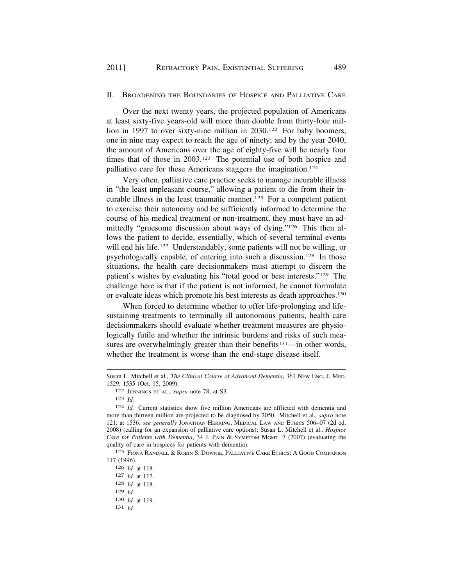#### II. BROADENING THE BOUNDARIES OF HOSPICE AND PALLIATIVE CARE

Over the next twenty years, the projected population of Americans at least sixty-five years-old will more than double from thirty-four million in 1997 to over sixty-nine million in 2030.122 For baby boomers, one in nine may expect to reach the age of ninety; and by the year 2040, the amount of Americans over the age of eighty-five will be nearly four times that of those in 2003.123 The potential use of both hospice and palliative care for these Americans staggers the imagination.124

Very often, palliative care practice seeks to manage incurable illness in "the least unpleasant course," allowing a patient to die from their incurable illness in the least traumatic manner.125 For a competent patient to exercise their autonomy and be sufficiently informed to determine the course of his medical treatment or non-treatment, they must have an admittedly "gruesome discussion about ways of dying."126 This then allows the patient to decide, essentially, which of several terminal events will end his life.<sup>127</sup> Understandably, some patients will not be willing, or psychologically capable, of entering into such a discussion.128 In those situations, the health care decisionmakers must attempt to discern the patient's wishes by evaluating his "total good or best interests."129 The challenge here is that if the patient is not informed, he cannot formulate or evaluate ideas which promote his best interests as death approaches.130

When forced to determine whether to offer life-prolonging and lifesustaining treatments to terminally ill autonomous patients, health care decisionmakers should evaluate whether treatment measures are physiologically futile and whether the intrinsic burdens and risks of such measures are overwhelmingly greater than their benefits $131$ —in other words, whether the treatment is worse than the end-stage disease itself.

Susan L. Mitchell et al.*, The Clinical Course of Advanced Dementia*, 361 NEW ENG. J. MED. 1529, 1535 (Oct. 15, 2009).

<sup>122</sup> JENNINGS ET AL., *supra* note 78, at S3.

<sup>123</sup> *Id.* 

<sup>124</sup> *Id.* Current statistics show five million Americans are afflicted with dementia and more than thirteen million are projected to be diagnosed by 2050. Mitchell et al.*, supra* note 121, at 1536; *see generally* JONATHAN HERRING, MEDICAL LAW AND ETHICS 506–07 (2d ed. 2008) (calling for an expansion of palliative care options); Susan L. Mitchell et al.*, Hospice Care for Patients with Dementia*, 34 J. PAIN & SYMPTOM MGMT. 7 (2007) (evaluating the quality of care in hospices for patients with dementia).

<sup>125</sup> FIONA RANDALL & ROBIN S. DOWNIE, PALLIATIVE CARE ETHICS: A GOOD COMPANION 117 (1996).

<sup>126</sup> *Id.* at 118. 127 *Id.* at 117. 128 *Id.* at 118. 129 *Id.*  130 *Id.* at 119. 131 *Id.*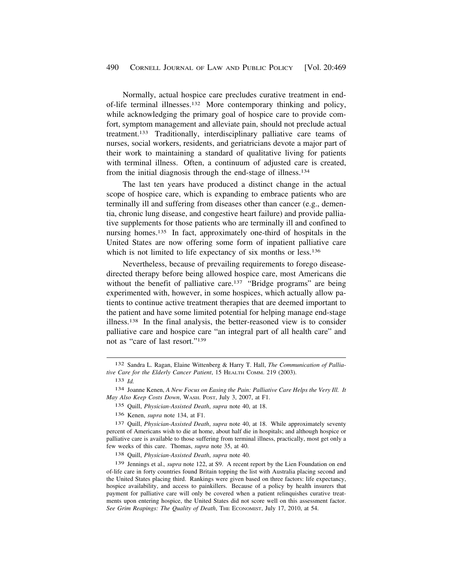Normally, actual hospice care precludes curative treatment in endof-life terminal illnesses.132 More contemporary thinking and policy, while acknowledging the primary goal of hospice care to provide comfort, symptom management and alleviate pain, should not preclude actual treatment.133 Traditionally, interdisciplinary palliative care teams of nurses, social workers, residents, and geriatricians devote a major part of their work to maintaining a standard of qualitative living for patients with terminal illness. Often, a continuum of adjusted care is created, from the initial diagnosis through the end-stage of illness.134

The last ten years have produced a distinct change in the actual scope of hospice care, which is expanding to embrace patients who are terminally ill and suffering from diseases other than cancer (e.g., dementia, chronic lung disease, and congestive heart failure) and provide palliative supplements for those patients who are terminally ill and confined to nursing homes.<sup>135</sup> In fact, approximately one-third of hospitals in the United States are now offering some form of inpatient palliative care which is not limited to life expectancy of six months or less.<sup>136</sup>

Nevertheless, because of prevailing requirements to forego diseasedirected therapy before being allowed hospice care, most Americans die without the benefit of palliative care.<sup>137</sup> "Bridge programs" are being experimented with, however, in some hospices, which actually allow patients to continue active treatment therapies that are deemed important to the patient and have some limited potential for helping manage end-stage illness.138 In the final analysis, the better-reasoned view is to consider palliative care and hospice care "an integral part of all health care" and not as "care of last resort."139

135 Quill, *Physician-Assisted Death*, *supra* note 40, at 18.

136 Kenen, *supra* note 134, at F1.

137 Quill, *Physician-Assisted Death*, *supra* note 40, at 18. While approximately seventy percent of Americans wish to die at home, about half die in hospitals; and although hospice or palliative care is available to those suffering from terminal illness, practically, most get only a few weeks of this care. Thomas, *supra* note 35, at 40.

138 Quill, *Physician-Assisted Death*, *supra* note 40.

139 Jennings et al.*, supra* note 122, at S9. A recent report by the Lien Foundation on end of-life care in forty countries found Britain topping the list with Australia placing second and the United States placing third. Rankings were given based on three factors: life expectancy, hospice availability, and access to painkillers. Because of a policy by health insurers that payment for palliative care will only be covered when a patient relinquishes curative treatments upon entering hospice, the United States did not score well on this assessment factor. See Grim Reapings: The Quality of Death, THE ECONOMIST, July 17, 2010, at 54.

<sup>132</sup> Sandra L. Ragan, Elaine Wittenberg & Harry T. Hall, *The Communication of Palliative Care for the Elderly Cancer Patient*, 15 HEALTH COMM. 219 (2003).

<sup>133</sup> *Id.* 

<sup>134</sup> Joanne Kenen, *A New Focus on Easing the Pain: Palliative Care Helps the Very Ill. It May Also Keep Costs Down*, WASH. POST, July 3, 2007, at F1.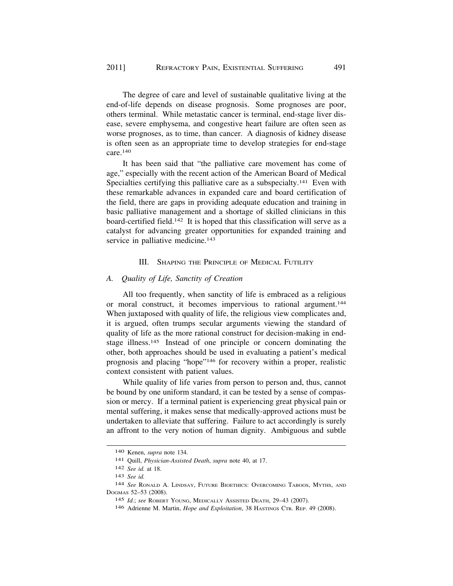The degree of care and level of sustainable qualitative living at the end-of-life depends on disease prognosis. Some prognoses are poor, others terminal. While metastatic cancer is terminal, end-stage liver disease, severe emphysema, and congestive heart failure are often seen as worse prognoses, as to time, than cancer. A diagnosis of kidney disease is often seen as an appropriate time to develop strategies for end-stage care.140

It has been said that "the palliative care movement has come of age," especially with the recent action of the American Board of Medical Specialties certifying this palliative care as a subspecialty.<sup>141</sup> Even with these remarkable advances in expanded care and board certification of the field, there are gaps in providing adequate education and training in basic palliative management and a shortage of skilled clinicians in this board-certified field.142 It is hoped that this classification will serve as a catalyst for advancing greater opportunities for expanded training and service in palliative medicine.<sup>143</sup>

### III. SHAPING THE PRINCIPLE OF MEDICAL FUTILITY

#### *A. Quality of Life, Sanctity of Creation*

All too frequently, when sanctity of life is embraced as a religious or moral construct, it becomes impervious to rational argument.144 When juxtaposed with quality of life, the religious view complicates and, it is argued, often trumps secular arguments viewing the standard of quality of life as the more rational construct for decision-making in endstage illness.<sup>145</sup> Instead of one principle or concern dominating the other, both approaches should be used in evaluating a patient's medical prognosis and placing "hope"146 for recovery within a proper, realistic context consistent with patient values.

While quality of life varies from person to person and, thus, cannot be bound by one uniform standard, it can be tested by a sense of compassion or mercy. If a terminal patient is experiencing great physical pain or mental suffering, it makes sense that medically-approved actions must be undertaken to alleviate that suffering. Failure to act accordingly is surely an affront to the very notion of human dignity. Ambiguous and subtle

<sup>140</sup> Kenen, *supra* note 134.

<sup>141</sup> Quill, *Physician-Assisted Death*, *supra* note 40, at 17.

<sup>142</sup> *See id.* at 18.

<sup>143</sup> *See id.* 

<sup>144</sup> *See* RONALD A. LINDSAY, FUTURE BIOETHICS: OVERCOMING TABOOS, MYTHS, AND DOGMAS 52–53 (2008).

<sup>145</sup> *Id.*; *see* ROBERT YOUNG, MEDICALLY ASSISTED DEATH, 29–43 (2007).

<sup>146</sup> Adrienne M. Martin, *Hope and Exploitation*, 38 HASTINGS CTR. REP. 49 (2008).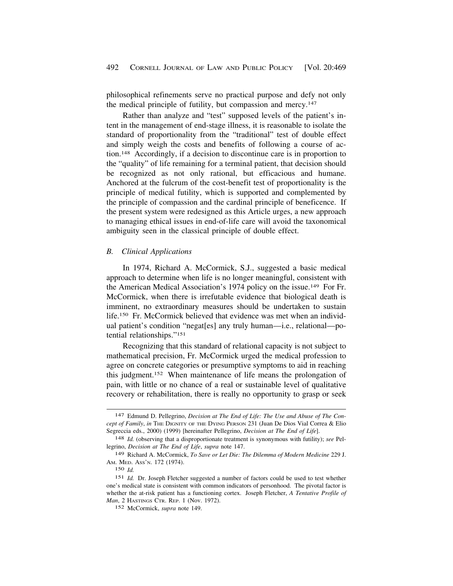<span id="page-23-0"></span>philosophical refinements serve no practical purpose and defy not only the medical principle of futility, but compassion and mercy.147

Rather than analyze and "test" supposed levels of the patient's intent in the management of end-stage illness, it is reasonable to isolate the standard of proportionality from the "traditional" test of double effect and simply weigh the costs and benefits of following a course of action.148 Accordingly, if a decision to discontinue care is in proportion to the "quality" of life remaining for a terminal patient, that decision should be recognized as not only rational, but efficacious and humane. Anchored at the fulcrum of the cost-benefit test of proportionality is the principle of medical futility, which is supported and complemented by the principle of compassion and the cardinal principle of beneficence. If the present system were redesigned as this Article urges, a new approach to managing ethical issues in end-of-life care will avoid the taxonomical ambiguity seen in the classical principle of double effect.

# *B. Clinical Applications*

In 1974, Richard A. McCormick, S.J., suggested a basic medical approach to determine when life is no longer meaningful, consistent with the American Medical Association's 1974 policy on the issue.<sup>149</sup> For Fr. McCormick, when there is irrefutable evidence that biological death is imminent, no extraordinary measures should be undertaken to sustain life.150 Fr. McCormick believed that evidence was met when an individual patient's condition "negat[es] any truly human—i.e., relational—potential relationships."151

Recognizing that this standard of relational capacity is not subject to mathematical precision, Fr. McCormick urged the medical profession to agree on concrete categories or presumptive symptoms to aid in reaching this judgment.152 When maintenance of life means the prolongation of pain, with little or no chance of a real or sustainable level of qualitative recovery or rehabilitation, there is really no opportunity to grasp or seek

<sup>147</sup> Edmund D. Pellegrino, *Decision at The End of Life: The Use and Abuse of The Concept of Family*, *in* THE DIGNITY OF THE DYING PERSON 231 (Juan De Dios Vial Correa & Elio Segreccia eds., 2000) (1999) [hereinafter Pellegrino, *Decision at The End of Life*].

<sup>148</sup> *Id.* (observing that a disproportionate treatment is synonymous with futility); *see* Pellegrino, *Decision at The End of Life*, *supra* note 147.

<sup>149</sup> Richard A. McCormick, *To Save or Let Die: The Dilemma of Modern Medicine* 229 J. AM. MED. ASS'N. 172 (1974).

<sup>150</sup> *Id.* 

<sup>151</sup> *Id.* Dr. Joseph Fletcher suggested a number of factors could be used to test whether one's medical state is consistent with common indicators of personhood. The pivotal factor is whether the at-risk patient has a functioning cortex. Joseph Fletcher, *A Tentative Profile of Man*, 2 HASTINGS CTR. REP. 1 (Nov. 1972).

<sup>152</sup> McCormick, *supra* note 149.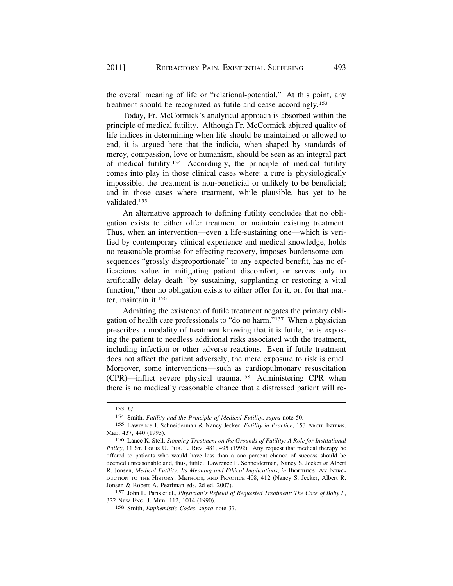the overall meaning of life or "relational-potential." At this point, any treatment should be recognized as futile and cease accordingly.153

Today, Fr. McCormick's analytical approach is absorbed within the principle of medical futility. Although Fr. McCormick abjured quality of life indices in determining when life should be maintained or allowed to end, it is argued here that the indicia, when shaped by standards of mercy, compassion, love or humanism, should be seen as an integral part of medical futility.154 Accordingly, the principle of medical futility comes into play in those clinical cases where: a cure is physiologically impossible; the treatment is non-beneficial or unlikely to be beneficial; and in those cases where treatment, while plausible, has yet to be validated.155

An alternative approach to defining futility concludes that no obligation exists to either offer treatment or maintain existing treatment. Thus, when an intervention—even a life-sustaining one—which is verified by contemporary clinical experience and medical knowledge, holds no reasonable promise for effecting recovery, imposes burdensome consequences "grossly disproportionate" to any expected benefit, has no efficacious value in mitigating patient discomfort, or serves only to artificially delay death "by sustaining, supplanting or restoring a vital function," then no obligation exists to either offer for it, or, for that matter, maintain it.156

Admitting the existence of futile treatment negates the primary obligation of health care professionals to "do no harm."157 When a physician prescribes a modality of treatment knowing that it is futile, he is exposing the patient to needless additional risks associated with the treatment, including infection or other adverse reactions. Even if futile treatment does not affect the patient adversely, the mere exposure to risk is cruel. Moreover, some interventions—such as cardiopulmonary resuscitation (CPR)—inflict severe physical trauma.158 Administering CPR when there is no medically reasonable chance that a distressed patient will re-

<sup>153</sup> *Id.* 

<sup>154</sup> Smith, *Futility and the Principle of Medical Futility*, *supra* note 50.

<sup>155</sup> Lawrence J. Schneiderman & Nancy Jecker, *Futility in Practice*, 153 ARCH. INTERN. MED. 437, 440 (1993).

<sup>156</sup> Lance K. Stell, *Stopping Treatment on the Grounds of Futility: A Role for Institutional Policy*, 11 ST. LOUIS U. PUB. L. REV. 481, 495 (1992). Any request that medical therapy be offered to patients who would have less than a one percent chance of success should be deemed unreasonable and, thus, futile. Lawrence F. Schneiderman, Nancy S. Jecker & Albert R. Jonsen, *Medical Futility: Its Meaning and Ethical Implications*, *in BIOETHICS: AN INTRO-*DUCTION TO THE HISTORY, METHODS, AND PRACTICE 408, 412 (Nancy S. Jecker, Albert R. Jonsen & Robert A. Pearlman eds. 2d ed. 2007).

<sup>157</sup> John L. Paris et al.*, Physician's Refusal of Requested Treatment: The Case of Baby L*, 322 NEW ENG. J. MED. 112, 1014 (1990).

<sup>158</sup> Smith, *Euphemistic Codes*, *supra* note 37.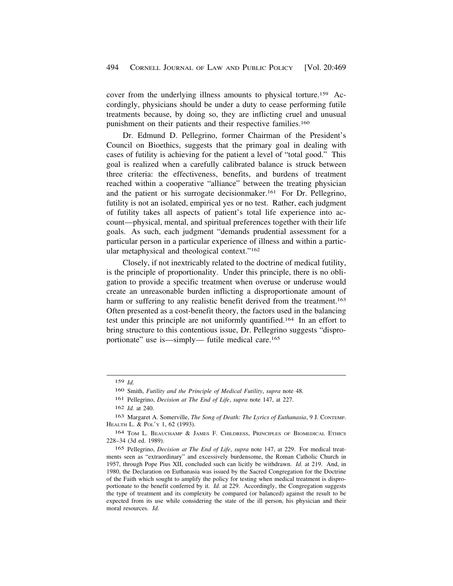cover from the underlying illness amounts to physical torture.159 Accordingly, physicians should be under a duty to cease performing futile treatments because, by doing so, they are inflicting cruel and unusual punishment on their patients and their respective families.<sup>160</sup>

Dr. Edmund D. Pellegrino, former Chairman of the President's Council on Bioethics, suggests that the primary goal in dealing with cases of futility is achieving for the patient a level of "total good." This goal is realized when a carefully calibrated balance is struck between three criteria: the effectiveness, benefits, and burdens of treatment reached within a cooperative "alliance" between the treating physician and the patient or his surrogate decisionmaker.161 For Dr. Pellegrino, futility is not an isolated, empirical yes or no test. Rather, each judgment of futility takes all aspects of patient's total life experience into account—physical, mental, and spiritual preferences together with their life goals. As such, each judgment "demands prudential assessment for a particular person in a particular experience of illness and within a particular metaphysical and theological context."162

Closely, if not inextricably related to the doctrine of medical futility, is the principle of proportionality. Under this principle, there is no obligation to provide a specific treatment when overuse or underuse would create an unreasonable burden inflicting a disproportionate amount of harm or suffering to any realistic benefit derived from the treatment.<sup>163</sup> Often presented as a cost-benefit theory, the factors used in the balancing test under this principle are not uniformly quantified.164 In an effort to bring structure to this contentious issue, Dr. Pellegrino suggests "disproportionate" use is—simply— futile medical care.165

<sup>159</sup> *Id.* 

<sup>160</sup> Smith, *Futility and the Principle of Medical Futility*, *supra* note 48.

<sup>161</sup> Pellegrino, *Decision at The End of Life*, *supra* note 147, at 227.

<sup>162</sup> *Id.* at 240.

<sup>163</sup> Margaret A. Somerville, *The Song of Death: The Lyrics of Euthanasia*, 9 J. CONTEMP. HEALTH L. & POL'Y 1, 62 (1993).

<sup>164</sup> TOM L. BEAUCHAMP & JAMES F. CHILDRESS, PRINCIPLES OF BIOMEDICAL ETHICS 228–34 (3d ed. 1989).

<sup>165</sup> Pellegrino, *Decision at The End of Life*, *supra* note 147, at 229. For medical treatments seen as "extraordinary" and excessively burdensome, the Roman Catholic Church in 1957, through Pope Pius XII, concluded such can licitly be withdrawn. *Id.* at 219. And, in 1980, the Declaration on Euthanasia was issued by the Sacred Congregation for the Doctrine of the Faith which sought to amplify the policy for testing when medical treatment is disproportionate to the benefit conferred by it. *Id.* at 229. Accordingly, the Congregation suggests the type of treatment and its complexity be compared (or balanced) against the result to be expected from its use while considering the state of the ill person, his physician and their moral resources. *Id.*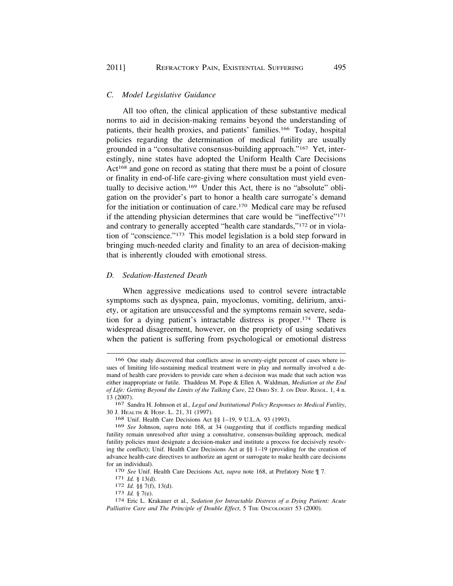# *C. Model Legislative Guidance*

All too often, the clinical application of these substantive medical norms to aid in decision-making remains beyond the understanding of patients, their health proxies, and patients' families.166 Today, hospital policies regarding the determination of medical futility are usually grounded in a "consultative consensus-building approach."167 Yet, interestingly, nine states have adopted the Uniform Health Care Decisions Act<sup>168</sup> and gone on record as stating that there must be a point of closure or finality in end-of-life care-giving where consultation must yield eventually to decisive action.<sup>169</sup> Under this Act, there is no "absolute" obligation on the provider's part to honor a health care surrogate's demand for the initiation or continuation of care.170 Medical care may be refused if the attending physician determines that care would be "ineffective"171 and contrary to generally accepted "health care standards,"172 or in violation of "conscience."173 This model legislation is a bold step forward in bringing much-needed clarity and finality to an area of decision-making that is inherently clouded with emotional stress.

# *D. Sedation-Hastened Death*

When aggressive medications used to control severe intractable symptoms such as dyspnea, pain, myoclonus, vomiting, delirium, anxiety, or agitation are unsuccessful and the symptoms remain severe, sedation for a dying patient's intractable distress is proper.174 There is widespread disagreement, however, on the propriety of using sedatives when the patient is suffering from psychological or emotional distress

<sup>166</sup> One study discovered that conflicts arose in seventy-eight percent of cases where issues of limiting life-sustaining medical treatment were in play and normally involved a demand of health care providers to provide care when a decision was made that such action was either inappropriate or futile. Thaddeus M. Pope & Ellen A. Waldman, *Mediation at the End of Life: Getting Beyond the Limits of the Talking Cure*, 22 OHIO ST. J. ON DISP. RESOL. 1, 4 n. 13 (2007).

<sup>167</sup> Sandra H. Johnson et al.*, Legal and Institutional Policy Responses to Medical Futility*, 30 J. HEALTH & HOSP. L. 21, 31 (1997).

<sup>168</sup> Unif. Health Care Decisions Act §§ 1–19, 9 U.L.A. 93 (1993).

<sup>169</sup> *See* Johnson, *supra* note 168, at 34 (suggesting that if conflicts regarding medical futility remain unresolved after using a consultative, consensus-building approach, medical futility policies must designate a decision-maker and institute a process for decisively resolving the conflict); Unif. Health Care Decisions Act at §§ 1–19 (providing for the creation of advance health-care directives to authorize an agent or surrogate to make health care decisions for an individual).<br>
<sup>170</sup> *See* Unif. Health Care Decisions Act, *supra* note 168, at Prefatory Note  $\P$  7.<br>
<sup>171</sup> *Id.* § 13(d).<br>
<sup>172</sup> *Id.* § 7(f), 13(d).<br>
<sup>173</sup> *Id.* § 7(e).<br>
<sup>173</sup> *Id.* § 7(e).<br>
<sup>174</sup> Eric L. Kraka

Palliative Care and The Principle of Double Effect, 5 THE ONCOLOGIST 53 (2000).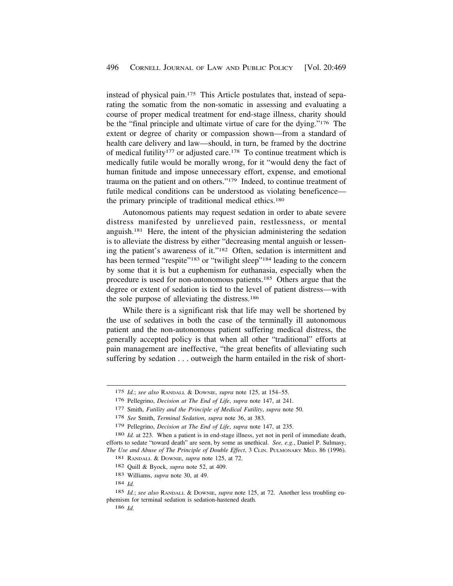instead of physical pain.175 This Article postulates that, instead of separating the somatic from the non-somatic in assessing and evaluating a course of proper medical treatment for end-stage illness, charity should be the "final principle and ultimate virtue of care for the dying."176 The extent or degree of charity or compassion shown—from a standard of health care delivery and law—should, in turn, be framed by the doctrine of medical futility<sup>177</sup> or adjusted care.<sup>178</sup> To continue treatment which is medically futile would be morally wrong, for it "would deny the fact of human finitude and impose unnecessary effort, expense, and emotional trauma on the patient and on others."179 Indeed, to continue treatment of futile medical conditions can be understood as violating beneficence the primary principle of traditional medical ethics.<sup>180</sup>

Autonomous patients may request sedation in order to abate severe distress manifested by unrelieved pain, restlessness, or mental anguish.181 Here, the intent of the physician administering the sedation is to alleviate the distress by either "decreasing mental anguish or lessening the patient's awareness of it."182 Often, sedation is intermittent and has been termed "respite"<sup>183</sup> or "twilight sleep"<sup>184</sup> leading to the concern by some that it is but a euphemism for euthanasia, especially when the procedure is used for non-autonomous patients.185 Others argue that the degree or extent of sedation is tied to the level of patient distress—with the sole purpose of alleviating the distress.186

While there is a significant risk that life may well be shortened by the use of sedatives in both the case of the terminally ill autonomous patient and the non-autonomous patient suffering medical distress, the generally accepted policy is that when all other "traditional" efforts at pain management are ineffective, "the great benefits of alleviating such suffering by sedation . . . outweigh the harm entailed in the risk of short-

<sup>175</sup> *Id.*; *see also* RANDALL & DOWNIE, *supra* note 125, at 154–55.

<sup>176</sup> Pellegrino, *Decision at The End of Life*, *supra* note 147, at 241.

<sup>177</sup> Smith, *Futility and the Principle of Medical Futility*, *supra* note 50.

<sup>178</sup> *See* Smith, *Terminal Sedation*, *supra* note 36, at 383.

<sup>179</sup> Pellegrino, *Decision at The End of Life*, *supra* note 147, at 235.

<sup>180</sup> *Id.* at 223. When a patient is in end-stage illness, yet not in peril of immediate death, efforts to sedate "toward death" are seen, by some as unethical. *See, e.g.*, Daniel P. Sulmasy, *The Use and Abuse of The Principle of Double Effect*, 3 CLIN. PULMONARY MED. 86 (1996).

<sup>181</sup> RANDALL & DOWNIE, *supra* note 125, at 72.

<sup>182</sup> Quill & Byock, *supra* note 52, at 409.

<sup>183</sup> Williams, *supra* note 30, at 49.

<sup>184</sup> *Id.* 

<sup>185</sup> *Id.*; *see also* RANDALL & DOWNIE, *supra* note 125, at 72. Another less troubling euphemism for terminal sedation is sedation-hastened death.

<sup>186</sup> *Id.*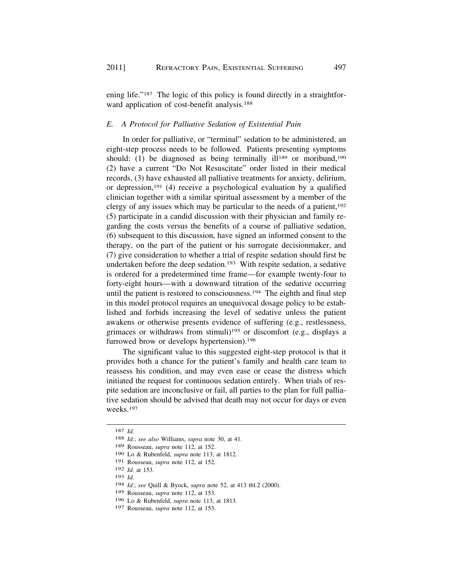ening life."<sup>187</sup> The logic of this policy is found directly in a straightforward application of cost-benefit analysis.<sup>188</sup>

# *E. A Protocol for Palliative Sedation of Existential Pain*

In order for palliative, or "terminal" sedation to be administered, an eight-step process needs to be followed. Patients presenting symptoms should: (1) be diagnosed as being terminally  $i11^{189}$  or moribund,<sup>190</sup> (2) have a current "Do Not Resuscitate" order listed in their medical records, (3) have exhausted all palliative treatments for anxiety, delirium, or depression,<sup>191</sup> (4) receive a psychological evaluation by a qualified clinician together with a similar spiritual assessment by a member of the clergy of any issues which may be particular to the needs of a patient,<sup>192</sup> (5) participate in a candid discussion with their physician and family regarding the costs versus the benefits of a course of palliative sedation, (6) subsequent to this discussion, have signed an informed consent to the therapy, on the part of the patient or his surrogate decisionmaker, and (7) give consideration to whether a trial of respite sedation should first be undertaken before the deep sedation.<sup>193</sup> With respite sedation, a sedative is ordered for a predetermined time frame—for example twenty-four to forty-eight hours—with a downward titration of the sedative occurring until the patient is restored to consciousness.<sup>194</sup> The eighth and final step in this model protocol requires an unequivocal dosage policy to be established and forbids increasing the level of sedative unless the patient awakens or otherwise presents evidence of suffering (e.g., restlessness, grimaces or withdraws from stimuli)195 or discomfort (e.g., displays a furrowed brow or develops hypertension).<sup>196</sup>

The significant value to this suggested eight-step protocol is that it provides both a chance for the patient's family and health care team to reassess his condition, and may even ease or cease the distress which initiated the request for continuous sedation entirely. When trials of respite sedation are inconclusive or fail, all parties to the plan for full palliative sedation should be advised that death may not occur for days or even weeks.197

<sup>187</sup>*Id.* 188 *Id.*; *see also* Williams, *supra* note 30, at 41.

<sup>189</sup> Rousseau, *supra* note 112, at 152.

<sup>190</sup> Lo & Rubenfeld, *supra* note 113, at 1812.

<sup>191</sup> Rousseau, *supra* note 112, at 152.

<sup>192</sup> *Id.* at 153.

<sup>193</sup> *Id.* 

<sup>194</sup> *Id.*; *see* Quill & Byock, *supra* note 52, at 413 tbl.2 (2000).

<sup>195</sup> Rousseau, *supra* note 112, at 153.

<sup>196</sup> Lo & Rubenfeld, *supra* note 113, at 1813.

<sup>197</sup> Rousseau, *supra* note 112, at 153.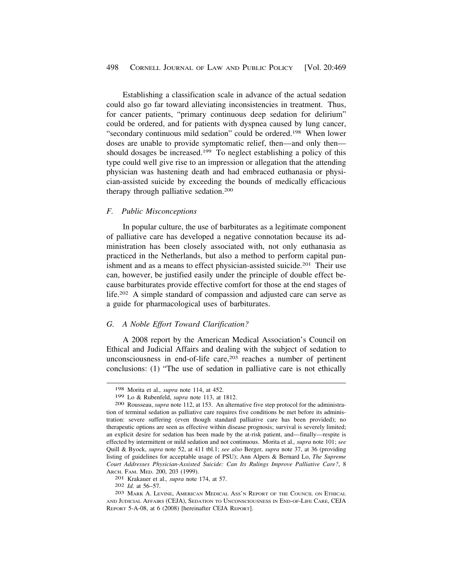<span id="page-29-0"></span>Establishing a classification scale in advance of the actual sedation could also go far toward alleviating inconsistencies in treatment. Thus, for cancer patients, "primary continuous deep sedation for delirium" could be ordered, and for patients with dyspnea caused by lung cancer, "secondary continuous mild sedation" could be ordered.198 When lower doses are unable to provide symptomatic relief, then—and only then should dosages be increased.199 To neglect establishing a policy of this type could well give rise to an impression or allegation that the attending physician was hastening death and had embraced euthanasia or physician-assisted suicide by exceeding the bounds of medically efficacious therapy through palliative sedation.200

#### *F. Public Misconceptions*

In popular culture, the use of barbiturates as a legitimate component of palliative care has developed a negative connotation because its administration has been closely associated with, not only euthanasia as practiced in the Netherlands, but also a method to perform capital punishment and as a means to effect physician-assisted suicide.<sup>201</sup> Their use can, however, be justified easily under the principle of double effect because barbiturates provide effective comfort for those at the end stages of life.202 A simple standard of compassion and adjusted care can serve as a guide for pharmacological uses of barbiturates.

# *G. A Noble Effort Toward Clarification?*

A 2008 report by the American Medical Association's Council on Ethical and Judicial Affairs and dealing with the subject of sedation to unconsciousness in end-of-life care, $203$  reaches a number of pertinent conclusions: (1) "The use of sedation in palliative care is not ethically

<sup>198</sup> Morita et al.*, supra* note 114, at 452.

<sup>199</sup> Lo & Rubenfeld, *supra* note 113, at 1812. 200 Rousseau, *supra* note 112, at 153. An alternative five step protocol for the administration of terminal sedation as palliative care requires five conditions be met before its administration: severe suffering (even though standard palliative care has been provided); no therapeutic options are seen as effective within disease prognosis; survival is severely limited; an explicit desire for sedation has been made by the at-risk patient, and—finally—respite is effected by intermittent or mild sedation and not continuous. Morita et al.*, supra* note 101; *see*  Quill & Byock, *supra* note 52, at 411 tbl.1; *see also* Berger, *supra* note 37, at 36 (providing listing of guidelines for acceptable usage of PSU); Ann Alpers & Bernard Lo, *The Supreme Court Addresses Physician-Assisted Suicide: Can Its Rulings Improve Palliative Care?*, 8 ARCH. FAM. MED. 200, 203 (1999).<br>
<sup>201</sup> Krakauer et al., *supra* note 174, at 57.<br>
<sup>202</sup> *Id.* at 56–57.<br>
<sup>203</sup> MARK A. LEVINE, AMERICAN MEDICAL Ass'N REPORT OF THE COUNCIL ON ETHICAL

AND JUDICIAL AFFAIRS (CEJA), SEDATION TO UNCONSCIOUSNESS IN END-OF-LIFE CARE, CEJA REPORT 5-A-08, at 6 (2008) [hereinafter CEJA REPORT].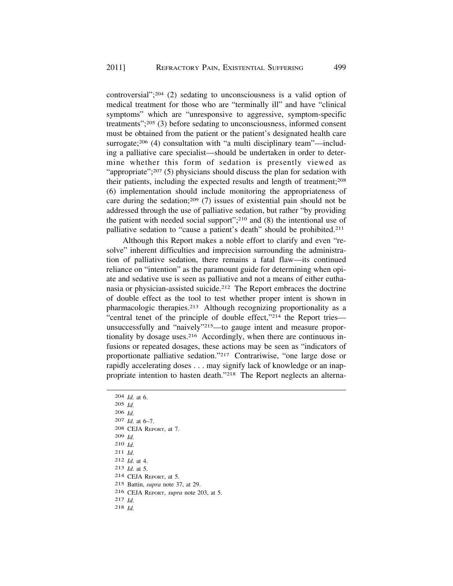controversial";204 (2) sedating to unconsciousness is a valid option of medical treatment for those who are "terminally ill" and have "clinical symptoms" which are "unresponsive to aggressive, symptom-specific treatments";205 (3) before sedating to unconsciousness, informed consent must be obtained from the patient or the patient's designated health care surrogate;<sup>206</sup> (4) consultation with "a multi disciplinary team"—including a palliative care specialist—should be undertaken in order to determine whether this form of sedation is presently viewed as "appropriate";<sup>207</sup> (5) physicians should discuss the plan for sedation with their patients, including the expected results and length of treatment;208 (6) implementation should include monitoring the appropriateness of care during the sedation;209 (7) issues of existential pain should not be addressed through the use of palliative sedation, but rather "by providing the patient with needed social support";210 and (8) the intentional use of palliative sedation to "cause a patient's death" should be prohibited.211

Although this Report makes a noble effort to clarify and even "resolve" inherent difficulties and imprecision surrounding the administration of palliative sedation, there remains a fatal flaw—its continued reliance on "intention" as the paramount guide for determining when opiate and sedative use is seen as palliative and not a means of either euthanasia or physician-assisted suicide.<sup>212</sup> The Report embraces the doctrine of double effect as the tool to test whether proper intent is shown in pharmacologic therapies.213 Although recognizing proportionality as a "central tenet of the principle of double effect,"214 the Report tries unsuccessfully and "naively"215—to gauge intent and measure proportionality by dosage uses.<sup>216</sup> Accordingly, when there are continuous infusions or repeated dosages, these actions may be seen as "indicators of proportionate palliative sedation."217 Contrariwise, "one large dose or rapidly accelerating doses . . . may signify lack of knowledge or an inappropriate intention to hasten death."218 The Report neglects an alterna-

204 *Id.* at 6. 205 *Id.*  206 *Id.*  207 *Id.* at 6–7. 208 CEJA REPORT, at 7. 209 *Id.*  210 *Id.*  211 *Id.*  212 *Id.* at 4. 213 *Id.* at 5. 214 CEJA REPORT, at 5. 215 Battin, *supra* note 37, at 29. 216 CEJA REPORT, *supra* note 203, at 5. 217 *Id.*  218 *Id.*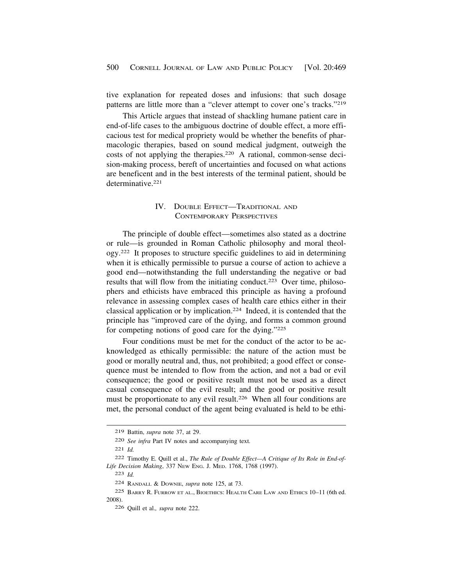<span id="page-31-0"></span>tive explanation for repeated doses and infusions: that such dosage patterns are little more than a "clever attempt to cover one's tracks."219

This Article argues that instead of shackling humane patient care in end-of-life cases to the ambiguous doctrine of double effect, a more efficacious test for medical propriety would be whether the benefits of pharmacologic therapies, based on sound medical judgment, outweigh the costs of not applying the therapies.220 A rational, common-sense decision-making process, bereft of uncertainties and focused on what actions are beneficent and in the best interests of the terminal patient, should be determinative.<sup>221</sup>

# IV. DOUBLE EFFECT—TRADITIONAL AND CONTEMPORARY PERSPECTIVES

The principle of double effect—sometimes also stated as a doctrine or rule—is grounded in Roman Catholic philosophy and moral theology.222 It proposes to structure specific guidelines to aid in determining when it is ethically permissible to pursue a course of action to achieve a good end—notwithstanding the full understanding the negative or bad results that will flow from the initiating conduct.<sup>223</sup> Over time, philosophers and ethicists have embraced this principle as having a profound relevance in assessing complex cases of health care ethics either in their classical application or by implication.224 Indeed, it is contended that the principle has "improved care of the dying, and forms a common ground for competing notions of good care for the dying."225

Four conditions must be met for the conduct of the actor to be acknowledged as ethically permissible: the nature of the action must be good or morally neutral and, thus, not prohibited; a good effect or consequence must be intended to flow from the action, and not a bad or evil consequence; the good or positive result must not be used as a direct casual consequence of the evil result; and the good or positive result must be proportionate to any evil result.<sup>226</sup> When all four conditions are met, the personal conduct of the agent being evaluated is held to be ethi-

<sup>219</sup> Battin, *supra* note 37, at 29.

<sup>220</sup> *See infra* Part IV notes and accompanying text.

<sup>221</sup> *Id.* 

<sup>222</sup> Timothy E. Quill et al., *The Rule of Double Effect—A Critique of Its Role in End-of-Life Decision Making*, 337 NEW ENG. J. MED. 1768, 1768 (1997).

<sup>223</sup> *Id.* 

<sup>224</sup> RANDALL & DOWNIE, *supra* note 125, at 73.

<sup>225</sup> BARRY R. FURROW ET AL., BIOETHICS: HEALTH CARE LAW AND ETHICS 10–11 (6th ed. 2008).

<sup>226</sup> Quill et al.*, supra* note 222.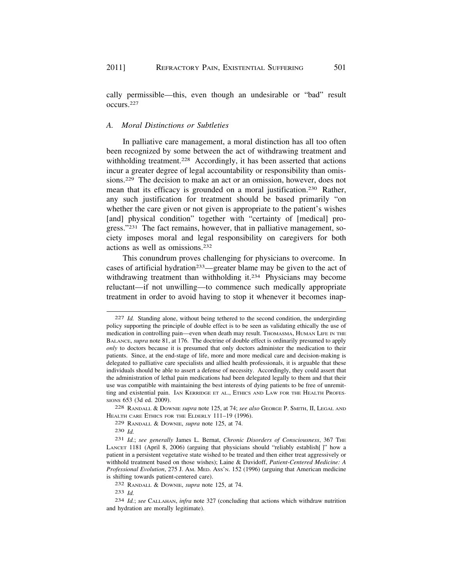cally permissible—this, even though an undesirable or "bad" result occurs.227

## *A. Moral Distinctions or Subtleties*

In palliative care management, a moral distinction has all too often been recognized by some between the act of withdrawing treatment and withholding treatment.<sup>228</sup> Accordingly, it has been asserted that actions incur a greater degree of legal accountability or responsibility than omissions.229 The decision to make an act or an omission, however, does not mean that its efficacy is grounded on a moral justification.230 Rather, any such justification for treatment should be based primarily "on whether the care given or not given is appropriate to the patient's wishes [and] physical condition" together with "certainty of [medical] progress."231 The fact remains, however, that in palliative management, society imposes moral and legal responsibility on caregivers for both actions as well as omissions.232

This conundrum proves challenging for physicians to overcome. In cases of artificial hydration<sup>233</sup>—greater blame may be given to the act of withdrawing treatment than withholding it.<sup>234</sup> Physicians may become reluctant—if not unwilling—to commence such medically appropriate treatment in order to avoid having to stop it whenever it becomes inap-

<sup>227</sup> *Id.* Standing alone, without being tethered to the second condition, the undergirding policy supporting the principle of double effect is to be seen as validating ethically the use of medication in controlling pain—even when death may result. THOMASMA, HUMAN LIFE IN THE BALANCE, *supra* note 81, at 176. The doctrine of double effect is ordinarily presumed to apply *only* to doctors because it is presumed that only doctors administer the medication to their patients. Since, at the end-stage of life, more and more medical care and decision-making is delegated to palliative care specialists and allied health professionals, it is arguable that these individuals should be able to assert a defense of necessity. Accordingly, they could assert that the administration of lethal pain medications had been delegated legally to them and that their use was compatible with maintaining the best interests of dying patients to be free of unremitting and existential pain. IAN KERRIDGE ET AL., ETHICS AND LAW FOR THE HEALTH PROFES-SIONS 653 (3d ed. 2009).

<sup>228</sup> RANDALL & DOWNIE *supra* note 125, at 74; *see also* GEORGE P. SMITH, II, LEGAL AND HEALTH CARE ETHICS FOR THE ELDERLY 111–19 (1996).

<sup>229</sup> RANDALL & DOWNIE, *supra* note 125, at 74.

<sup>230</sup> *Id.* 

<sup>231</sup> *Id.*; *see generally* James L. Bernat, *Chronic Disorders of Consciousness*, 367 THE LANCET 1181 (April 8, 2006) (arguing that physicians should "reliably establish[ ]" how a patient in a persistent vegetative state wished to be treated and then either treat aggressively or withhold treatment based on those wishes); Laine & Davidoff, *Patient-Centered Medicine: A Professional Evolution*, 275 J. AM. MED. ASS'N. 152 (1996) (arguing that American medicine is shifting towards patient-centered care).

<sup>232</sup> RANDALL & DOWNIE, *supra* note 125, at 74.

<sup>233</sup> *Id.* 

<sup>234</sup> *Id.*; *see* CALLAHAN, *infra* note 327 (concluding that actions which withdraw nutrition and hydration are morally legitimate).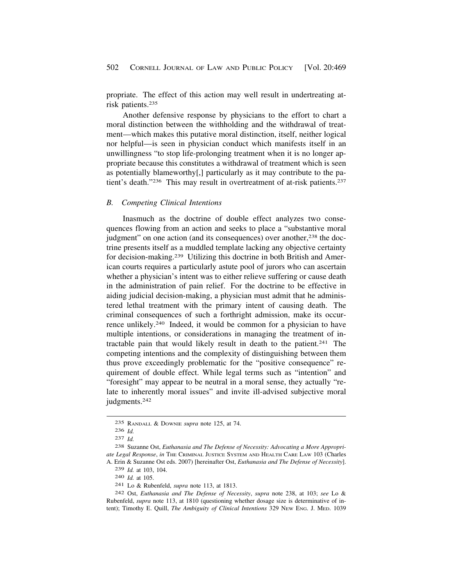<span id="page-33-0"></span>propriate. The effect of this action may well result in undertreating atrisk patients.235

Another defensive response by physicians to the effort to chart a moral distinction between the withholding and the withdrawal of treatment—which makes this putative moral distinction, itself, neither logical nor helpful—is seen in physician conduct which manifests itself in an unwillingness "to stop life-prolonging treatment when it is no longer appropriate because this constitutes a withdrawal of treatment which is seen as potentially blameworthy[,] particularly as it may contribute to the patient's death."<sup>236</sup> This may result in overtreatment of at-risk patients.<sup>237</sup>

#### *B. Competing Clinical Intentions*

Inasmuch as the doctrine of double effect analyzes two consequences flowing from an action and seeks to place a "substantive moral judgment" on one action (and its consequences) over another,<sup>238</sup> the doctrine presents itself as a muddled template lacking any objective certainty for decision-making.239 Utilizing this doctrine in both British and American courts requires a particularly astute pool of jurors who can ascertain whether a physician's intent was to either relieve suffering or cause death in the administration of pain relief. For the doctrine to be effective in aiding judicial decision-making, a physician must admit that he administered lethal treatment with the primary intent of causing death. The criminal consequences of such a forthright admission, make its occurrence unlikely.240 Indeed, it would be common for a physician to have multiple intentions, or considerations in managing the treatment of intractable pain that would likely result in death to the patient.241 The competing intentions and the complexity of distinguishing between them thus prove exceedingly problematic for the "positive consequence" requirement of double effect. While legal terms such as "intention" and "foresight" may appear to be neutral in a moral sense, they actually "relate to inherently moral issues" and invite ill-advised subjective moral judgments.242

<sup>235</sup> RANDALL & DOWNIE *supra* note 125, at 74.

<sup>236</sup> *Id.* 

<sup>237</sup> *Id.* 

<sup>238</sup> Suzanne Ost, *Euthanasia and The Defense of Necessity: Advocating a More Appropriate Legal Response*, *in* THE CRIMINAL JUSTICE SYSTEM AND HEALTH CARE LAW 103 (Charles A. Erin & Suzanne Ost eds. 2007) [hereinafter Ost, *Euthanasia and The Defense of Necessity*].

<sup>239</sup> *Id.* at 103, 104.

<sup>240</sup> *Id.* at 105.

<sup>241</sup> Lo & Rubenfeld, *supra* note 113, at 1813.

<sup>242</sup> Ost, *Euthanasia and The Defense of Necessity*, *supra* note 238, at 103; *see* Lo & Rubenfeld, *supra* note 113, at 1810 (questioning whether dosage size is determinative of intent); Timothy E. Quill, *The Ambiguity of Clinical Intentions* 329 NEW ENG. J. MED. 1039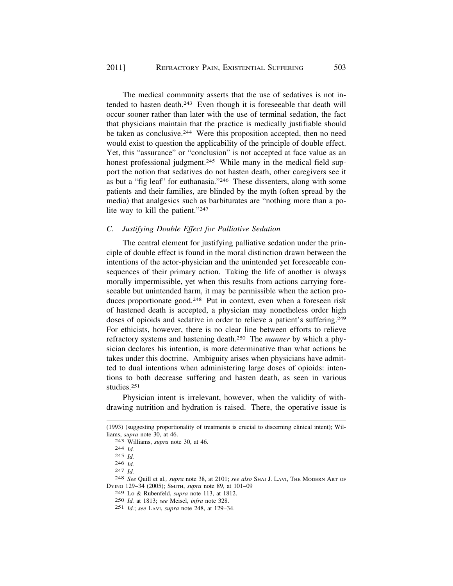The medical community asserts that the use of sedatives is not intended to hasten death.243 Even though it is foreseeable that death will occur sooner rather than later with the use of terminal sedation, the fact that physicians maintain that the practice is medically justifiable should be taken as conclusive.<sup>244</sup> Were this proposition accepted, then no need would exist to question the applicability of the principle of double effect. Yet, this "assurance" or "conclusion" is not accepted at face value as an honest professional judgment.<sup>245</sup> While many in the medical field support the notion that sedatives do not hasten death, other caregivers see it as but a "fig leaf" for euthanasia."246 These dissenters, along with some patients and their families, are blinded by the myth (often spread by the media) that analgesics such as barbiturates are "nothing more than a polite way to kill the patient."247

# *C. Justifying Double Effect for Palliative Sedation*

The central element for justifying palliative sedation under the principle of double effect is found in the moral distinction drawn between the intentions of the actor-physician and the unintended yet foreseeable consequences of their primary action. Taking the life of another is always morally impermissible, yet when this results from actions carrying foreseeable but unintended harm, it may be permissible when the action produces proportionate good.<sup>248</sup> Put in context, even when a foreseen risk of hastened death is accepted, a physician may nonetheless order high doses of opioids and sedative in order to relieve a patient's suffering.249 For ethicists, however, there is no clear line between efforts to relieve refractory systems and hastening death.250 The *manner* by which a physician declares his intention, is more determinative than what actions he takes under this doctrine. Ambiguity arises when physicians have admitted to dual intentions when administering large doses of opioids: intentions to both decrease suffering and hasten death, as seen in various studies.251

Physician intent is irrelevant, however, when the validity of withdrawing nutrition and hydration is raised. There, the operative issue is

<sup>(1993) (</sup>suggesting proportionality of treatments is crucial to discerning clinical intent); Williams, *supra* note 30, at 46. 243 Williams, *supra* note 30, at 46. 244 *Id.* 

<sup>245</sup> *Id.* 

<sup>246</sup>*Id.* 247 *Id.* 248 *See* Quill et al.*, supra* note 38, at 2101; *see also* SHAI J. LAVI, THE MODERN ART OF DYING 129–34 (2005); SMITH, *supra* note 89, at 101–09

<sup>249</sup> Lo & Rubenfeld, *supra* note 113, at 1812.

<sup>250</sup> *Id.* at 1813; *see* Meisel, *infra* note 328.

<sup>251</sup> *Id.*; *see* LAVI, *supra* note 248, at 129–34.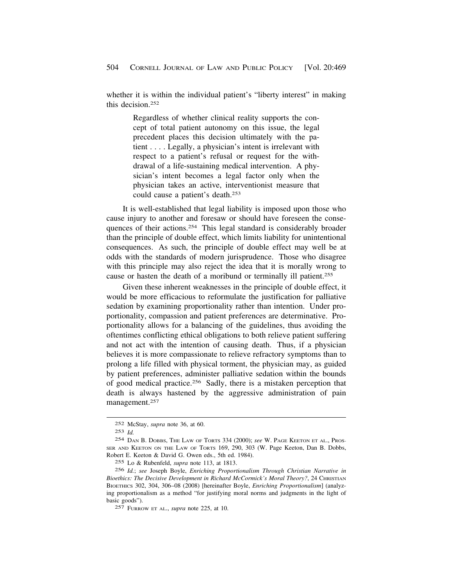whether it is within the individual patient's "liberty interest" in making this decision 252

> Regardless of whether clinical reality supports the concept of total patient autonomy on this issue, the legal precedent places this decision ultimately with the patient . . . . Legally, a physician's intent is irrelevant with respect to a patient's refusal or request for the withdrawal of a life-sustaining medical intervention. A physician's intent becomes a legal factor only when the physician takes an active, interventionist measure that could cause a patient's death.253

It is well-established that legal liability is imposed upon those who cause injury to another and foresaw or should have foreseen the consequences of their actions.254 This legal standard is considerably broader than the principle of double effect, which limits liability for unintentional consequences. As such, the principle of double effect may well be at odds with the standards of modern jurisprudence. Those who disagree with this principle may also reject the idea that it is morally wrong to cause or hasten the death of a moribund or terminally ill patient.255

Given these inherent weaknesses in the principle of double effect, it would be more efficacious to reformulate the justification for palliative sedation by examining proportionality rather than intention. Under proportionality, compassion and patient preferences are determinative. Proportionality allows for a balancing of the guidelines, thus avoiding the oftentimes conflicting ethical obligations to both relieve patient suffering and not act with the intention of causing death. Thus, if a physician believes it is more compassionate to relieve refractory symptoms than to prolong a life filled with physical torment, the physician may, as guided by patient preferences, administer palliative sedation within the bounds of good medical practice.256 Sadly, there is a mistaken perception that death is always hastened by the aggressive administration of pain management.257

<sup>252</sup> McStay, *supra* note 36, at 60.

<sup>253</sup> *Id.* 

<sup>254</sup> DAN B. DOBBS, THE LAW OF TORTS 334 (2000); *see* W. PAGE KEETON ET AL., PROS-SER AND KEETON ON THE LAW OF TORTS 169, 290, 303 (W. Page Keeton, Dan B. Dobbs, Robert E. Keeton & David G. Owen eds., 5th ed. 1984).

<sup>255</sup> Lo & Rubenfeld, *supra* note 113, at 1813.

<sup>256</sup> *Id.*; *see* Joseph Boyle, *Enriching Proportionalism Through Christian Narrative in Bioethics: The Decisive Development in Richard McCormick's Moral Theory?, 24 CHRISTIAN* BIOETHICS 302, 304, 306–08 (2008) [hereinafter Boyle, *Enriching Proportionalism*] (analyzing proportionalism as a method "for justifying moral norms and judgments in the light of basic goods").

<sup>257</sup> FURROW ET AL., *supra* note 225, at 10.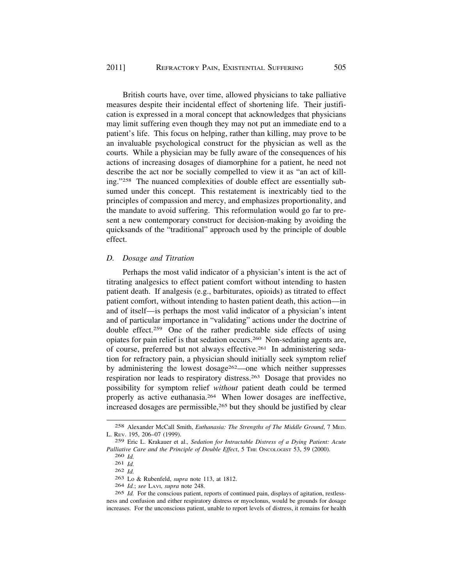British courts have, over time, allowed physicians to take palliative measures despite their incidental effect of shortening life. Their justification is expressed in a moral concept that acknowledges that physicians may limit suffering even though they may not put an immediate end to a patient's life. This focus on helping, rather than killing, may prove to be an invaluable psychological construct for the physician as well as the courts. While a physician may be fully aware of the consequences of his actions of increasing dosages of diamorphine for a patient, he need not describe the act nor be socially compelled to view it as "an act of killing."258 The nuanced complexities of double effect are essentially subsumed under this concept. This restatement is inextricably tied to the principles of compassion and mercy, and emphasizes proportionality, and the mandate to avoid suffering. This reformulation would go far to present a new contemporary construct for decision-making by avoiding the quicksands of the "traditional" approach used by the principle of double effect.

# *D. Dosage and Titration*

Perhaps the most valid indicator of a physician's intent is the act of titrating analgesics to effect patient comfort without intending to hasten patient death. If analgesis (e.g., barbiturates, opioids) as titrated to effect patient comfort, without intending to hasten patient death, this action—in and of itself—is perhaps the most valid indicator of a physician's intent and of particular importance in "validating" actions under the doctrine of double effect.259 One of the rather predictable side effects of using opiates for pain relief is that sedation occurs.260 Non-sedating agents are, of course, preferred but not always effective.261 In administering sedation for refractory pain, a physician should initially seek symptom relief by administering the lowest dosage262—one which neither suppresses respiration nor leads to respiratory distress.263 Dosage that provides no possibility for symptom relief *without* patient death could be termed properly as active euthanasia.264 When lower dosages are ineffective, increased dosages are permissible,<sup>265</sup> but they should be justified by clear

<sup>258</sup> Alexander McCall Smith, *Euthanasia: The Strengths of The Middle Ground*, 7 MED. L. REV. 195, 206–07 (1999).

<sup>259</sup> Eric L. Krakauer et al.*, Sedation for Intractable Distress of a Dying Patient: Acute*  Palliative Care and the Principle of Double Effect, 5 THE ONCOLOGIST 53, 59 (2000).

<sup>260</sup> *Id.*  261 *Id.* 

<sup>262</sup> *Id.* 

<sup>263</sup> Lo & Rubenfeld, *supra* note 113, at 1812.

<sup>264</sup> *Id.*; *see* LAVI, *supra* note 248.

<sup>265</sup> *Id.* For the conscious patient, reports of continued pain, displays of agitation, restlessness and confusion and either respiratory distress or myoclonus, would be grounds for dosage increases. For the unconscious patient, unable to report levels of distress, it remains for health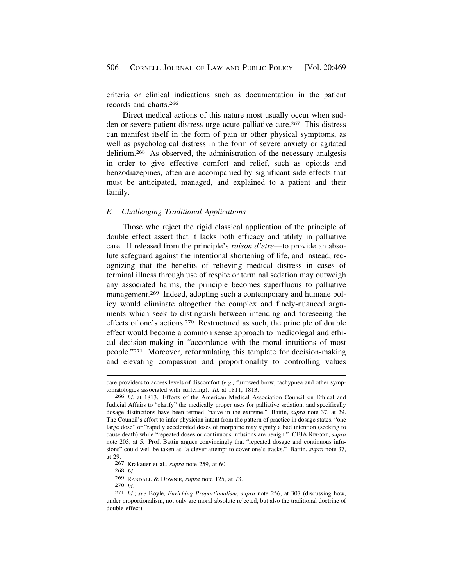<span id="page-37-0"></span>criteria or clinical indications such as documentation in the patient records and charts.266

Direct medical actions of this nature most usually occur when sudden or severe patient distress urge acute palliative care.267 This distress can manifest itself in the form of pain or other physical symptoms, as well as psychological distress in the form of severe anxiety or agitated delirium.268 As observed, the administration of the necessary analgesis in order to give effective comfort and relief, such as opioids and benzodiazepines, often are accompanied by significant side effects that must be anticipated, managed, and explained to a patient and their family.

# *E. Challenging Traditional Applications*

Those who reject the rigid classical application of the principle of double effect assert that it lacks both efficacy and utility in palliative care. If released from the principle's *raison d'etre*—to provide an absolute safeguard against the intentional shortening of life, and instead, recognizing that the benefits of relieving medical distress in cases of terminal illness through use of respite or terminal sedation may outweigh any associated harms, the principle becomes superfluous to palliative management.<sup>269</sup> Indeed, adopting such a contemporary and humane policy would eliminate altogether the complex and finely-nuanced arguments which seek to distinguish between intending and foreseeing the effects of one's actions.270 Restructured as such, the principle of double effect would become a common sense approach to medicolegal and ethical decision-making in "accordance with the moral intuitions of most people."271 Moreover, reformulating this template for decision-making and elevating compassion and proportionality to controlling values

care providers to access levels of discomfort (*e.g.,* furrowed brow, tachypnea and other symptomatologies associated with suffering). *Id.* at 1811, 1813.

<sup>266</sup> *Id.* at 1813. Efforts of the American Medical Association Council on Ethical and Judicial Affairs to "clarify" the medically proper uses for palliative sedation, and specifically dosage distinctions have been termed "naive in the extreme." Battin, *supra* note 37, at 29. The Council's effort to infer physician intent from the pattern of practice in dosage states, "one large dose" or "rapidly accelerated doses of morphine may signify a bad intention (seeking to cause death) while "repeated doses or continuous infusions are benign." CEJA REPORT, *supra*  note 203, at 5. Prof. Battin argues convincingly that "repeated dosage and continuous infusions" could well be taken as "a clever attempt to cover one's tracks." Battin, *supra* note 37, at 29.

<sup>267</sup> Krakauer et al.*, supra* note 259, at 60.

<sup>268</sup> *Id.* 

<sup>269</sup> RANDALL & DOWNIE, *supra* note 125, at 73. 270 *Id.* 271 *Id.*; *see* Boyle, *Enriching Proportionalism*, *supra* note 256, at 307 (discussing how, under proportionalism, not only are moral absolute rejected, but also the traditional doctrine of double effect).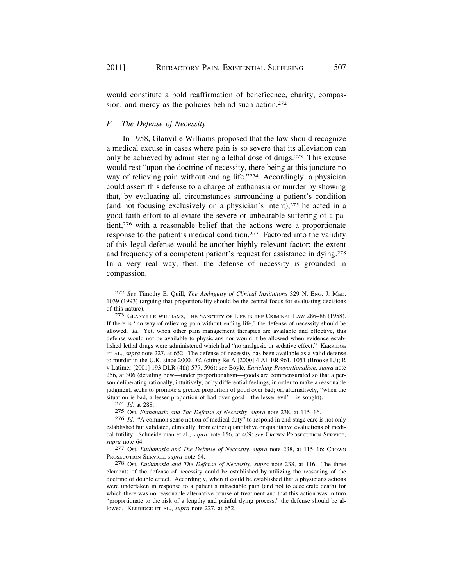would constitute a bold reaffirmation of beneficence, charity, compassion, and mercy as the policies behind such action.<sup>272</sup>

# *F. The Defense of Necessity*

In 1958, Glanville Williams proposed that the law should recognize a medical excuse in cases where pain is so severe that its alleviation can only be achieved by administering a lethal dose of drugs.273 This excuse would rest "upon the doctrine of necessity, there being at this juncture no way of relieving pain without ending life."<sup>274</sup> Accordingly, a physician could assert this defense to a charge of euthanasia or murder by showing that, by evaluating all circumstances surrounding a patient's condition (and not focusing exclusively on a physician's intent),275 he acted in a good faith effort to alleviate the severe or unbearable suffering of a patient,276 with a reasonable belief that the actions were a proportionate response to the patient's medical condition.277 Factored into the validity of this legal defense would be another highly relevant factor: the extent and frequency of a competent patient's request for assistance in dying.278 In a very real way, then, the defense of necessity is grounded in compassion.

If there is "no way of relieving pain without ending life," the defense of necessity should be allowed. *Id.* Yet, when other pain management therapies are available and effective, this defense would not be available to physicians nor would it be allowed when evidence established lethal drugs were administered which had "no analgesic or sedative effect." KERRIDGE ET AL., *supra* note 227, at 652. The defense of necessity has been available as a valid defense to murder in the U.K. since 2000. *Id.* (citing Re A [2000] 4 All ER 961, 1051 (Brooke LJ); R v Latimer [2001] 193 DLR (4th) 577, 596); *see* Boyle, *Enriching Proportionalism*, *supra* note 256, at 306 (detailing how—under proportionalism—goods are commensurated so that a person deliberating rationally, intuitively, or by differential feelings, in order to make a reasonable judgment, seeks to promote a greater proportion of good over bad; or, alternatively, "when the situation is bad, a lesser proportion of bad over good—the lesser evil"—is sought). 274 *Id.* at 288.

275 Ost, *Euthanasia and The Defense of Necessity*, *supra* note 238, at 115–16.

276 *Id.* "A common sense notion of medical duty" to respond in end-stage care is not only established but validated, clinically, from either quantitative or qualitative evaluations of medical futility. Schneiderman et al., *supra* note 156, at 409; *see* Crown Prosecution Service, *supra* note 64. 277 Ost, *Euthanasia and The Defense of Necessity*, *supra* note 238, at 115–16; CROWN

PROSECUTION SERVICE, *supra* note 64. 278 Ost, *Euthanasia and The Defense of Necessity*, *supra* note 238, at 116. The three

elements of the defense of necessity could be established by utilizing the reasoning of the doctrine of double effect. Accordingly, when it could be established that a physicians actions were undertaken in response to a patient's intractable pain (and not to accelerate death) for which there was no reasonable alternative course of treatment and that this action was in turn "proportionate to the risk of a lengthy and painful dying process," the defense should be allowed. KERRIDGE ET AL., *supra* note 227, at 652.

<sup>272</sup> *See* Timothy E. Quill, *The Ambiguity of Clinical Institutions* 329 N. ENG. J. MED. 1039 (1993) (arguing that proportionality should be the central focus for evaluating decisions of this nature).<br><sup>273</sup> GLANVILLE WILLIAMS, THE SANCTITY OF LIFE IN THE CRIMINAL LAW 286–88 (1958).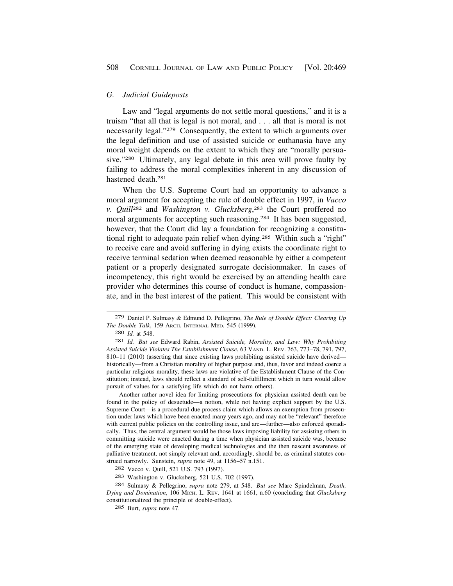#### <span id="page-39-0"></span>*G. Judicial Guideposts*

Law and "legal arguments do not settle moral questions," and it is a truism "that all that is legal is not moral, and . . . all that is moral is not necessarily legal."279 Consequently, the extent to which arguments over the legal definition and use of assisted suicide or euthanasia have any moral weight depends on the extent to which they are "morally persuasive."280 Ultimately, any legal debate in this area will prove faulty by failing to address the moral complexities inherent in any discussion of hastened death.281

When the U.S. Supreme Court had an opportunity to advance a moral argument for accepting the rule of double effect in 1997, in *Vacco v. Quill*282 and *Washington v. Glucksberg*, 283 the Court proffered no moral arguments for accepting such reasoning.<sup>284</sup> It has been suggested, however, that the Court did lay a foundation for recognizing a constitutional right to adequate pain relief when dying.285 Within such a "right" to receive care and avoid suffering in dying exists the coordinate right to receive terminal sedation when deemed reasonable by either a competent patient or a properly designated surrogate decisionmaker. In cases of incompetency, this right would be exercised by an attending health care provider who determines this course of conduct is humane, compassionate, and in the best interest of the patient. This would be consistent with

280 *Id.* at 548.

281 *Id. But see* Edward Rabin, *Assisted Suicide, Morality, and Law: Why Prohibiting Assisted Suicide Violates The Establishment Clause*, 63 VAND. L. REV. 763, 773–78, 791, 797, 810–11 (2010) (asserting that since existing laws prohibiting assisted suicide have derived historically—from a Christian morality of higher purpose and, thus, favor and indeed coerce a particular religious morality, these laws are violative of the Establishment Clause of the Constitution; instead, laws should reflect a standard of self-fulfillment which in turn would allow pursuit of values for a satisfying life which do not harm others).

Another rather novel idea for limiting prosecutions for physician assisted death can be found in the policy of desuetude—a notion, while not having explicit support by the U.S. Supreme Court—is a procedural due process claim which allows an exemption from prosecution under laws which have been enacted many years ago, and may not be "relevant" therefore with current public policies on the controlling issue, and are—further—also enforced sporadically. Thus, the central argument would be those laws imposing liability for assisting others in committing suicide were enacted during a time when physician assisted suicide was, because of the emerging state of developing medical technologies and the then nascent awareness of palliative treatment, not simply relevant and, accordingly, should be, as criminal statutes construed narrowly. Sunstein, *supra* note 49, at 1156–57 n.151.

284 Sulmasy & Pellegrino, *supra* note 279, at 548. *But see* Marc Spindelman, *Death, Dying and Domination*, 106 MICH. L. REV. 1641 at 1661, n.60 (concluding that *Glucksberg*  constitutionalized the principle of double-effect).

285 Burt, *supra* note 47.

<sup>279</sup> Daniel P. Sulmasy & Edmund D. Pellegrino, *The Rule of Double Effect: Clearing Up The Double Talk*, 159 ARCH. INTERNAL MED. 545 (1999).

<sup>282</sup> Vacco v. Quill, 521 U.S. 793 (1997).

<sup>283</sup> Washington v. Glucksberg, 521 U.S. 702 (1997).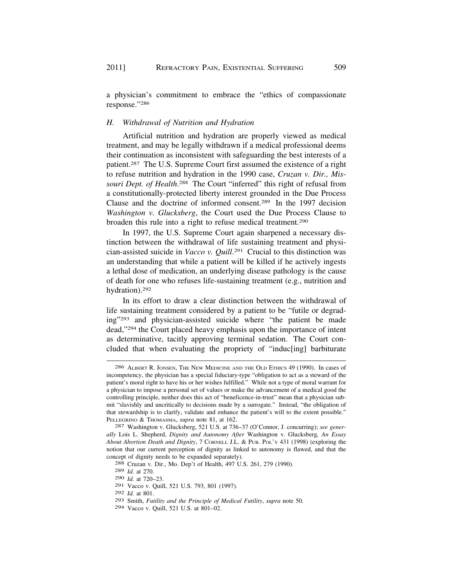a physician's commitment to embrace the "ethics of compassionate response."286

#### *H. Withdrawal of Nutrition and Hydration*

Artificial nutrition and hydration are properly viewed as medical treatment, and may be legally withdrawn if a medical professional deems their continuation as inconsistent with safeguarding the best interests of a patient.287 The U.S. Supreme Court first assumed the existence of a right to refuse nutrition and hydration in the 1990 case, *Cruzan v. Dir., Mis*souri Dept. of Health.<sup>288</sup> The Court "inferred" this right of refusal from a constitutionally-protected liberty interest grounded in the Due Process Clause and the doctrine of informed consent.289 In the 1997 decision *Washington v. Glucksberg*, the Court used the Due Process Clause to broaden this rule into a right to refuse medical treatment.290

In 1997, the U.S. Supreme Court again sharpened a necessary distinction between the withdrawal of life sustaining treatment and physician-assisted suicide in *Vacco v. Quill*. 291 Crucial to this distinction was an understanding that while a patient will be killed if he actively ingests a lethal dose of medication, an underlying disease pathology is the cause of death for one who refuses life-sustaining treatment (e.g., nutrition and hydration).292

In its effort to draw a clear distinction between the withdrawal of life sustaining treatment considered by a patient to be "futile or degrading"293 and physician-assisted suicide where "the patient be made dead,"294 the Court placed heavy emphasis upon the importance of intent as determinative, tacitly approving terminal sedation. The Court concluded that when evaluating the propriety of "induc[ing] barbiturate

294 Vacco v. Quill, 521 U.S. at 801–02.

<sup>286</sup> ALBERT R. JONSEN, THE NEW MEDICINE AND THE OLD ETHICS 49 (1990). In cases of incompetency, the physician has a special fiduciary-type "obligation to act as a steward of the patient's moral right to have his or her wishes fulfilled." While not a type of moral warrant for a physician to impose a personal set of values or make the advancement of a medical good the controlling principle, neither does this act of "beneficence-in-trust" mean that a physician submit "slavishly and uncritically to decisions made by a surrogate." Instead, "the obligation of that stewardship is to clarify, validate and enhance the patient's will to the extent possible." PELLEGRINO & THOMASMA, *supra* note 81, at 162. 287 Washington v. Glucksberg, 521 U.S. at 736–37 (O'Connor, J. concurring); *see gener-*

*ally* Lois L. Shepherd, *Dignity and Autonomy After* Washington v. Glucksberg*, An Essay About Abortion Death and Dignity*, 7 CORNELL J.L. & PUB. POL'Y 431 (1998) (exploring the notion that our current perception of dignity as linked to autonomy is flawed, and that the concept of dignity needs to be expanded separately). 288 Cruzan v. Dir., Mo. Dep't of Health, 497 U.S. 261, 279 (1990).

<sup>289</sup> *Id.* at 270.

<sup>290</sup> *Id.* at 720–23.

<sup>291</sup> Vacco v. Quill, 521 U.S. 793, 801 (1997).

<sup>292</sup> *Id.* at 801.

<sup>293</sup> Smith, *Futility and the Principle of Medical Futility*, *supra* note 50.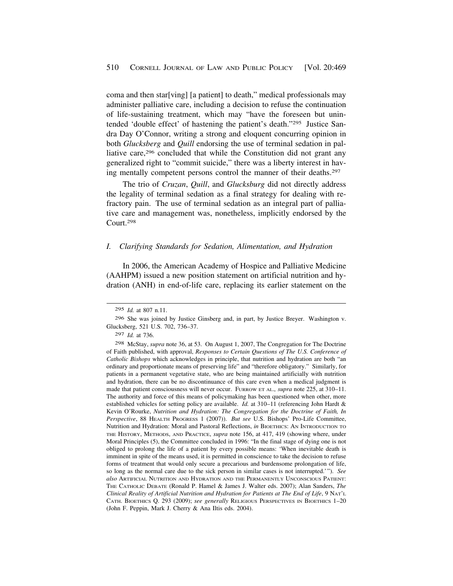<span id="page-41-0"></span>coma and then star[ving] [a patient] to death," medical professionals may administer palliative care, including a decision to refuse the continuation of life-sustaining treatment, which may "have the foreseen but unintended 'double effect' of hastening the patient's death."295 Justice Sandra Day O'Connor, writing a strong and eloquent concurring opinion in both *Glucksberg* and *Quill* endorsing the use of terminal sedation in palliative care,<sup>296</sup> concluded that while the Constitution did not grant any generalized right to "commit suicide," there was a liberty interest in having mentally competent persons control the manner of their deaths.<sup>297</sup>

The trio of *Cruzan*, *Quill*, and *Glucksburg* did not directly address the legality of terminal sedation as a final strategy for dealing with refractory pain. The use of terminal sedation as an integral part of palliative care and management was, nonetheless, implicitly endorsed by the Court.298

### *I. Clarifying Standards for Sedation, Alimentation, and Hydration*

In 2006, the American Academy of Hospice and Palliative Medicine (AAHPM) issued a new position statement on artificial nutrition and hydration (ANH) in end-of-life care, replacing its earlier statement on the

<sup>295</sup> *Id.* at 807 n.11.

<sup>296</sup> She was joined by Justice Ginsberg and, in part, by Justice Breyer. Washington v. Glucksberg, 521 U.S. 702, 736–37.

<sup>297</sup> *Id.* at 736.

<sup>298</sup> McStay, *supra* note 36, at 53. On August 1, 2007, The Congregation for The Doctrine of Faith published, with approval, *Responses to Certain Questions of The U.S. Conference of Catholic Bishops* which acknowledges in principle, that nutrition and hydration are both "an ordinary and proportionate means of preserving life" and "therefore obligatory." Similarly, for patients in a permanent vegetative state, who are being maintained artificially with nutrition and hydration, there can be no discontinuance of this care even when a medical judgment is made that patient consciousness will never occur. FURROW ET AL.*, supra* note 225, at 310–11. The authority and force of this means of policymaking has been questioned when other, more established vehicles for setting policy are available. *Id.* at 310–11 (referencing John Hardt & Kevin O'Rourke, *Nutrition and Hydration: The Congregation for the Doctrine of Faith, In Perspective*, 88 HEALTH PROGRESS 1 (2007)). *But see* U.S. Bishops' Pro-Life Committee, Nutrition and Hydration: Moral and Pastoral Reflections, *in* BIOETHICS: AN INTRODUCTION TO THE HISTORY, METHODS, AND PRACTICE, *supra* note 156, at 417, 419 (showing where, under Moral Principles (5), the Committee concluded in 1996: "In the final stage of dying one is not obliged to prolong the life of a patient by every possible means: 'When inevitable death is imminent in spite of the means used, it is permitted in conscience to take the decision to refuse forms of treatment that would only secure a precarious and burdensome prolongation of life, so long as the normal care due to the sick person in similar cases is not interrupted.'"). *See also* ARTIFICIAL NUTRITION AND HYDRATION AND THE PERMANENTLY UNCONSCIOUS PATIENT: THE CATHOLIC DEBATE (Ronald P. Hamel & James J. Walter eds. 2007); Alan Sanders, *The Clinical Reality of Artificial Nutrition and Hydration for Patients at The End of Life*, 9 NAT'L CATH. BIOETHICS Q. 293 (2009); *see generally* RELIGIOUS PERSPECTIVES IN BIOETHICS 1–20 (John F. Peppin, Mark J. Cherry & Ana Iltis eds. 2004).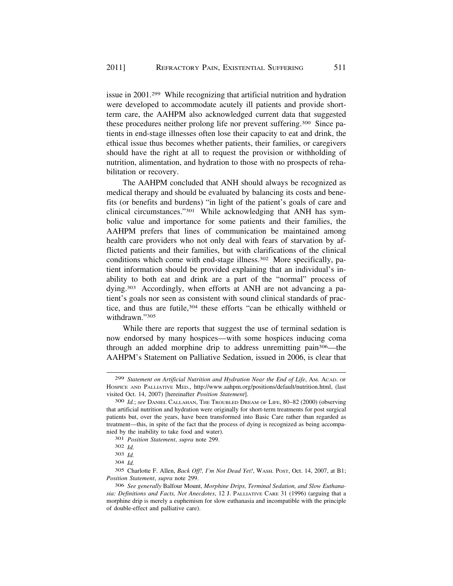issue in 2001.299 While recognizing that artificial nutrition and hydration were developed to accommodate acutely ill patients and provide shortterm care, the AAHPM also acknowledged current data that suggested these procedures neither prolong life nor prevent suffering.300 Since patients in end-stage illnesses often lose their capacity to eat and drink, the ethical issue thus becomes whether patients, their families, or caregivers should have the right at all to request the provision or withholding of nutrition, alimentation, and hydration to those with no prospects of rehabilitation or recovery.

The AAHPM concluded that ANH should always be recognized as medical therapy and should be evaluated by balancing its costs and benefits (or benefits and burdens) "in light of the patient's goals of care and clinical circumstances."301 While acknowledging that ANH has symbolic value and importance for some patients and their families, the AAHPM prefers that lines of communication be maintained among health care providers who not only deal with fears of starvation by afflicted patients and their families, but with clarifications of the clinical conditions which come with end-stage illness.302 More specifically, patient information should be provided explaining that an individual's inability to both eat and drink are a part of the "normal" process of dying.303 Accordingly, when efforts at ANH are not advancing a patient's goals nor seen as consistent with sound clinical standards of practice, and thus are futile,<sup>304</sup> these efforts "can be ethically withheld or withdrawn."305

While there are reports that suggest the use of terminal sedation is now endorsed by many hospices—with some hospices inducing coma through an added morphine drip to address unremitting pain306—the AAHPM's Statement on Palliative Sedation, issued in 2006, is clear that

301 *Position Statement*, *supra* note 299.

<sup>299</sup> *Statement on Artificial Nutrition and Hydration Near the End of Life*, AM. ACAD. OF HOSPICE AND PALLIATIVE MED., <http://www.aahpm.org/positions/default/nutrition.html>, (last visited Oct. 14, 2007) [hereinafter *Position Statement*].

<sup>300</sup> *Id.*; *see* DANIEL CALLAHAN, THE TROUBLED DREAM OF LIFE, 80–82 (2000) (observing that artificial nutrition and hydration were originally for short-term treatments for post surgical patients but, over the years, have been transformed into Basic Care rather than regarded as treatment—this, in spite of the fact that the process of dying is recognized as being accompanied by the inability to take food and water).

<sup>302</sup> *Id.* 

<sup>303</sup> *Id.* 

<sup>304</sup> *Id.* 

<sup>305</sup> Charlotte F. Allen, *Back Off!, I'm Not Dead Yet!*, WASH. POST, Oct. 14, 2007, at B1; *Position Statement*, *supra* note 299.

<sup>306</sup> *See generally* Balfour Mount, *Morphine Drips, Terminal Sedation, and Slow Euthanasia: Definitions and Facts, Not Anecdotes*, 12 J. PALLIATIVE CARE 31 (1996) (arguing that a morphine drip is merely a euphemism for slow euthanasia and incompatible with the principle of double-effect and palliative care).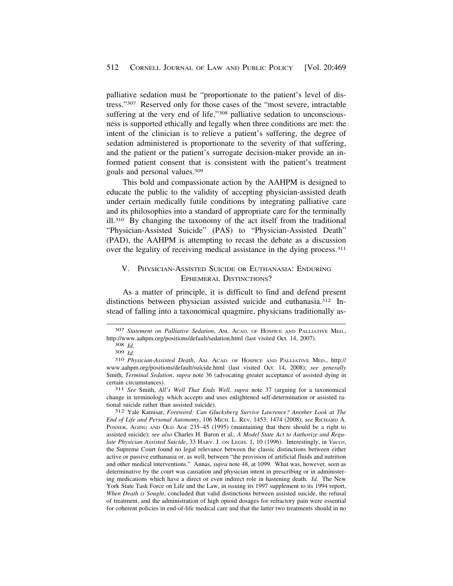palliative sedation must be "proportionate to the patient's level of distress."307 Reserved only for those cases of the "most severe, intractable suffering at the very end of life,"<sup>308</sup> palliative sedation to unconsciousness is supported ethically and legally when three conditions are met: the intent of the clinician is to relieve a patient's suffering, the degree of sedation administered is proportionate to the severity of that suffering, and the patient or the patient's surrogate decision-maker provide an informed patient consent that is consistent with the patient's treatment goals and personal values.309

This bold and compassionate action by the AAHPM is designed to educate the public to the validity of accepting physician-assisted death under certain medically futile conditions by integrating palliative care and its philosophies into a standard of appropriate care for the terminally ill.310 By changing the taxonomy of the act itself from the traditional "Physician-Assisted Suicide" (PAS) to "Physician-Assisted Death" (PAD), the AAHPM is attempting to recast the debate as a discussion over the legality of receiving medical assistance in the dying process.<sup>311</sup>

# V. PHYSICIAN-ASSISTED SUICIDE OR EUTHANASIA: ENDURING EPHEMERAL DISTINCTIONS?

As a matter of principle, it is difficult to find and defend present distinctions between physician assisted suicide and euthanasia.312 Instead of falling into a taxonomical quagmire, physicians traditionally as-

<sup>307</sup> *Statement on Palliative Sedation*, AM. ACAD. OF HOSPICE AND PALLIATIVE MED., <http://www.aahpm.org/positions/default/sedation.html> (last visited Oct. 14, 2007). [308](http://www.aahpm.org/positions/default/sedation.html) *Id.* 

<sup>309</sup>*Id.* 310 *Physician-Assisted Death*, AM. ACAD. OF HOSPICE AND PALLIATIVE MED., http:// <www.aahpm.org/positions/default/suicide.html>(last visited Oct. 14, 2008); *see generally*  Smith, *Terminal Sedation*, *supra* note 36 (advocating greater acceptance of assisted dying in certain circumstances). 311 *See* Smith, *All's Well That Ends Well, supra* note 37 (arguing for a taxonomical

change in terminology which accepts and uses enlightened self-determination or assisted ra-

tional suicide rather than assisted suicide). 312 Yale Kamisar, *Foreword: Can Glucksberg Survive Lawrence? Another Look at The End of Life and Personal Autonomy*, 106 MICH. L. REV. 1453, 1474 (2008); *see* RICHARD A. POSNER, AGING AND OLD AGE 235–45 (1995) (maintaining that there should be a right to assisted suicide); *see also* Charles H. Baron et al.*, A Model State Act to Authorize and Regulate Physician Assisted Suicide*, 33 HARV. J. ON LEGIS. 1, 10 (1996). Interestingly, in *Vacco*, the Supreme Court found no legal relevance between the classic distinctions between either active or passive euthanasia or, as well, between "the provision of artificial fluids and nutrition and other medical interventions." Annas, *supra* note 48, at 1099. What was, however, seen as determinative by the court was causation and physician intent in prescribing or in administering medications which have a direct or even indirect role in hastening death. *Id.* The New York State Task Force on Life and the Law, in issuing its 1997 supplement to its 1994 report, *When Death is Sought*, concluded that valid distinctions between assisted suicide, the refusal of treatment, and the administration of high opioid dosages for refractory pain were essential for coherent policies in end-of-life medical care and that the latter two treatments should in no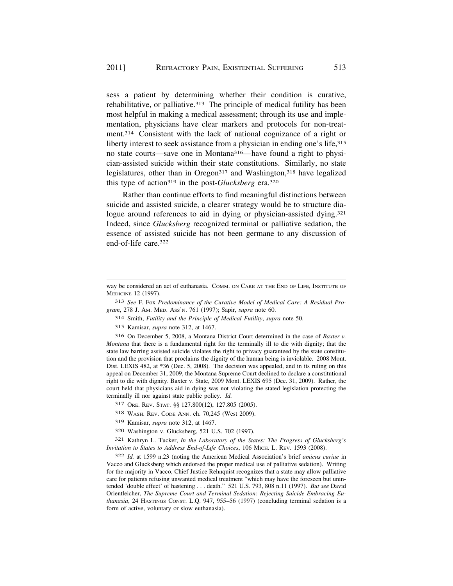sess a patient by determining whether their condition is curative, rehabilitative, or palliative.<sup>313</sup> The principle of medical futility has been most helpful in making a medical assessment; through its use and implementation, physicians have clear markers and protocols for non-treatment.314 Consistent with the lack of national cognizance of a right or liberty interest to seek assistance from a physician in ending one's life, 315 no state courts—save one in Montana316—have found a right to physician-assisted suicide within their state constitutions. Similarly, no state legislatures, other than in Oregon<sup>317</sup> and Washington,<sup>318</sup> have legalized this type of action319 in the post-*Glucksberg* era*.* 320

Rather than continue efforts to find meaningful distinctions between suicide and assisted suicide, a clearer strategy would be to structure dialogue around references to aid in dying or physician-assisted dying.<sup>321</sup> Indeed, since *Glucksberg* recognized terminal or palliative sedation, the essence of assisted suicide has not been germane to any discussion of end-of-life care.322

313 *See* F. Fox *Predominance of the Curative Model of Medical Care: A Residual Program*, 278 J. AM. MED. ASS'N. 761 (1997); Sapir, *supra* note 60.

314 Smith, *Futility and the Principle of Medical Futility*, *supra* note 50.

315 Kamisar, *supra* note 312, at 1467.

316 On December 5, 2008, a Montana District Court determined in the case of *Baxter v. Montana* that there is a fundamental right for the terminally ill to die with dignity; that the state law barring assisted suicide violates the right to privacy guaranteed by the state constitution and the provision that proclaims the dignity of the human being is inviolable. 2008 Mont. Dist. LEXIS 482, at \*36 (Dec. 5, 2008). The decision was appealed, and in its ruling on this appeal on December 31, 2009, the Montana Supreme Court declined to declare a constitutional right to die with dignity. Baxter v. State, 2009 Mont. LEXIS 695 (Dec. 31, 2009). Rather, the court held that physicians aid in dying was not violating the stated legislation protecting the terminally ill nor against state public policy. *Id.* 

317 ORE. REV. STAT. §§ 127.800(12), 127.805 (2005).

318 WASH. REV. CODE ANN. ch. 70,245 (West 2009).

319 Kamisar, *supra* note 312, at 1467.

320 Washington v. Glucksberg, 521 U.S. 702 (1997).

321 Kathryn L. Tucker, *In the Laboratory of the States: The Progress of Glucksberg's Invitation to States to Address End-of-Life Choices*, 106 MICH. L. REV. 1593 (2008).

322 *Id.* at 1599 n.23 (noting the American Medical Association's brief *amicus curiae* in Vacco and Glucksberg which endorsed the proper medical use of palliative sedation). Writing for the majority in Vacco, Chief Justice Rehnquist recognizes that a state may allow palliative care for patients refusing unwanted medical treatment "which may have the foreseen but unintended 'double effect' of hastening . . . death." 521 U.S. 793, 808 n.11 (1997). *But see* David Orientleicher, *The Supreme Court and Terminal Sedation: Rejecting Suicide Embracing Euthanasia*, 24 HASTINGS CONST. L.Q. 947, 955–56 (1997) (concluding terminal sedation is a form of active, voluntary or slow euthanasia).

way be considered an act of euthanasia. COMM. ON CARE AT THE END OF LIFE, INSTITUTE OF MEDICINE 12 (1997).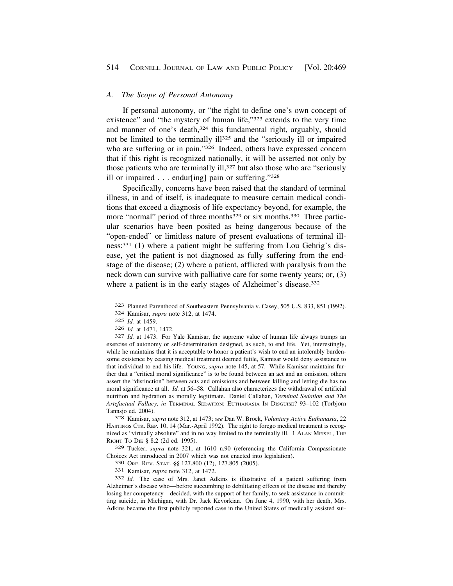# *A. The Scope of Personal Autonomy*

If personal autonomy, or "the right to define one's own concept of existence" and "the mystery of human life,"323 extends to the very time and manner of one's death,<sup>324</sup> this fundamental right, arguably, should not be limited to the terminally ill<sup>325</sup> and the "seriously ill or impaired who are suffering or in pain."<sup>326</sup> Indeed, others have expressed concern that if this right is recognized nationally, it will be asserted not only by those patients who are terminally ill,<sup>327</sup> but also those who are "seriously ill or impaired . . . endur[ing] pain or suffering."328

Specifically, concerns have been raised that the standard of terminal illness, in and of itself, is inadequate to measure certain medical conditions that exceed a diagnosis of life expectancy beyond, for example, the more "normal" period of three months<sup>329</sup> or six months.<sup>330</sup> Three particular scenarios have been posited as being dangerous because of the "open-ended" or limitless nature of present evaluations of terminal illness:331 (1) where a patient might be suffering from Lou Gehrig's disease, yet the patient is not diagnosed as fully suffering from the endstage of the disease; (2) where a patient, afflicted with paralysis from the neck down can survive with palliative care for some twenty years; or, (3) where a patient is in the early stages of Alzheimer's disease.<sup>332</sup>

HASTINGS CTR. REP. 10, 14 (Mar.-April 1992). The right to forego medical treatment is recognized as "virtually absolute" and in no way limited to the terminally ill. 1 ALAN MEISEL, THE RIGHT TO DIE § 8.2 (2d ed. 1995).

329 Tucker, *supra* note 321, at 1610 n.90 (referencing the California Compassionate Choices Act introduced in 2007 which was not enacted into legislation).<br>
330 ORE. REV. STAT. §§ 127.800 (12), 127.805 (2005).<br>
331 Kamisar, *supra* note 312, at 1472.<br>
332 *Id*. The case of Mrs. Janet Adkins is illustrativ

Alzheimer's disease who—before succumbing to debilitating effects of the disease and thereby losing her competency—decided, with the support of her family, to seek assistance in committing suicide, in Michigan, with Dr. Jack Kevorkian. On June 4, 1990, with her death, Mrs. Adkins became the first publicly reported case in the United States of medically assisted sui-

<sup>323</sup> Planned Parenthood of Southeastern Pennsylvania v. Casey, 505 U.S. 833, 851 (1992). 324 Kamisar, *supra* note 312, at 1474.

<sup>325</sup> *Id.* at 1459.

<sup>&</sup>lt;sup>327</sup> *Id.* at 1473. For Yale Kamisar, the supreme value of human life always trumps an exercise of autonomy or self-determination designed, as such, to end life. Yet, interestingly, while he maintains that it is acceptable to honor a patient's wish to end an intolerably burdensome existence by ceasing medical treatment deemed futile, Kamisar would deny assistance to that individual to end his life. YOUNG, *supra* note 145, at 57. While Kamisar maintains further that a "critical moral significance" is to be found between an act and an omission, others assert the "distinction" between acts and omissions and between killing and letting die has no moral significance at all. *Id.* at 56–58. Callahan also characterizes the withdrawal of artificial nutrition and hydration as morally legitimate. Daniel Callahan, *Terminal Sedation and The Artefactual Fallacy*, *in* TERMINAL SEDATION: EUTHANASIA IN DISGUISE? 93–102 (Torbjorn Tannsjo ed. 2004). 328 Kamisar, *supra* note 312, at 1473; *see* Dan W. Brock, *Voluntary Active Euthanasia*, 22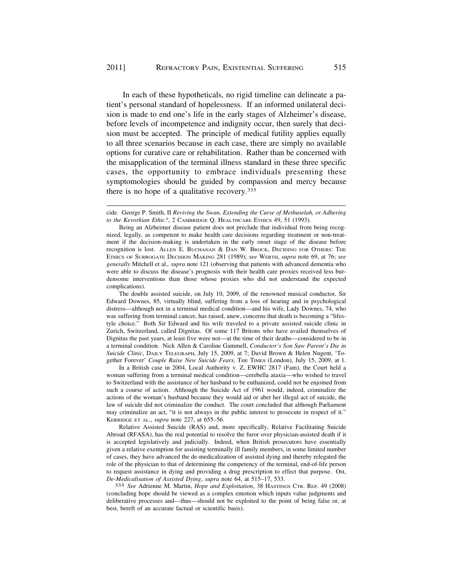In each of these hypotheticals, no rigid timeline can delineate a patient's personal standard of hopelessness. If an informed unilateral decision is made to end one's life in the early stages of Alzheimer's disease, before levels of incompetence and indignity occur, then surely that decision must be accepted. The principle of medical futility applies equally to all three scenarios because in each case, there are simply no available options for curative care or rehabilitation. Rather than be concerned with the misapplication of the terminal illness standard in these three specific cases, the opportunity to embrace individuals presenting these symptomologies should be guided by compassion and mercy because there is no hope of a qualitative recovery.333

The double assisted suicide, on July 10, 2009, of the renowned musical conductor, Sir Edward Downes, 85, virtually blind, suffering from a loss of hearing and in psychological distress—although not in a terminal medical condition—and his wife, Lady Downes, 74, who was suffering from terminal cancer, has raised, anew, concerns that death is becoming a "lifestyle choice." Both Sir Edward and his wife traveled to a private assisted suicide clinic in Zurich, Switzerland, called Dignitas. Of some 117 Britons who have availed themselves of Dignitas the past years, at least five were not—at the time of their deaths—considered to be in a terminal condition. Nick Allen & Caroline Gammell, *Conductor's Son Saw Parent's Die in Suicide Clinic*, DAILY TELEGRAPH, July 15, 2009, at 7; David Brown & Helen Nugent, 'Together Forever' *Couple Raise New Suicide Fears*, THE TIMES (London), July 15, 2009, at 1.

In a British case in 2004, Local Authority v. Z, EWHC 2817 (Fam), the Court held a woman suffering from a terminal medical condition—cerebella ataxia—who wished to travel to Switzerland with the assistance of her husband to be euthanized, could not be enjoined from such a course of action. Although the Suicide Act of 1961 would, indeed, criminalize the actions of the woman's husband because they would aid or abet her illegal act of suicide, the law of suicide did not criminalize the conduct. The court concluded that although Parliament may criminalize an act, "it is not always in the public interest to prosecute in respect of it." KERRIDGE ET AL., *supra* note 227, at 655–56.

Relative Assisted Suicide (RAS) and, more specifically, Relative Facilitating Suicide Abroad (RFASA), has the real potential to resolve the furor over physician-assisted death if it is accepted legislatively and judicially. Indeed, when British prosecutors have essentially given a relative exemption for assisting terminally ill family members, in some limited number of cases, they have advanced the de-medicalization of assisted dying and thereby relegated the role of the physician to that of determining the competency of the terminal, end-of-life person to request assistance in dying and providing a drug prescription to effect that purpose. Ost, *De-Medicalisation of Assisted Dying*, *supra* note 64, at 515–17, 533. 333 *See* Adrienne M. Martin, *Hope and Exploitation*, 38 HASTINGS CTR. REP. 49 (2008)

(concluding hope should be viewed as a complex emotion which inputs value judgments and deliberative processes and—thus—should not be exploited to the point of being false or, at best, bereft of an accurate factual or scientific basis).

cide. George P. Smith, II *Reviving the Swan, Extending the Curse of Methuselah, or Adhering to the Kevorkian Ethic?*, 2 CAMBRIDGE Q. HEALTHCARE ETHICS 49, 51 (1993).

Being an Alzheimer disease patient does not preclude that individual from being recognized, legally, as competent to make health care decisions regarding treatment or non-treatment if the decision-making is undertaken in the early onset stage of the disease before recognition is lost. ALLEN E. BUCHANAN & DAN W. BROCK, DECIDING FOR OTHERS: THE ETHICS OF SURROGATE DECISION MAKING 281 (1989); *see* WERTH, *supra* note 69, at 76; *see generally* Mitchell et al.*, supra* note 121 (observing that patients with advanced dementia who were able to discuss the disease's prognosis with their health care proxies received less burdensome interventions than those whose proxies who did not understand the expected complications).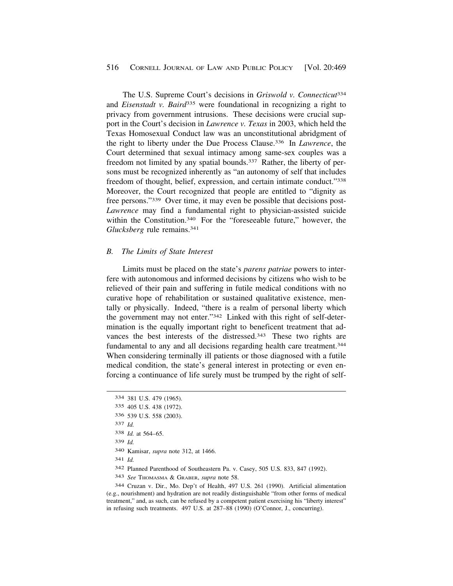The U.S. Supreme Court's decisions in *Griswold v. Connecticut*<sup>334</sup> and *Eisenstadt v. Baird*335 were foundational in recognizing a right to privacy from government intrusions. These decisions were crucial support in the Court's decision in *Lawrence v. Texas* in 2003, which held the Texas Homosexual Conduct law was an unconstitutional abridgment of the right to liberty under the Due Process Clause.336 In *Lawrence*, the Court determined that sexual intimacy among same-sex couples was a freedom not limited by any spatial bounds.<sup>337</sup> Rather, the liberty of persons must be recognized inherently as "an autonomy of self that includes freedom of thought, belief, expression, and certain intimate conduct."338 Moreover, the Court recognized that people are entitled to "dignity as free persons."339 Over time, it may even be possible that decisions post-*Lawrence* may find a fundamental right to physician-assisted suicide within the Constitution.<sup>340</sup> For the "foreseeable future," however, the *Glucksberg* rule remains.341

#### *B. The Limits of State Interest*

Limits must be placed on the state's *parens patriae* powers to interfere with autonomous and informed decisions by citizens who wish to be relieved of their pain and suffering in futile medical conditions with no curative hope of rehabilitation or sustained qualitative existence, mentally or physically. Indeed, "there is a realm of personal liberty which the government may not enter."342 Linked with this right of self-determination is the equally important right to beneficent treatment that advances the best interests of the distressed.<sup>343</sup> These two rights are fundamental to any and all decisions regarding health care treatment.344 When considering terminally ill patients or those diagnosed with a futile medical condition, the state's general interest in protecting or even enforcing a continuance of life surely must be trumped by the right of self-

339 *Id.* 

- 341 *Id.*
- 342 Planned Parenthood of Southeastern Pa. v. Casey, 505 U.S. 833, 847 (1992).
- 343 *See* THOMASMA & GRABER, *supra* note 58.

344 Cruzan v. Dir., Mo. Dep't of Health, 497 U.S. 261 (1990). Artificial alimentation (e.g., nourishment) and hydration are not readily distinguishable "from other forms of medical treatment," and, as such, can be refused by a competent patient exercising his "liberty interest" in refusing such treatments. 497 U.S. at 287–88 (1990) (O'Connor, J., concurring).

<sup>334 381</sup> U.S. 479 (1965).

<sup>335 405</sup> U.S. 438 (1972).

<sup>336 539</sup> U.S. 558 (2003).

<sup>337</sup> *Id.* 

<sup>338</sup> *Id.* at 564–65.

<sup>340</sup> Kamisar, *supra* note 312, at 1466.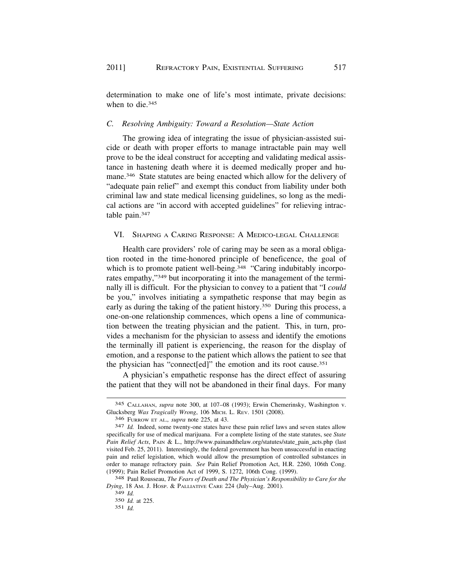determination to make one of life's most intimate, private decisions: when to die.<sup>345</sup>

# *C. Resolving Ambiguity: Toward a Resolution—State Action*

The growing idea of integrating the issue of physician-assisted suicide or death with proper efforts to manage intractable pain may well prove to be the ideal construct for accepting and validating medical assistance in hastening death where it is deemed medically proper and humane.346 State statutes are being enacted which allow for the delivery of "adequate pain relief" and exempt this conduct from liability under both criminal law and state medical licensing guidelines, so long as the medical actions are "in accord with accepted guidelines" for relieving intractable pain.347

# VI. SHAPING A CARING RESPONSE: A MEDICO-LEGAL CHALLENGE

Health care providers' role of caring may be seen as a moral obligation rooted in the time-honored principle of beneficence, the goal of which is to promote patient well-being.<sup>348</sup> "Caring indubitably incorporates empathy,"349 but incorporating it into the management of the terminally ill is difficult. For the physician to convey to a patient that "I *could*  be you," involves initiating a sympathetic response that may begin as early as during the taking of the patient history.<sup>350</sup> During this process, a one-on-one relationship commences, which opens a line of communication between the treating physician and the patient. This, in turn, provides a mechanism for the physician to assess and identify the emotions the terminally ill patient is experiencing, the reason for the display of emotion, and a response to the patient which allows the patient to see that the physician has "connect[ed]" the emotion and its root cause.351

A physician's empathetic response has the direct effect of assuring the patient that they will not be abandoned in their final days. For many

<sup>345</sup> CALLAHAN, *supra* note 300, at 107–08 (1993); Erwin Chemerinsky, Washington v. Glucksberg *Was Tragically Wrong*, 106 MICH. L. REV. 1501 (2008).

<sup>346</sup> FURROW ET AL.*, supra* note 225, at 43. 347 *Id.* Indeed, some twenty-one states have these pain relief laws and seven states allow specifically for use of medical marijuana. For a complete listing of the state statutes, see *State Pain Relief Acts*, PAIN & L., [http://www.painandthelaw.org/statutes/state\\_pain\\_acts.php](http://www.painandthelaw.org/statutes/state_pain_acts.php) (last visited Feb. 25, 2011). Interestingly, the federal government has been unsuccessful in enacting pain and relief legislation, which would allow the presumption of controlled substances in order to manage refractory pain. *See* Pain Relief Promotion Act, H.R. 2260, 106th Cong. (1999); Pain Relief Promotion Act of 1999, S. 1272, 106th Cong. (1999). 348 Paul Rousseau, *The Fears of Death and The Physician's Responsibility to Care for the* 

*Dying*, 18 AM. J. HOSP. & PALLIATIVE CARE 224 (July–Aug. 2001).

<sup>349</sup> *Id.* 

<sup>350</sup> *Id.* at 225.

<sup>351</sup> *Id.*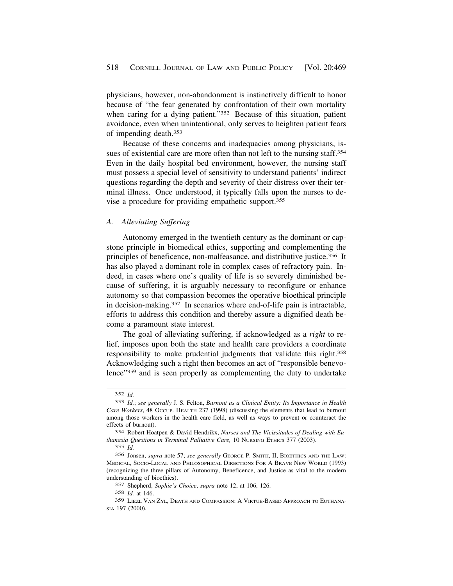physicians, however, non-abandonment is instinctively difficult to honor because of "the fear generated by confrontation of their own mortality when caring for a dying patient."<sup>352</sup> Because of this situation, patient avoidance, even when unintentional, only serves to heighten patient fears of impending death.353

Because of these concerns and inadequacies among physicians, issues of existential care are more often than not left to the nursing staff.<sup>354</sup> Even in the daily hospital bed environment, however, the nursing staff must possess a special level of sensitivity to understand patients' indirect questions regarding the depth and severity of their distress over their terminal illness. Once understood, it typically falls upon the nurses to devise a procedure for providing empathetic support.355

#### *A. Alleviating Suffering*

Autonomy emerged in the twentieth century as the dominant or capstone principle in biomedical ethics, supporting and complementing the principles of beneficence, non-malfeasance, and distributive justice.356 It has also played a dominant role in complex cases of refractory pain. Indeed, in cases where one's quality of life is so severely diminished because of suffering, it is arguably necessary to reconfigure or enhance autonomy so that compassion becomes the operative bioethical principle in decision-making.357 In scenarios where end-of-life pain is intractable, efforts to address this condition and thereby assure a dignified death become a paramount state interest.

The goal of alleviating suffering, if acknowledged as a *right* to relief, imposes upon both the state and health care providers a coordinate responsibility to make prudential judgments that validate this right.358 Acknowledging such a right then becomes an act of "responsible benevolence"359 and is seen properly as complementing the duty to undertake

355 *Id.* 

<sup>352</sup> *Id.* 

<sup>353</sup> *Id.*; *see generally* J. S. Felton, *Burnout as a Clinical Entity: Its Importance in Health Care Workers*, 48 OCCUP. HEALTH 237 (1998) (discussing the elements that lead to burnout among those workers in the health care field, as well as ways to prevent or counteract the effects of burnout).

<sup>354</sup> Robert Hoatpen & David Hendrikx, *Nurses and The Vicissitudes of Dealing with Euthanasia Questions in Terminal Palliative Care,* 10 NURSING ETHICS 377 (2003).

<sup>356</sup> Jonsen, *supra* note 57; *see generally* GEORGE P. SMITH, II, BIOETHICS AND THE LAW: MEDICAL, SOCIO-LOCAL AND PHILOSOPHICAL DIRECTIONS FOR A BRAVE NEW WORLD (1993) (recognizing the three pillars of Autonomy, Beneficence, and Justice as vital to the modern understanding of bioethics).

<sup>357</sup> Shepherd, *Sophie's Choice*, *supra* note 12, at 106, 126.

<sup>358</sup> *Id.* at 146.

<sup>359</sup> LIEZL VAN ZYL, DEATH AND COMPASSION: A VIRTUE-BASED APPROACH TO EUTHANA-SIA 197 (2000).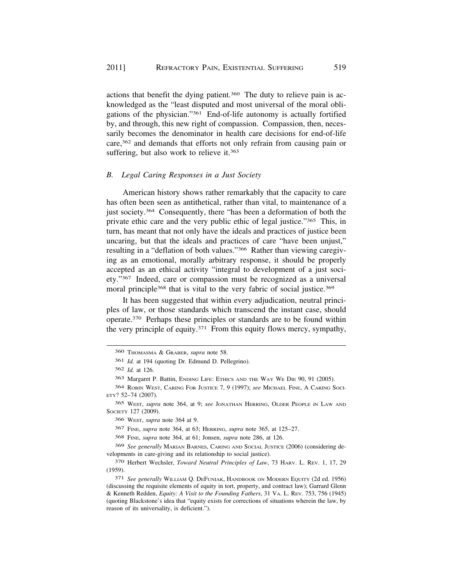actions that benefit the dying patient.360 The duty to relieve pain is acknowledged as the "least disputed and most universal of the moral obligations of the physician."361 End-of-life autonomy is actually fortified by, and through, this new right of compassion. Compassion, then, necessarily becomes the denominator in health care decisions for end-of-life care,<sup>362</sup> and demands that efforts not only refrain from causing pain or suffering, but also work to relieve it.<sup>363</sup>

#### *B. Legal Caring Responses in a Just Society*

American history shows rather remarkably that the capacity to care has often been seen as antithetical, rather than vital, to maintenance of a just society.364 Consequently, there "has been a deformation of both the private ethic care and the very public ethic of legal justice."365 This, in turn, has meant that not only have the ideals and practices of justice been uncaring, but that the ideals and practices of care "have been unjust," resulting in a "deflation of both values."366 Rather than viewing caregiving as an emotional, morally arbitrary response, it should be properly accepted as an ethical activity "integral to development of a just society."367 Indeed, care or compassion must be recognized as a universal moral principle<sup>368</sup> that is vital to the very fabric of social justice.<sup>369</sup>

It has been suggested that within every adjudication, neutral principles of law, or those standards which transcend the instant case, should operate.370 Perhaps these principles or standards are to be found within the very principle of equity.371 From this equity flows mercy, sympathy,

<sup>360</sup> THOMASMA & GRABER, *supra* note 58.

<sup>361</sup> *Id.* at 194 (quoting Dr. Edmund D. Pellegrino).

<sup>362</sup> *Id.* at 126.

<sup>363</sup> Margaret P. Battin, ENDING LIFE: ETHICS AND THE WAY WE DIE 90, 91 (2005).

<sup>364</sup> ROBIN WEST, CARING FOR JUSTICE 7, 9 (1997); *see* MICHAEL FINE, A CARING SOCI-ETY? 52–74 (2007).

<sup>365</sup> WEST, *supra* note 364, at 9; *see* JONATHAN HERRING, OLDER PEOPLE IN LAW AND SOCIETY 127 (2009).

<sup>366</sup> WEST, *supra* note 364 at 9.

<sup>367</sup> FINE, *supra* note 364, at 63; HERRING, *supra* note 365, at 125–27.

<sup>368</sup> FINE, *supra* note 364, at 61; Jonsen, *supra* note 286, at 126.

<sup>369</sup> *See generally* MARIAN BARNES, CARING AND SOCIAL JUSTICE (2006) (considering developments in care-giving and its relationship to social justice).

<sup>370</sup> Herbert Wechsler, *Toward Neutral Principles of Law*, 73 HARV. L. REV. 1, 17, 29 (1959).

<sup>371</sup> *See generally* WILLIAM Q. DEFUNIAK, HANDBOOK ON MODERN EQUITY (2d ed. 1956) (discussing the requisite elements of equity in tort, property, and contract law); Garrard Glenn & Kenneth Redden, *Equity: A Visit to the Founding Fathers*, 31 VA. L. REV. 753, 756 (1945) (quoting Blackstone's idea that "equity exists for corrections of situations wherein the law, by reason of its universality, is deficient.").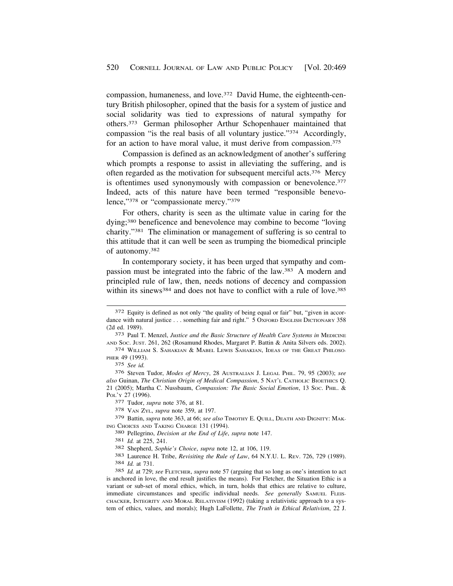compassion, humaneness, and love.372 David Hume, the eighteenth-century British philosopher, opined that the basis for a system of justice and social solidarity was tied to expressions of natural sympathy for others.373 German philosopher Arthur Schopenhauer maintained that compassion "is the real basis of all voluntary justice."374 Accordingly, for an action to have moral value, it must derive from compassion.<sup>375</sup>

Compassion is defined as an acknowledgment of another's suffering which prompts a response to assist in alleviating the suffering, and is often regarded as the motivation for subsequent merciful acts.376 Mercy is oftentimes used synonymously with compassion or benevolence.<sup>377</sup> Indeed, acts of this nature have been termed "responsible benevolence,"378 or "compassionate mercy."379

For others, charity is seen as the ultimate value in caring for the dying;380 beneficence and benevolence may combine to become "loving charity."381 The elimination or management of suffering is so central to this attitude that it can well be seen as trumping the biomedical principle of autonomy.382

In contemporary society, it has been urged that sympathy and compassion must be integrated into the fabric of the law.383 A modern and principled rule of law, then, needs notions of decency and compassion within its sinews<sup>384</sup> and does not have to conflict with a rule of love.<sup>385</sup>

<sup>372</sup> Equity is defined as not only "the quality of being equal or fair" but, "given in accordance with natural justice . . . something fair and right." 5 OXFORD ENGLISH DICTIONARY 358 (2d ed. 1989). 373 Paul T. Menzel, *Justice and the Basic Structure of Health Care Systems in* MEDICINE

AND SOC. JUST. 261, 262 (Rosamund Rhodes, Margaret P. Battin & Anita Silvers eds. 2002). 374 WILLIAM S. SAHAKIAN & MABEL LEWIS SAHAKIAN, IDEAS OF THE GREAT PHILOSO-

PHER 49 (1993).

<sup>375</sup> *See id.* 

<sup>376</sup> Steven Tudor, *Modes of Mercy*, 28 AUSTRALIAN J. LEGAL PHIL. 79, 95 (2003); *see also* Guinan, *The Christian Origin of Medical Compassion*, 5 NAT'L CATHOLIC BIOETHICS Q. 21 (2005); Martha C. Nussbaum, *Compassion: The Basic Social Emotion*, 13 SOC. PHIL. & POL'Y 27 (1996). 377 Tudor, *supra* note 376, at 81. 378 VAN ZYL, *supra* note 359, at 197.

<sup>379</sup> Battin, *supra* note 363, at 66; *see also* TIMOTHY E. QUILL, DEATH AND DIGNITY: MAK-

ING CHOICES AND TAKING CHARGE 131 (1994).<br>
<sup>380</sup> Pellegrino, *Decision at the End of Life*, *supra* note 147.<br>
<sup>381</sup> *Id.* at 225, 241.<br>
<sup>382</sup> Shepherd, *Sophie's Choice*, *supra* note 12, at 106, 119.<br>
<sup>383</sup> Laurence H. T

<sup>385</sup> *Id.* at 729; *see* FLETCHER, *supra* note 57 (arguing that so long as one's intention to act is anchored in love, the end result justifies the means). For Fletcher, the Situation Ethic is a variant or sub-set of moral ethics, which, in turn, holds that ethics are relative to culture, immediate circumstances and specific individual needs. *See generally* SAMUEL FLEIS-CHACKER, INTEGRITY AND MORAL RELATIVISM (1992) (taking a relativistic approach to a system of ethics, values, and morals); Hugh LaFollette, *The Truth in Ethical Relativism*, 22 J.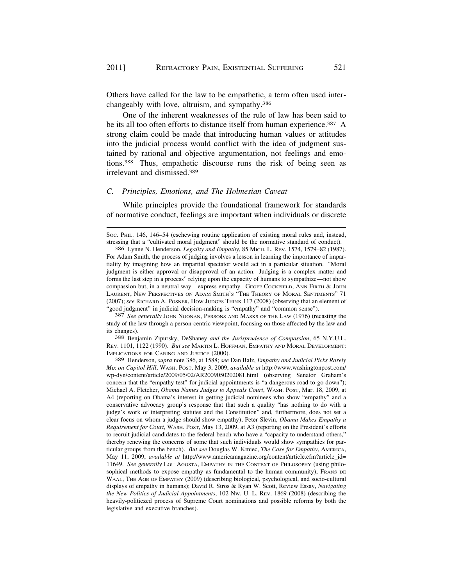Others have called for the law to be empathetic, a term often used interchangeably with love, altruism, and sympathy.386

One of the inherent weaknesses of the rule of law has been said to be its all too often efforts to distance itself from human experience.<sup>387</sup> A strong claim could be made that introducing human values or attitudes into the judicial process would conflict with the idea of judgment sustained by rational and objective argumentation, not feelings and emotions.388 Thus, empathetic discourse runs the risk of being seen as irrelevant and dismissed.389

# *C. Principles, Emotions, and The Holmesian Caveat*

While principles provide the foundational framework for standards of normative conduct, feelings are important when individuals or discrete

<sup>387</sup> See generally JOHN NOONAN, PERSONS AND MASKS OF THE LAW (1976) (recasting the study of the law through a person-centric viewpoint, focusing on those affected by the law and its changes). 388 Benjamin Zipursky, DeShaney *and the Jurisprudence of Compassion*, 65 N.Y.U.L.

REV. 1101, 1122 (1990). *But see* MARTIN L. HOFFMAN, EMPATHY AND MORAL DEVELOPMENT: IMPLICATIONS FOR CARING AND JUSTICE (2000).

389 Henderson, *supra* note 386, at 1588; *see* Dan Balz, *Empathy and Judicial Picks Rarely Mix on Capitol Hill*, WASH. POST, May 3, 2009, *available at* [http://www.washingtonpost.com/](http://www.washingtonpost.com) wp-dyn/content/article/2009/05/02/AR2009050202081.html (observing Senator Graham's concern that the "empathy test" for judicial appointments is "a dangerous road to go down"); Michael A. Fletcher, *Obama Names Judges to Appeals Court*, WASH. POST, Mar. 18, 2009, at A4 (reporting on Obama's interest in getting judicial nominees who show "empathy" and a conservative advocacy group's response that that such a quality "has nothing to do with a judge's work of interpreting statutes and the Constitution" and, furthermore, does not set a clear focus on whom a judge should show empathy); Peter Slevin, *Obama Makes Empathy a Requirement for Court*, WASH. POST, May 13, 2009, at A3 (reporting on the President's efforts to recruit judicial candidates to the federal bench who have a "capacity to understand others," thereby renewing the concerns of some that such individuals would show sympathies for particular groups from the bench). *But see* Douglas W. Kmiec, *The Case for Empathy*, AMERICA, May 11, 2009, *available at* [http://www.americamagazine.org/content/article.cfm?article\\_id](http://www.americamagazine.org/content/article.cfm?article_id)= 11649. *See generally* LOU AGOSTA, EMPATHY IN THE CONTEXT OF PHILOSOPHY (using philosophical methods to expose empathy as fundamental to the human community); FRANS DE WAAL, THE AGE OF EMPATHY (2009) (describing biological, psychological, and socio-cultural displays of empathy in humans); David R. Stros & Ryan W. Scott, Review Essay, *Navigating the New Politics of Judicial Appointments*, 102 NW. U. L. REV. 1869 (2008) (describing the heavily-politiczed process of Supreme Court nominations and possible reforms by both the legislative and executive branches).

Soc. PHIL. 146, 146–54 (eschewing routine application of existing moral rules and, instead, stressing that a "cultivated moral judgment" should be the normative standard of conduct).

<sup>386</sup> Lynne N. Henderson, *Legality and Empathy*, 85 MICH. L. REV. 1574, 1579–82 (1987). For Adam Smith, the process of judging involves a lesson in learning the importance of impartiality by imagining how an impartial spectator would act in a particular situation. "Moral judgment is either approval or disapproval of an action. Judging is a complex matter and forms the last step in a process" relying upon the capacity of humans to sympathize—not show compassion but, in a neutral way—express empathy. GEOFF COCKFIELD, ANN FIRTH & JOHN LAURENT, NEW PERSPECTIVES ON ADAM SMITH'S "THE THEORY OF MORAL SENTIMENTS" 71 (2007); *see* RICHARD A. POSNER, HOW JUDGES THINK 117 (2008) (observing that an element of "good judgment" in judicial decision-making is "empathy" and "common sense").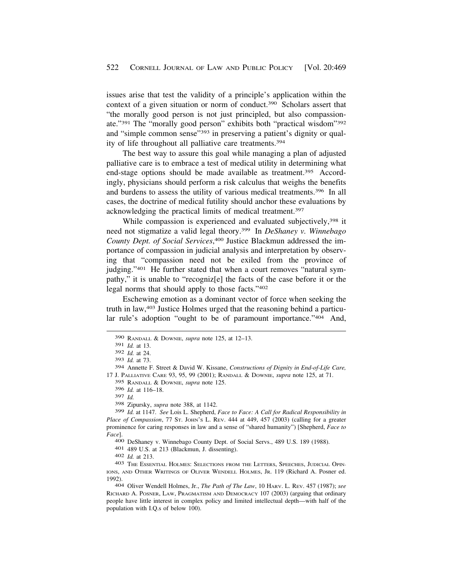issues arise that test the validity of a principle's application within the context of a given situation or norm of conduct.390 Scholars assert that "the morally good person is not just principled, but also compassionate."391 The "morally good person" exhibits both "practical wisdom"392 and "simple common sense"<sup>393</sup> in preserving a patient's dignity or quality of life throughout all palliative care treatments.394

The best way to assure this goal while managing a plan of adjusted palliative care is to embrace a test of medical utility in determining what end-stage options should be made available as treatment.<sup>395</sup> Accordingly, physicians should perform a risk calculus that weighs the benefits and burdens to assess the utility of various medical treatments.396 In all cases, the doctrine of medical futility should anchor these evaluations by acknowledging the practical limits of medical treatment.397

While compassion is experienced and evaluated subjectively,<sup>398</sup> it need not stigmatize a valid legal theory.399 In *DeShaney v. Winnebago County Dept. of Social Services*, 400 Justice Blackmun addressed the importance of compassion in judicial analysis and interpretation by observing that "compassion need not be exiled from the province of judging."<sup>401</sup> He further stated that when a court removes "natural sympathy," it is unable to "recogniz[e] the facts of the case before it or the legal norms that should apply to those facts."402

Eschewing emotion as a dominant vector of force when seeking the truth in law,403 Justice Holmes urged that the reasoning behind a particular rule's adoption "ought to be of paramount importance."404 And,

395 RANDALL & DOWNIE, *supra* note 125.

399 *Id.* at 1147. *See* Lois L. Shepherd, *Face to Face: A Call for Radical Responsibility in Place of Compassion*, 77 ST. JOHN'S L. REV. 444 at 449, 457 (2003) (calling for a greater prominence for caring responses in law and a sense of "shared humanity") [Shepherd, *Face to Face*].

400 DeShaney v. Winnebago County Dept. of Social Servs., 489 U.S. 189 (1988).<br>401 489 U.S. at 213 (Blackmun, J. dissenting).<br>402 Id. at 213.<br>403 THE ESSENTIAL HOLMES: SELECTIONS FROM THE LETTERS, SPEECHES, JUDICIAL OPIN-

IONS, AND OTHER WRITINGS OF OLIVER WENDELL HOLMES, JR. 119 (Richard A. Posner ed. 1992). 404 Oliver Wendell Holmes, Jr., *The Path of The Law*, 10 HARV. L. REV. 457 (1987); *see* 

RICHARD A. POSNER, LAW, PRAGMATISM AND DEMOCRACY 107 (2003) (arguing that ordinary people have little interest in complex policy and limited intellectual depth—with half of the population with I.Q.s of below 100).

<sup>390</sup> RANDALL & DOWNIE, *supra* note 125, at 12–13.

<sup>391</sup> *Id.* at 13.

<sup>392</sup> *Id.* at 24.

<sup>393</sup> *Id.* at 73.

<sup>394</sup> Annette F. Street & David W. Kissane, *Constructions of Dignity in End-of-Life Care,*  17 J. PALLIATIVE CARE 93, 95, 99 (2001); RANDALL & DOWNIE, *supra* note 125, at 71.

<sup>396</sup> *Id.* at 116–18.

<sup>397</sup> *Id.* 

<sup>398</sup> Zipursky, *supra* note 388, at 1142.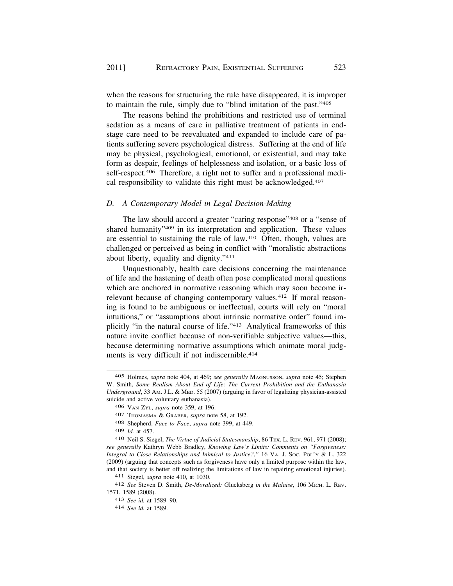when the reasons for structuring the rule have disappeared, it is improper to maintain the rule, simply due to "blind imitation of the past."405

The reasons behind the prohibitions and restricted use of terminal sedation as a means of care in palliative treatment of patients in endstage care need to be reevaluated and expanded to include care of patients suffering severe psychological distress. Suffering at the end of life may be physical, psychological, emotional, or existential, and may take form as despair, feelings of helplessness and isolation, or a basic loss of self-respect.<sup>406</sup> Therefore, a right not to suffer and a professional medical responsibility to validate this right must be acknowledged.407

# *D. A Contemporary Model in Legal Decision-Making*

The law should accord a greater "caring response"408 or a "sense of shared humanity"<sup>409</sup> in its interpretation and application. These values are essential to sustaining the rule of law.410 Often, though, values are challenged or perceived as being in conflict with "moralistic abstractions about liberty, equality and dignity."411

Unquestionably, health care decisions concerning the maintenance of life and the hastening of death often pose complicated moral questions which are anchored in normative reasoning which may soon become irrelevant because of changing contemporary values.<sup>412</sup> If moral reasoning is found to be ambiguous or ineffectual, courts will rely on "moral intuitions," or "assumptions about intrinsic normative order" found implicitly "in the natural course of life."413 Analytical frameworks of this nature invite conflict because of non-verifiable subjective values—this, because determining normative assumptions which animate moral judgments is very difficult if not indiscernible.<sup>414</sup>

411 Siegel, *supra* note 410, at 1030.

<sup>405</sup> Holmes, *supra* note 404, at 469; *see generally* MAGNUSSON, *supra* note 45; Stephen W. Smith, *Some Realism About End of Life: The Current Prohibition and the Euthanasia Underground*, 33 AM. J.L. & MED. 55 (2007) (arguing in favor of legalizing physician-assisted suicide and active voluntary euthanasia).

<sup>406</sup> VAN ZYL, *supra* note 359, at 196.

<sup>407</sup> THOMASMA & GRABER, *supra* note 58, at 192.

<sup>408</sup> Shepherd, *Face to Face*, *supra* note 399, at 449.

<sup>409</sup> *Id.* at 457.

<sup>410</sup> Neil S. Siegel, *The Virtue of Judicial Statesmanship*, 86 TEX. L. REV. 961, 971 (2008); *see generally* Kathryn Webb Bradley, *Knowing Law's Limits: Comments on "Forgiveness: Integral to Close Relationships and Inimical to Justice?*,*"* 16 VA. J. SOC. POL'Y & L. 322 (2009) (arguing that concepts such as forgiveness have only a limited purpose within the law, and that society is better off realizing the limitations of law in repairing emotional injuries).

<sup>412</sup> *See* Steven D. Smith, *De-Moralized:* Glucksberg *in the Malaise*, 106 MICH. L. REV. 1571, 1589 (2008).

<sup>413</sup> *See id.* at 1589–90.

<sup>414</sup> *See id.* at 1589.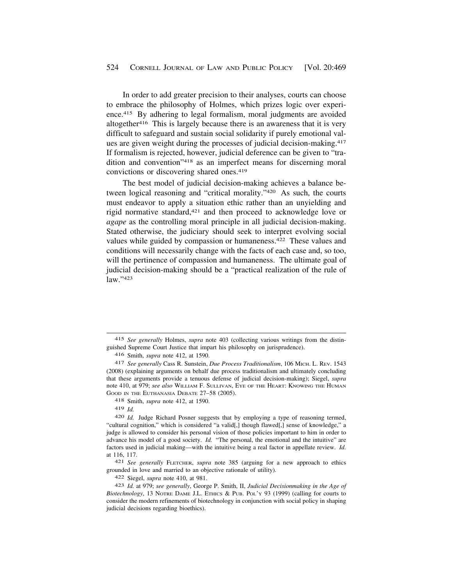In order to add greater precision to their analyses, courts can choose to embrace the philosophy of Holmes, which prizes logic over experience.415 By adhering to legal formalism, moral judgments are avoided altogether<sup>416</sup> This is largely because there is an awareness that it is very difficult to safeguard and sustain social solidarity if purely emotional values are given weight during the processes of judicial decision-making.417 If formalism is rejected, however, judicial deference can be given to "tradition and convention"418 as an imperfect means for discerning moral convictions or discovering shared ones.419

The best model of judicial decision-making achieves a balance between logical reasoning and "critical morality."420 As such, the courts must endeavor to apply a situation ethic rather than an unyielding and rigid normative standard,421 and then proceed to acknowledge love or *agape* as the controlling moral principle in all judicial decision-making. Stated otherwise, the judiciary should seek to interpret evolving social values while guided by compassion or humaneness.422 These values and conditions will necessarily change with the facts of each case and, so too, will the pertinence of compassion and humaneness. The ultimate goal of judicial decision-making should be a "practical realization of the rule of law."423

421 *See generally* FLETCHER, *supra* note 385 (arguing for a new approach to ethics grounded in love and married to an objective rationale of utility).

422 Siegel, *supra* note 410, at 981.

<sup>415</sup> *See generally* Holmes, *supra* note 403 (collecting various writings from the distinguished Supreme Court Justice that impart his philosophy on jurisprudence).

<sup>416</sup> Smith, *supra* note 412, at 1590.

<sup>417</sup> *See generally* Cass R. Sunstein, *Due Process Traditionalism*, 106 MICH. L. REV. 1543 (2008) (explaining arguments on behalf due process traditionalism and ultimately concluding that these arguments provide a tenuous defense of judicial decision-making); Siegel, *supra*  note 410, at 979; *see also* WILLIAM F. SULLIVAN, EYE OF THE HEART: KNOWING THE HUMAN GOOD IN THE EUTHANASIA DEBATE 27–58 (2005).

<sup>418</sup> Smith, *supra* note 412, at 1590.

<sup>419</sup> *Id.* 

<sup>420</sup> *Id.* Judge Richard Posner suggests that by employing a type of reasoning termed, "cultural cognition," which is considered "a valid[,] though flawed[,] sense of knowledge," a judge is allowed to consider his personal vision of those policies important to him in order to advance his model of a good society. *Id.* "The personal, the emotional and the intuitive" are factors used in judicial making—with the intuitive being a real factor in appellate review. *Id.*  at 116, 117.

<sup>423</sup> *Id.* at 979; *see generally*, George P. Smith, II, *Judicial Decisionmaking in the Age of Biotechnology*, 13 NOTRE DAME J.L. ETHICS & PUB. POL'Y 93 (1999) (calling for courts to consider the modern refinements of biotechnology in conjunction with social policy in shaping judicial decisions regarding bioethics).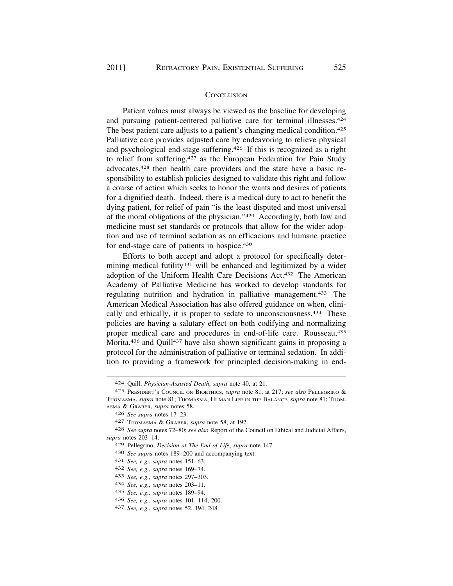#### **CONCLUSION**

Patient values must always be viewed as the baseline for developing and pursuing patient-centered palliative care for terminal illnesses.424 The best patient care adjusts to a patient's changing medical condition.<sup>425</sup> Palliative care provides adjusted care by endeavoring to relieve physical and psychological end-stage suffering.426 If this is recognized as a right to relief from suffering,<sup>427</sup> as the European Federation for Pain Study advocates,428 then health care providers and the state have a basic responsibility to establish policies designed to validate this right and follow a course of action which seeks to honor the wants and desires of patients for a dignified death. Indeed, there is a medical duty to act to benefit the dying patient, for relief of pain "is the least disputed and most universal of the moral obligations of the physician."429 Accordingly, both law and medicine must set standards or protocols that allow for the wider adoption and use of terminal sedation as an efficacious and humane practice for end-stage care of patients in hospice.430

Efforts to both accept and adopt a protocol for specifically determining medical futility<sup>431</sup> will be enhanced and legitimized by a wider adoption of the Uniform Health Care Decisions Act.432 The American Academy of Palliative Medicine has worked to develop standards for regulating nutrition and hydration in palliative management.<sup>433</sup> The American Medical Association has also offered guidance on when, clinically and ethically, it is proper to sedate to unconsciousness.<sup>434</sup> These policies are having a salutary effect on both codifying and normalizing proper medical care and procedures in end-of-life care. Rousseau,435 Morita,<sup>436</sup> and Quill<sup>437</sup> have also shown significant gains in proposing a protocol for the administration of palliative or terminal sedation. In addition to providing a framework for principled decision-making in end-

<sup>424</sup> Quill, *Physician-Assisted Death*, *supra* note 40, at 21.

<sup>425</sup> PRESIDENT'S COUNCIL ON BIOETHICS, *supra* note 81, at 217; *see also* PELLEGRINO & THOMASMA, *supra* note 81; THOMASMA, HUMAN LIFE IN THE BALANCE, *supra* note 81; THOM-ASMA & GRABER, *supra* notes 58.

<sup>426</sup> *See supra* notes 17–23.

<sup>427</sup> THOMASMA & GRABER, *supra* note 58, at 192.

<sup>428</sup> *See supra* notes 72–80; *see also* Report of the Council on Ethical and Judicial Affairs, *supra* notes 203–14.

<sup>429</sup> Pellegrino, *Decision at The End of Life*, *supra* note 147.

<sup>430</sup> *See supra* notes 189–200 and accompanying text.

<sup>431</sup> *See, e.g.*, *supra* notes 151–63.

<sup>432</sup> *See, e.g.*, *supra* notes 169–74.

<sup>433</sup> *See, e.g.*, *supra* notes 297–303.

<sup>434</sup> *See, e.g.*, *supra* notes 203–11.

<sup>435</sup> *See, e.g.*, *supra* notes 189–94.

<sup>436</sup> *See, e.g.*, *supra* notes 101, 114, 200.

<sup>437</sup> *See, e.g.*, *supra* notes 52, 194, 248.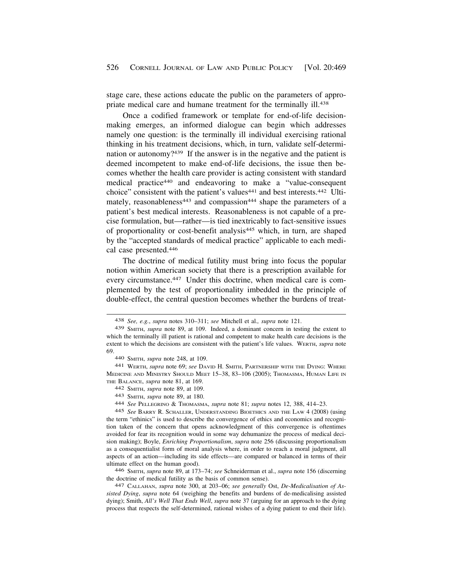stage care, these actions educate the public on the parameters of appropriate medical care and humane treatment for the terminally ill.<sup>438</sup>

Once a codified framework or template for end-of-life decisionmaking emerges, an informed dialogue can begin which addresses namely one question: is the terminally ill individual exercising rational thinking in his treatment decisions, which, in turn, validate self-determination or autonomy?439 If the answer is in the negative and the patient is deemed incompetent to make end-of-life decisions, the issue then becomes whether the health care provider is acting consistent with standard medical practice440 and endeavoring to make a "value-consequent choice" consistent with the patient's values<sup>441</sup> and best interests.<sup>442</sup> Ultimately, reasonableness<sup>443</sup> and compassion<sup>444</sup> shape the parameters of a patient's best medical interests. Reasonableness is not capable of a precise formulation, but—rather—is tied inextricably to fact-sensitive issues of proportionality or cost-benefit analysis445 which, in turn, are shaped by the "accepted standards of medical practice" applicable to each medical case presented.446

The doctrine of medical futility must bring into focus the popular notion within American society that there is a prescription available for every circumstance.<sup>447</sup> Under this doctrine, when medical care is complemented by the test of proportionality imbedded in the principle of double-effect, the central question becomes whether the burdens of treat-

MEDICINE AND MINISTRY SHOULD MEET 15–38, 83–106 (2005); THOMASMA, HUMAN LIFE IN THE BALANCE, *supra* note 81, at 169. 442 SMITH, *supra* note 89, at 109. 443 SMITH, *supra* note 89, at 180. 444 *See* PELLEGRINO & THOMASMA, *supra* note 81; *supra* notes 12, 388, 414–23.

445 *See* BARRY R. SCHALLER, UNDERSTANDING BIOETHICS AND THE LAW 4 (2008) (using the term "ethinics" is used to describe the convergence of ethics and economics and recognition taken of the concern that opens acknowledgment of this convergence is oftentimes avoided for fear its recognition would in some way dehumanize the process of medical decision making); Boyle, *Enriching Proportionalism*, *supra* note 256 (discussing proportionalism as a consequentialist form of moral analysis where, in order to reach a moral judgment, all aspects of an action—including its side effects—are compared or balanced in terms of their ultimate effect on the human good).

446 SMITH, *supra* note 89, at 173–74; *see* Schneiderman et al., *supra* note 156 (discerning the doctrine of medical futility as the basis of common sense). 447 CALLAHAN, *supra* note 300, at 203–06; *see generally* Ost, *De-Medicalisation of As-*

*sisted Dying*, *supra* note 64 (weighing the benefits and burdens of de-medicalising assisted dying); Smith, *All's Well That Ends Well*, *supra* note 37 (arguing for an approach to the dying process that respects the self-determined, rational wishes of a dying patient to end their life).

<sup>438</sup> *See, e.g.*, *supra* notes 310–311; *see* Mitchell et al.*, supra* note 121.

<sup>439</sup> SMITH, *supra* note 89, at 109. Indeed, a dominant concern in testing the extent to which the terminally ill patient is rational and competent to make health care decisions is the extent to which the decisions are consistent with the patient's life values. WERTH, *supra* note 69. 440 SMITH, *supra* note 248, at 109. 441 WERTH, *supra* note 69; *see* DAVID H. SMITH, PARTNERSHIP WITH THE DYING: WHERE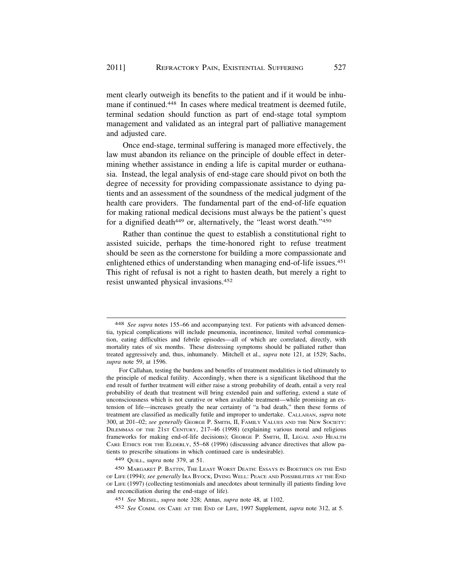ment clearly outweigh its benefits to the patient and if it would be inhumane if continued.<sup>448</sup> In cases where medical treatment is deemed futile, terminal sedation should function as part of end-stage total symptom management and validated as an integral part of palliative management and adjusted care.

Once end-stage, terminal suffering is managed more effectively, the law must abandon its reliance on the principle of double effect in determining whether assistance in ending a life is capital murder or euthanasia. Instead, the legal analysis of end-stage care should pivot on both the degree of necessity for providing compassionate assistance to dying patients and an assessment of the soundness of the medical judgment of the health care providers. The fundamental part of the end-of-life equation for making rational medical decisions must always be the patient's quest for a dignified death<sup>449</sup> or, alternatively, the "least worst death."<sup>450</sup>

Rather than continue the quest to establish a constitutional right to assisted suicide, perhaps the time-honored right to refuse treatment should be seen as the cornerstone for building a more compassionate and enlightened ethics of understanding when managing end-of-life issues.451 This right of refusal is not a right to hasten death, but merely a right to resist unwanted physical invasions.452

<sup>448</sup> *See supra* notes 155–66 and accompanying text. For patients with advanced dementia, typical complications will include pneumonia, incontinence, limited verbal communication, eating difficulties and febrile episodes—all of which are correlated, directly, with mortality rates of six months. These distressing symptoms should be palliated rather than treated aggressively and, thus, inhumanely. Mitchell et al., *supra* note 121, at 1529; Sachs, *supra* note 59, at 1596.

For Callahan, testing the burdens and benefits of treatment modalities is tied ultimately to the principle of medical futility. Accordingly, when there is a significant likelihood that the end result of further treatment will either raise a strong probability of death, entail a very real probability of death that treatment will bring extended pain and suffering, extend a state of unconsciousness which is not curative or when available treatment—while promising an extension of life—increases greatly the near certainty of "a bad death," then these forms of treatment are classified as medically futile and improper to undertake. CALLAHAN, *supra* note 300, at 201–02; *see generally* GEORGE P. SMITH, II, FAMILY VALUES AND THE NEW SOCIETY: DILEMMAS OF THE 21ST CENTURY, 217–46 (1998) (explaining various moral and religious frameworks for making end-of-life decisions); GEORGE P. SMITH, II, LEGAL AND HEALTH CARE ETHICS FOR THE ELDERLY, 55–68 (1996) (discussing advance directives that allow patients to prescribe situations in which continued care is undesirable).

<sup>449</sup> QUILL, *supra* note 379, at 51.

<sup>450</sup> MARGARET P. BATTIN, THE LEAST WORST DEATH: ESSAYS IN BIOETHICS ON THE END OF LIFE (1994); *see generally* IRA BYOCK, DYING WELL: PEACE AND POSSIBILITIES AT THE END OF LIFE (1997) (collecting testimonials and anecdotes about terminally ill patients finding love and reconciliation during the end-stage of life).

<sup>451</sup> *See* MEISEL, *supra* note 328; Annas, *supra* note 48, at 1102.

<sup>452</sup> *See* COMM. ON CARE AT THE END OF LIFE, 1997 Supplement, *supra* note 312, at 5.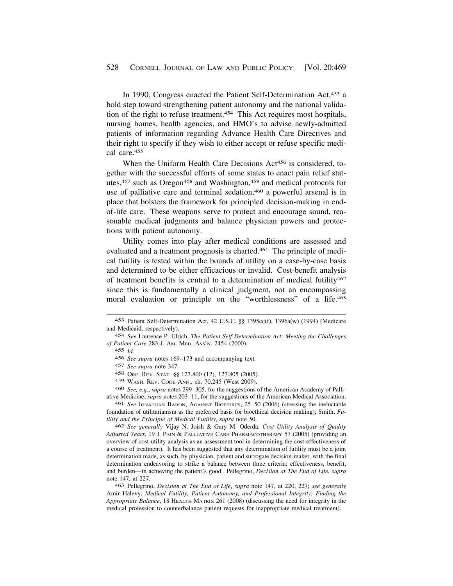In 1990, Congress enacted the Patient Self-Determination Act,453 a bold step toward strengthening patient autonomy and the national validation of the right to refuse treatment.<sup>454</sup> This Act requires most hospitals, nursing homes, health agencies, and HMO's to advise newly-admitted patients of information regarding Advance Health Care Directives and their right to specify if they wish to either accept or refuse specific medical care.455

When the Uniform Health Care Decisions Act<sup>456</sup> is considered, together with the successful efforts of some states to enact pain relief statutes,457 such as Oregon458 and Washington,459 and medical protocols for use of palliative care and terminal sedation,<sup>460</sup> a powerful arsenal is in place that bolsters the framework for principled decision-making in endof-life care. These weapons serve to protect and encourage sound, reasonable medical judgments and balance physician powers and protections with patient autonomy.

Utility comes into play after medical conditions are assessed and evaluated and a treatment prognosis is charted.461 The principle of medical futility is tested within the bounds of utility on a case-by-case basis and determined to be either efficacious or invalid. Cost-benefit analysis of treatment benefits is central to a determination of medical futility<sup>462</sup> since this is fundamentally a clinical judgment, not an encompassing moral evaluation or principle on the "worthlessness" of a life.463

459 WASH. REV. CODE ANN., ch. 70,245 (West 2009).

460 *See, e.g.*, *supra* notes 299–305, for the suggestions of the American Academy of Palliative Medicine; *supra* notes 203–11, for the suggestions of the American Medical Association.

461 *See* JONATHAN BARON, AGAINST BIOETHICS, 25–50 (2006) (stressing the ineluctable foundation of utilitarianism as the preferred basis for bioethical decision making); Smith, *Futility and the Principle of Medical Futility*, *supra* note 50.

462 *See generally* Vijay N. Joish & Gary M. Oderda, *Cost Utility Analysis of Quality Adjusted Years*, 19 J. PAIN & PALLIATIVE CARE PHARMACOTHERAPY 57 (2005) (providing an overview of cost-utility analysis as an assessment tool in determining the cost-effectiveness of a course of treatment). It has been suggested that any determination of futility must be a joint determination made, as such, by physician, patient and surrogate decision-maker, with the final determination endeavoring to strike a balance between three criteria: effectiveness, benefit, and burden—in achieving the patient's good. Pellegrino, *Decision at The End of Life*, *supra*  note 147, at 227.

463 Pellegrino, *Decision at The End of Life*, *supra* note 147, at 220, 227; *see generally*  Amir Halevy, *Medical Futility, Patient Autonomy, and Professional Integrity: Finding the Appropriate Balance*, 18 HEALTH MATRIX 261 (2008) (discussing the need for integrity in the medical profession to counterbalance patient requests for inappropriate medical treatment).

<sup>453</sup> Patient Self-Determination Act, 42 U.S.C. §§ 1395cc(f), 1396a(w) (1994) (Medicare and Medicaid, respectively).

<sup>454</sup> S*ee* Laurence P. Ulrich, *The Patient Self-Determination Act: Meeting the Challenges of Patient Care* 283 J. AM. MED. ASS'N. 2454 (2000).

<sup>455</sup> *Id.* 

<sup>456</sup> *See supra* notes 169–173 and accompanying text.

<sup>457</sup> *See supra* note 347.

<sup>458</sup> ORE. REV. STAT. §§ 127.800 (12), 127.805 (2005).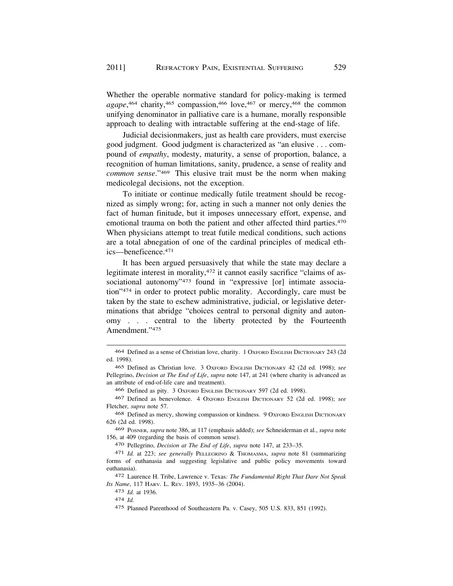Whether the operable normative standard for policy-making is termed agape,<sup>464</sup> charity,<sup>465</sup> compassion,<sup>466</sup> love,<sup>467</sup> or mercy,<sup>468</sup> the common unifying denominator in palliative care is a humane, morally responsible approach to dealing with intractable suffering at the end-stage of life.

Judicial decisionmakers, just as health care providers, must exercise good judgment. Good judgment is characterized as "an elusive . . . compound of *empathy*, modesty, maturity, a sense of proportion, balance, a recognition of human limitations, sanity, prudence, a sense of reality and *common sense*."469 This elusive trait must be the norm when making medicolegal decisions, not the exception.

To initiate or continue medically futile treatment should be recognized as simply wrong; for, acting in such a manner not only denies the fact of human finitude, but it imposes unnecessary effort, expense, and emotional trauma on both the patient and other affected third parties.<sup>470</sup> When physicians attempt to treat futile medical conditions, such actions are a total abnegation of one of the cardinal principles of medical ethics—beneficence.471

It has been argued persuasively that while the state may declare a legitimate interest in morality,472 it cannot easily sacrifice "claims of associational autonomy"<sup>473</sup> found in "expressive [or] intimate association"474 in order to protect public morality. Accordingly, care must be taken by the state to eschew administrative, judicial, or legislative determinations that abridge "choices central to personal dignity and autonomy . . . central to the liberty protected by the Fourteenth Amendment."475

466 Defined as pity. 3 OXFORD ENGLISH DICTIONARY 597 (2d ed. 1998).

468 Defined as mercy, showing compassion or kindness. 9 OXFORD ENGLISH DICTIONARY 626 (2d ed. 1998).

469 POSNER, *supra* note 386, at 117 (emphasis added); *see* Schneiderman et al., *supra* note 156, at 409 (regarding the basis of common sense).

470 Pellegrino, *Decision at The End of Life*, *supra* note 147, at 233–35.

473 *Id.* at 1936.

474 *Id.* 

<sup>464</sup> Defined as a sense of Christian love, charity. 1 OXFORD ENGLISH DICTIONARY 243 (2d ed. 1998).

<sup>465</sup> Defined as Christian love. 3 OXFORD ENGLISH DICTIONARY 42 (2d ed. 1998); *see*  Pellegrino, *Decision at The End of Life*, *supra* note 147, at 241 (where charity is advanced as an attribute of end-of-life care and treatment).

<sup>467</sup> Defined as benevolence. 4 OXFORD ENGLISH DICTIONARY 52 (2d ed. 1998); *see*  Fletcher, *supra* note 57.

<sup>471</sup> *Id.* at 223; *see generally* PELLEGRINO & THOMASMA, *supra* note 81 (summarizing forms of euthanasia and suggesting legislative and public policy movements toward euthanasia).

<sup>472</sup> Laurence H. Tribe, Lawrence v. Texas*: The Fundamental Right That Dare Not Speak Its Name*, 117 HARV. L. REV. 1893, 1935–36 (2004).

<sup>475</sup> Planned Parenthood of Southeastern Pa. v. Casey, 505 U.S. 833, 851 (1992).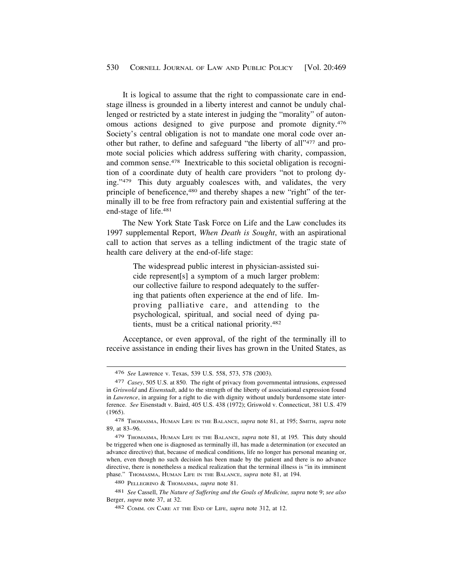It is logical to assume that the right to compassionate care in endstage illness is grounded in a liberty interest and cannot be unduly challenged or restricted by a state interest in judging the "morality" of autonomous actions designed to give purpose and promote dignity.476 Society's central obligation is not to mandate one moral code over another but rather, to define and safeguard "the liberty of all"477 and promote social policies which address suffering with charity, compassion, and common sense.<sup>478</sup> Inextricable to this societal obligation is recognition of a coordinate duty of health care providers "not to prolong dying."479 This duty arguably coalesces with, and validates, the very principle of beneficence,<sup>480</sup> and thereby shapes a new "right" of the terminally ill to be free from refractory pain and existential suffering at the end-stage of life.481

The New York State Task Force on Life and the Law concludes its 1997 supplemental Report, *When Death is Sought*, with an aspirational call to action that serves as a telling indictment of the tragic state of health care delivery at the end-of-life stage:

> The widespread public interest in physician-assisted suicide represent[s] a symptom of a much larger problem: our collective failure to respond adequately to the suffering that patients often experience at the end of life. Improving palliative care, and attending to the psychological, spiritual, and social need of dying patients, must be a critical national priority.482

Acceptance, or even approval, of the right of the terminally ill to receive assistance in ending their lives has grown in the United States, as

<sup>476</sup> *See* Lawrence v. Texas, 539 U.S. 558, 573, 578 (2003).

<sup>477</sup> *Casey*, 505 U.S. at 850. The right of privacy from governmental intrusions, expressed in *Griswold* and *Eisenstadt*, add to the strength of the liberty of associational expression found in *Lawrence*, in arguing for a right to die with dignity without unduly burdensome state interference. *See* Eisenstadt v. Baird, 405 U.S. 438 (1972); Griswold v. Connecticut, 381 U.S. 479 (1965).

<sup>478</sup> THOMASMA, HUMAN LIFE IN THE BALANCE, *supra* note 81, at 195; SMITH, *supra* note 89, at 83–96.

<sup>479</sup> THOMASMA, HUMAN LIFE IN THE BALANCE, *supra* note 81, at 195*.* This duty should be triggered when one is diagnosed as terminally ill, has made a determination (or executed an advance directive) that, because of medical conditions, life no longer has personal meaning or, when, even though no such decision has been made by the patient and there is no advance directive, there is nonetheless a medical realization that the terminal illness is "in its imminent phase." THOMASMA, HUMAN LIFE IN THE BALANCE, *supra* note 81, at 194.

<sup>480</sup> PELLEGRINO & THOMASMA, *supra* note 81.

<sup>481</sup> *See* Cassell, *The Nature of Suffering and the Goals of Medicine, supra* note 9; *see also*  Berger, *supra* note 37, at 32.

<sup>482</sup> COMM. ON CARE AT THE END OF LIFE, *supra* note 312, at 12.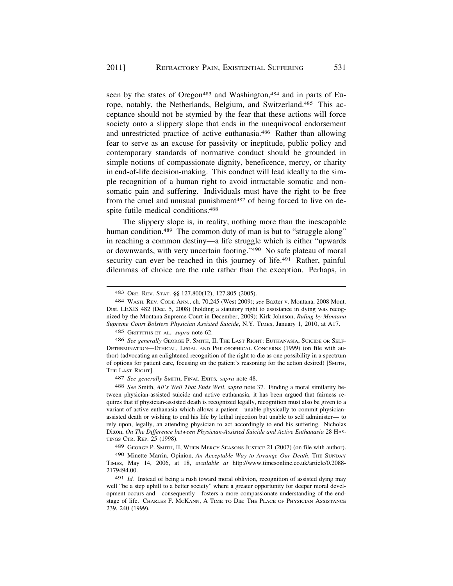seen by the states of Oregon<sup>483</sup> and Washington,<sup>484</sup> and in parts of Europe, notably, the Netherlands, Belgium, and Switzerland.<sup>485</sup> This acceptance should not be stymied by the fear that these actions will force society onto a slippery slope that ends in the unequivocal endorsement and unrestricted practice of active euthanasia.486 Rather than allowing fear to serve as an excuse for passivity or ineptitude, public policy and contemporary standards of normative conduct should be grounded in simple notions of compassionate dignity, beneficence, mercy, or charity in end-of-life decision-making. This conduct will lead ideally to the simple recognition of a human right to avoid intractable somatic and nonsomatic pain and suffering. Individuals must have the right to be free from the cruel and unusual punishment<sup>487</sup> of being forced to live on despite futile medical conditions.488

The slippery slope is, in reality, nothing more than the inescapable human condition.<sup>489</sup> The common duty of man is but to "struggle along" in reaching a common destiny—a life struggle which is either "upwards or downwards, with very uncertain footing."490 No safe plateau of moral security can ever be reached in this journey of life.<sup>491</sup> Rather, painful dilemmas of choice are the rule rather than the exception. Perhaps, in

485 GRIFFITHS ET AL*., supra* note 62.

486 *See generally* GEORGE P. SMITH, II, THE LAST RIGHT: EUTHANASIA, SUICIDE OR SELF-DETERMINATION—ETHICAL, LEGAL AND PHILOSOPHICAL CONCERNS (1999) (on file with author) (advocating an enlightened recognition of the right to die as one possibility in a spectrum of options for patient care, focusing on the patient's reasoning for the action desired) [SMITH, THE LAST RIGHT].

487 *See generally* SMITH, FINAL EXITS*, supra* note 48.

488 *See* Smith, *All's Well That Ends Well*, *supra* note 37. Finding a moral similarity between physician-assisted suicide and active euthanasia, it has been argued that fairness requires that if physician-assisted death is recognized legally, recognition must also be given to a variant of active euthanasia which allows a patient—unable physically to commit physicianassisted death or wishing to end his life by lethal injection but unable to self administer— to rely upon, legally, an attending physician to act accordingly to end his suffering. Nicholas Dixon, *On The Difference between Physician-Assisted Suicide and Active Euthanasia* 28 HAS-TINGS CTR. REP. 25 (1998).

489 GEORGE P. SMITH, II, WHEN MERCY SEASONS JUSTICE 21 (2007) (on file with author).

490 Minette Marrin, Opinion, *An Acceptable Way to Arrange Our Death*, THE SUNDAY TIMES, May 14, 2006, at 18, *available at* <http://www.timesonline.co.uk/article/0.2088>- [2179494.00](https://2179494.00).

491 *Id.* Instead of being a rush toward moral oblivion, recognition of assisted dying may well "be a step uphill to a better society" where a greater opportunity for deeper moral development occurs and—consequently—fosters a more compassionate understanding of the endstage of life. CHARLES F. MCKANN, A TIME TO DIE: THE PLACE OF PHYSICIAN ASSISTANCE 239, 240 (1999).

<sup>483</sup> ORE. REV. STAT. §§ 127.800(12), 127.805 (2005).

<sup>484</sup> WASH. REV. CODE ANN., ch. 70,245 (West 2009); *see* Baxter v. Montana, 2008 Mont. Dist. LEXIS 482 (Dec. 5, 2008) (holding a statutory right to assistance in dying was recognized by the Montana Supreme Court in December, 2009); Kirk Johnson, *Ruling by Montana Supreme Court Bolsters Physician Assisted Suicide*, N.Y. TIMES, January 1, 2010, at A17.